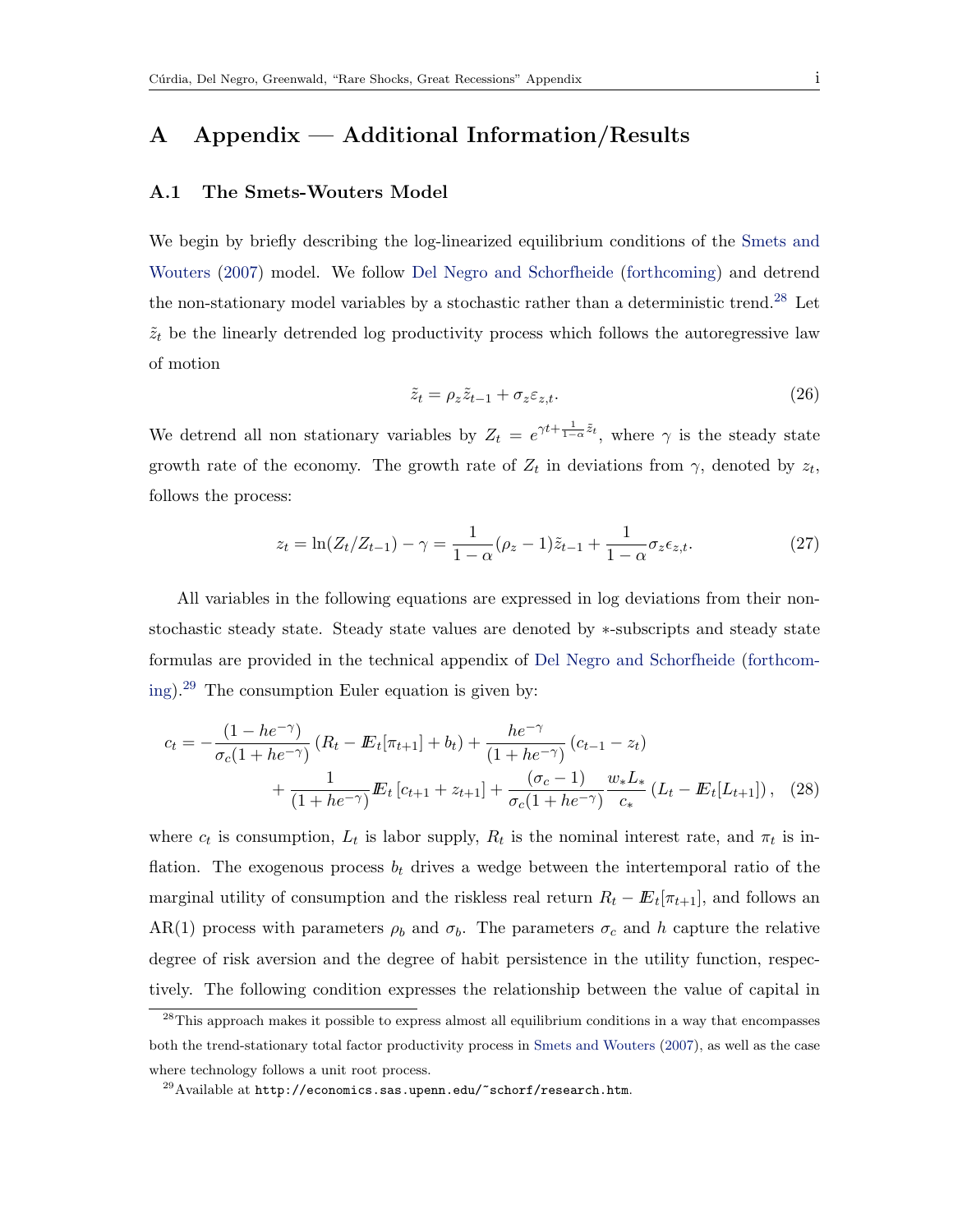## <span id="page-0-3"></span>A Appendix — Additional Information/Results

#### A.1 The Smets-Wouters Model

We begin by briefly describing the log-linearized equilibrium conditions of the [Smets and](#page--1-0) [Wouters](#page--1-0) [\(2007\)](#page--1-0) model. We follow [Del Negro and Schorfheide](#page--1-1) [\(forthcoming\)](#page--1-1) and detrend the non-stationary model variables by a stochastic rather than a deterministic trend.<sup>[28](#page-0-0)</sup> Let  $\tilde{z}_t$  be the linearly detrended log productivity process which follows the autoregressive law of motion

<span id="page-0-2"></span>
$$
\tilde{z}_t = \rho_z \tilde{z}_{t-1} + \sigma_z \varepsilon_{z,t}.
$$
\n(26)

We detrend all non stationary variables by  $Z_t = e^{\gamma t + \frac{1}{1-\alpha}\tilde{z}_t}$ , where  $\gamma$  is the steady state growth rate of the economy. The growth rate of  $Z_t$  in deviations from  $\gamma$ , denoted by  $z_t$ , follows the process:

$$
z_t = \ln(Z_t/Z_{t-1}) - \gamma = \frac{1}{1 - \alpha} (\rho_z - 1)\tilde{z}_{t-1} + \frac{1}{1 - \alpha} \sigma_z \epsilon_{z,t}.
$$
 (27)

All variables in the following equations are expressed in log deviations from their nonstochastic steady state. Steady state values are denoted by ∗-subscripts and steady state formulas are provided in the technical appendix of [Del Negro and Schorfheide](#page--1-1) [\(forthcom](#page--1-1)[ing\)](#page--1-1).<sup>[29](#page-0-1)</sup> The consumption Euler equation is given by:

$$
c_{t} = -\frac{(1 - he^{-\gamma})}{\sigma_{c}(1 + he^{-\gamma})} (R_{t} - \mathbb{E}_{t}[\pi_{t+1}] + b_{t}) + \frac{he^{-\gamma}}{(1 + he^{-\gamma})} (c_{t-1} - z_{t}) + \frac{1}{(1 + he^{-\gamma})} \mathbb{E}_{t} [c_{t+1} + z_{t+1}] + \frac{(\sigma_{c} - 1)}{\sigma_{c}(1 + he^{-\gamma})} \frac{w_{*} L_{*}}{c_{*}} (L_{t} - \mathbb{E}_{t}[L_{t+1}]),
$$
 (28)

where  $c_t$  is consumption,  $L_t$  is labor supply,  $R_t$  is the nominal interest rate, and  $\pi_t$  is inflation. The exogenous process  $b_t$  drives a wedge between the intertemporal ratio of the marginal utility of consumption and the riskless real return  $R_t - \mathbb{E}_t[\pi_{t+1}]$ , and follows an AR(1) process with parameters  $\rho_b$  and  $\sigma_b$ . The parameters  $\sigma_c$  and h capture the relative degree of risk aversion and the degree of habit persistence in the utility function, respectively. The following condition expresses the relationship between the value of capital in

<span id="page-0-0"></span><sup>&</sup>lt;sup>28</sup>This approach makes it possible to express almost all equilibrium conditions in a way that encompasses both the trend-stationary total factor productivity process in [Smets and Wouters](#page--1-0) [\(2007\)](#page--1-0), as well as the case where technology follows a unit root process.

<span id="page-0-1"></span> $^{29}$ Available at http://economics.sas.upenn.edu/~schorf/research.htm.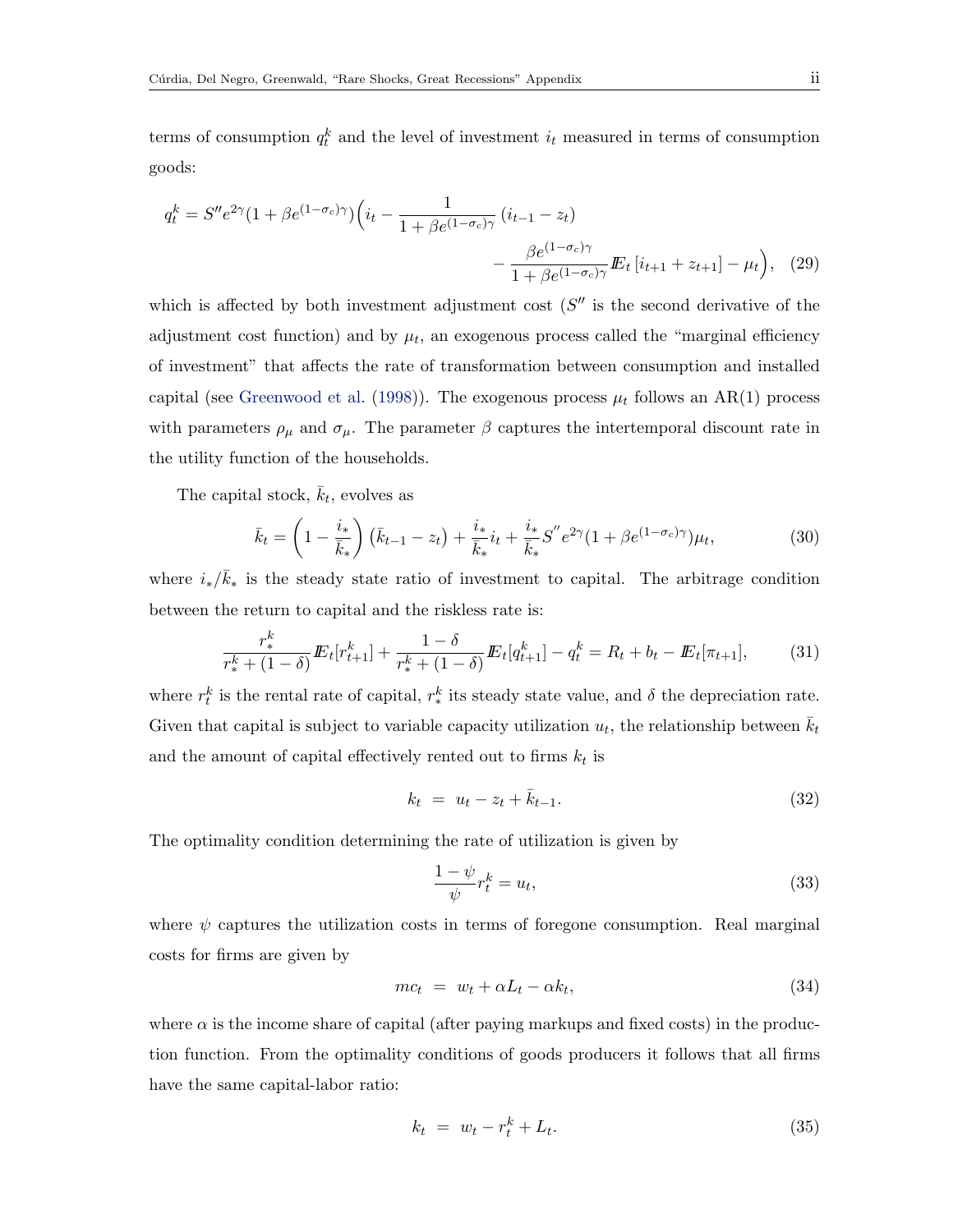terms of consumption  $q_t^k$  and the level of investment  $i_t$  measured in terms of consumption goods:

$$
q_t^k = S''e^{2\gamma}(1 + \beta e^{(1-\sigma_c)\gamma}) \left( i_t - \frac{1}{1 + \beta e^{(1-\sigma_c)\gamma}} \left( i_{t-1} - z_t \right) - \frac{\beta e^{(1-\sigma_c)\gamma}}{1 + \beta e^{(1-\sigma_c)\gamma}} \mathbf{E}_t \left[ i_{t+1} + z_{t+1} \right] - \mu_t \right), \tag{29}
$$

which is affected by both investment adjustment cost  $(S''$  is the second derivative of the adjustment cost function) and by  $\mu_t$ , an exogenous process called the "marginal efficiency of investment" that affects the rate of transformation between consumption and installed capital (see [Greenwood et al.](#page--1-2) [\(1998\)](#page--1-2)). The exogenous process  $\mu_t$  follows an AR(1) process with parameters  $\rho_{\mu}$  and  $\sigma_{\mu}$ . The parameter  $\beta$  captures the intertemporal discount rate in the utility function of the households.

The capital stock,  $\bar{k}_t$ , evolves as

$$
\bar{k}_t = \left(1 - \frac{i_*}{\bar{k}_*}\right) \left(\bar{k}_{t-1} - z_t\right) + \frac{i_*}{\bar{k}_*} i_t + \frac{i_*}{\bar{k}_*} S'' e^{2\gamma} (1 + \beta e^{(1 - \sigma_c)\gamma}) \mu_t,\tag{30}
$$

where  $i_*/\bar{k}_*$  is the steady state ratio of investment to capital. The arbitrage condition between the return to capital and the riskless rate is:

$$
\frac{r_*^k}{r_*^k + (1 - \delta)} E_t[r_{t+1}^k] + \frac{1 - \delta}{r_*^k + (1 - \delta)} E_t[q_{t+1}^k] - q_t^k = R_t + b_t - E_t[\pi_{t+1}],\tag{31}
$$

where  $r_t^k$  is the rental rate of capital,  $r_*^k$  its steady state value, and  $\delta$  the depreciation rate. Given that capital is subject to variable capacity utilization  $u_t$ , the relationship between  $\bar{k}_t$ and the amount of capital effectively rented out to firms  $k_t$  is

$$
k_t = u_t - z_t + \bar{k}_{t-1}.
$$
\n(32)

The optimality condition determining the rate of utilization is given by

$$
\frac{1-\psi}{\psi}r_t^k = u_t,\tag{33}
$$

where  $\psi$  captures the utilization costs in terms of foregone consumption. Real marginal costs for firms are given by

$$
mc_t = w_t + \alpha L_t - \alpha k_t, \qquad (34)
$$

where  $\alpha$  is the income share of capital (after paying markups and fixed costs) in the production function. From the optimality conditions of goods producers it follows that all firms have the same capital-labor ratio:

$$
k_t = w_t - r_t^k + L_t.
$$
 (35)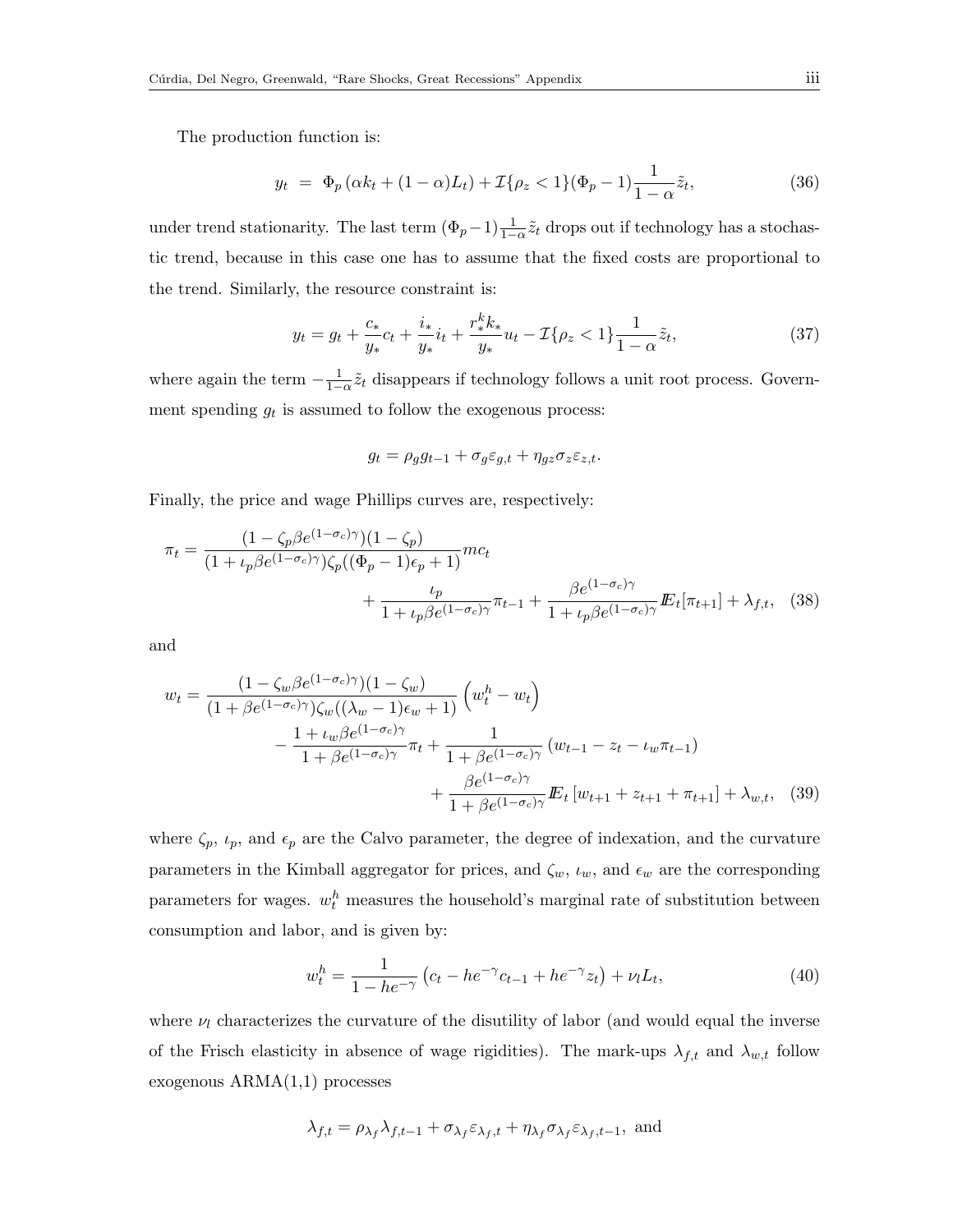The production function is:

$$
y_t = \Phi_p(\alpha k_t + (1 - \alpha)L_t) + \mathcal{I}\{\rho_z < 1\}(\Phi_p - 1)\frac{1}{1 - \alpha}\tilde{z}_t,\tag{36}
$$

under trend stationarity. The last term  $(\Phi_p - 1) \frac{1}{1-\alpha} \tilde{z}_t$  drops out if technology has a stochastic trend, because in this case one has to assume that the fixed costs are proportional to the trend. Similarly, the resource constraint is:

<span id="page-2-0"></span>
$$
y_t = g_t + \frac{c_*}{y_*}c_t + \frac{i_*}{y_*}i_t + \frac{r_*^k k_*}{y_*}u_t - \mathcal{I}\{\rho_z < 1\}\frac{1}{1-\alpha}\tilde{z}_t,\tag{37}
$$

where again the term  $-\frac{1}{1-\alpha}\tilde{z}_t$  disappears if technology follows a unit root process. Government spending  $g_t$  is assumed to follow the exogenous process:

$$
g_t = \rho_g g_{t-1} + \sigma_g \varepsilon_{g,t} + \eta_{gz} \sigma_z \varepsilon_{z,t}.
$$

Finally, the price and wage Phillips curves are, respectively:

$$
\pi_t = \frac{(1 - \zeta_p \beta e^{(1 - \sigma_c)\gamma})(1 - \zeta_p)}{(1 + \iota_p \beta e^{(1 - \sigma_c)\gamma})\zeta_p((\Phi_p - 1)\epsilon_p + 1)} mc_t + \frac{\iota_p}{1 + \iota_p \beta e^{(1 - \sigma_c)\gamma}} \pi_{t-1} + \frac{\beta e^{(1 - \sigma_c)\gamma}}{1 + \iota_p \beta e^{(1 - \sigma_c)\gamma}} E_t[\pi_{t+1}] + \lambda_{f,t}, \quad (38)
$$

and

$$
w_{t} = \frac{(1 - \zeta_{w}\beta e^{(1-\sigma_{c})\gamma})(1-\zeta_{w})}{(1 + \beta e^{(1-\sigma_{c})\gamma})\zeta_{w}((\lambda_{w} - 1)\epsilon_{w} + 1)} \left(w_{t}^{h} - w_{t}\right)
$$

$$
- \frac{1 + \iota_{w}\beta e^{(1-\sigma_{c})\gamma}}{1 + \beta e^{(1-\sigma_{c})\gamma}}\pi_{t} + \frac{1}{1 + \beta e^{(1-\sigma_{c})\gamma}}\left(w_{t-1} - z_{t} - \iota_{w}\pi_{t-1}\right)
$$

$$
+ \frac{\beta e^{(1-\sigma_{c})\gamma}}{1 + \beta e^{(1-\sigma_{c})\gamma}}\mathbf{E}_{t}\left[w_{t+1} + z_{t+1} + \pi_{t+1}\right] + \lambda_{w,t}, \quad (39)
$$

where  $\zeta_p$ ,  $\iota_p$ , and  $\epsilon_p$  are the Calvo parameter, the degree of indexation, and the curvature parameters in the Kimball aggregator for prices, and  $\zeta_w$ ,  $\iota_w$ , and  $\epsilon_w$  are the corresponding parameters for wages.  $w_t^h$  measures the household's marginal rate of substitution between consumption and labor, and is given by:

<span id="page-2-1"></span>
$$
w_t^h = \frac{1}{1 - he^{-\gamma}} \left( c_t - he^{-\gamma} c_{t-1} + he^{-\gamma} z_t \right) + \nu_l L_t,
$$
\n(40)

where  $\nu_l$  characterizes the curvature of the disutility of labor (and would equal the inverse of the Frisch elasticity in absence of wage rigidities). The mark-ups  $\lambda_{f,t}$  and  $\lambda_{w,t}$  follow exogenous ARMA(1,1) processes

$$
\lambda_{f,t} = \rho_{\lambda_f} \lambda_{f,t-1} + \sigma_{\lambda_f} \varepsilon_{\lambda_f,t} + \eta_{\lambda_f} \sigma_{\lambda_f} \varepsilon_{\lambda_f,t-1}, \text{ and}
$$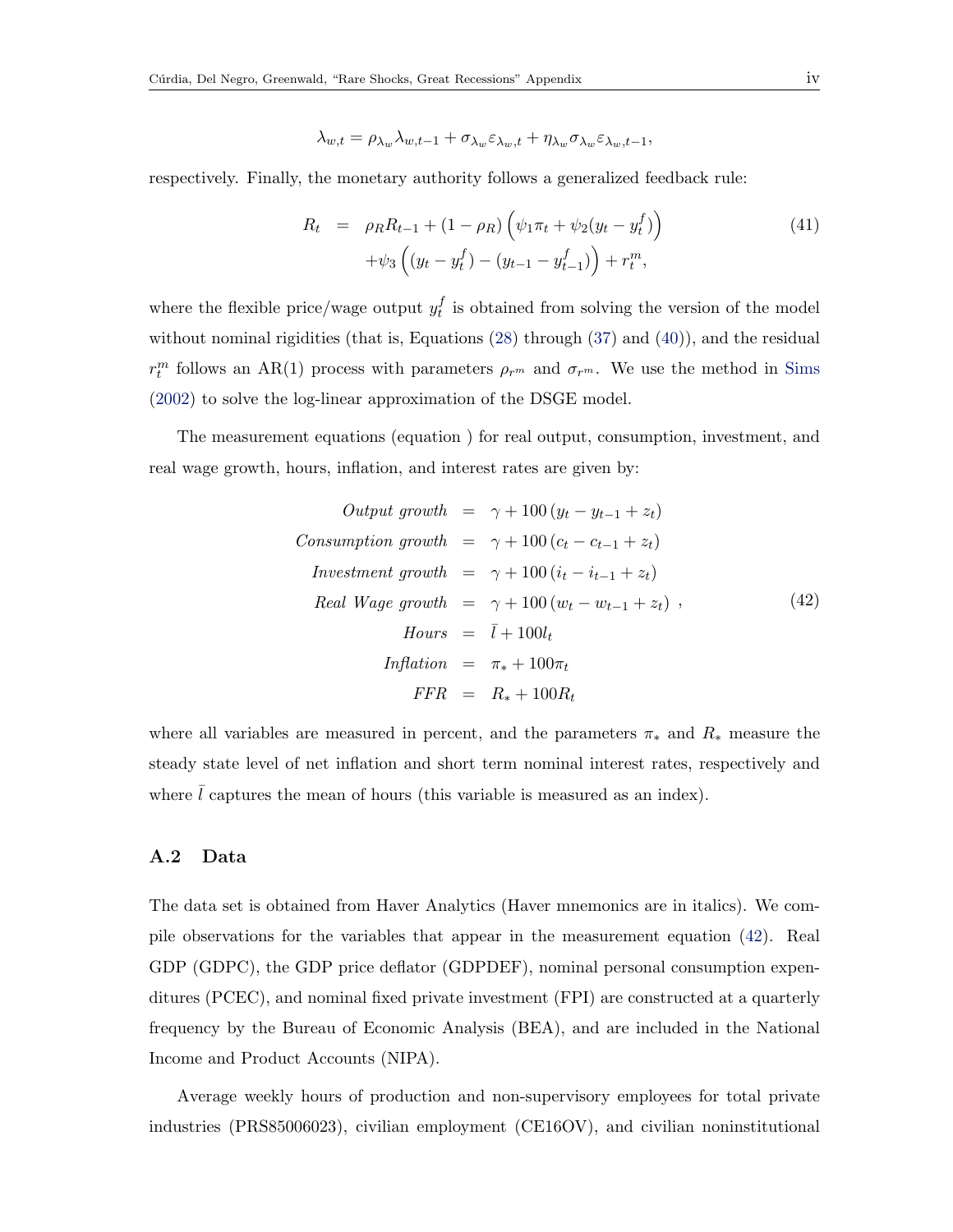$$
\lambda_{w,t} = \rho_{\lambda_w} \lambda_{w,t-1} + \sigma_{\lambda_w} \varepsilon_{\lambda_w,t} + \eta_{\lambda_w} \sigma_{\lambda_w} \varepsilon_{\lambda_w,t-1},
$$

respectively. Finally, the monetary authority follows a generalized feedback rule:

$$
R_t = \rho_R R_{t-1} + (1 - \rho_R) \left( \psi_1 \pi_t + \psi_2 (y_t - y_t^f) \right)
$$
  
+ 
$$
\psi_3 \left( (y_t - y_t^f) - (y_{t-1} - y_{t-1}^f) \right) + r_t^m,
$$
 (41)

where the flexible price/wage output  $y_t^f$  $_t^J$  is obtained from solving the version of the model without nominal rigidities (that is, Equations [\(28\)](#page-0-2) through [\(37\)](#page-2-0) and [\(40\)](#page-2-1)), and the residual  $r_t^m$  follows an AR(1) process with parameters  $\rho_{r^m}$  and  $\sigma_{r^m}$ . We use the method in [Sims](#page--1-3) [\(2002\)](#page--1-3) to solve the log-linear approximation of the DSGE model.

The measurement equations (equation ) for real output, consumption, investment, and real wage growth, hours, inflation, and interest rates are given by:

<span id="page-3-0"></span>

| Output growth      | $= \gamma + 100 (y_t - y_{t-1} + z_t)$ |
|--------------------|----------------------------------------|
| Consumption growth | $= \gamma + 100 (c_t - c_{t-1} + z_t)$ |
| Investment growth  | $= \gamma + 100 (i_t - i_{t-1} + z_t)$ |
| Real Wage growth   | $= \gamma + 100 (w_t - w_{t-1} + z_t)$ |
| Hours              | $= \bar{l} + 100l_t$                   |
| Inflation          | $= \pi_* + 100\pi_t$                   |
| FFR                | $= R_* + 100R_t$                       |

where all variables are measured in percent, and the parameters  $\pi_*$  and  $R_*$  measure the steady state level of net inflation and short term nominal interest rates, respectively and where  $\bar{l}$  captures the mean of hours (this variable is measured as an index).

## A.2 Data

The data set is obtained from Haver Analytics (Haver mnemonics are in italics). We compile observations for the variables that appear in the measurement equation [\(42\)](#page-3-0). Real GDP (GDPC), the GDP price deflator (GDPDEF), nominal personal consumption expenditures (PCEC), and nominal fixed private investment (FPI) are constructed at a quarterly frequency by the Bureau of Economic Analysis (BEA), and are included in the National Income and Product Accounts (NIPA).

Average weekly hours of production and non-supervisory employees for total private industries (PRS85006023), civilian employment (CE16OV), and civilian noninstitutional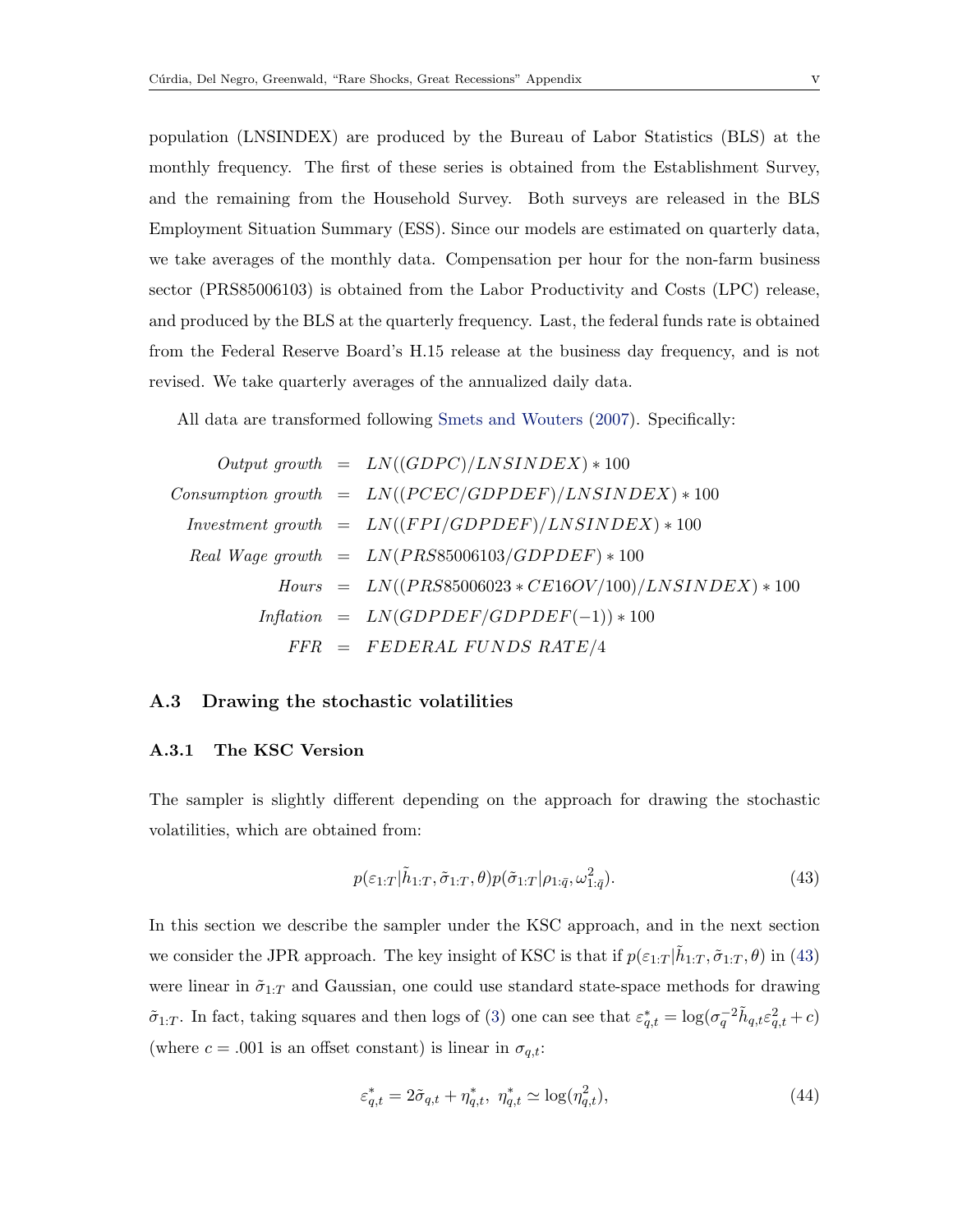population (LNSINDEX) are produced by the Bureau of Labor Statistics (BLS) at the monthly frequency. The first of these series is obtained from the Establishment Survey, and the remaining from the Household Survey. Both surveys are released in the BLS Employment Situation Summary (ESS). Since our models are estimated on quarterly data, we take averages of the monthly data. Compensation per hour for the non-farm business sector (PRS85006103) is obtained from the Labor Productivity and Costs (LPC) release, and produced by the BLS at the quarterly frequency. Last, the federal funds rate is obtained from the Federal Reserve Board's H.15 release at the business day frequency, and is not revised. We take quarterly averages of the annualized daily data.

All data are transformed following [Smets and Wouters](#page--1-0) [\(2007\)](#page--1-0). Specifically:

Output growth = 
$$
LN((GDPC)/LNSINDEX) * 100
$$

\nConsumption growth = 
$$
LN((PCEC/GDPDEF)/LNSINDEX) * 100
$$

\nInvestment growth = 
$$
LN((FPI/GDPDEF)/LNSINDEX) * 100
$$

\nReal Wage growth = 
$$
LN(PRS85006103/GDPDEF) * 100
$$

\nHouse the flow of the following method:

\nHow

\n
$$
Imflation = LN((PRS85006023 * CE16OV/100)/LNSINDEX) * 100
$$
\n
$$
FFR = FEDERAL FUNDS RATE/4
$$

#### A.3 Drawing the stochastic volatilities

#### A.3.1 The KSC Version

The sampler is slightly different depending on the approach for drawing the stochastic volatilities, which are obtained from:

<span id="page-4-0"></span>
$$
p(\varepsilon_{1:T}|\tilde{h}_{1:T}, \tilde{\sigma}_{1:T}, \theta)p(\tilde{\sigma}_{1:T}|\rho_{1:\bar{q}}, \omega_{1:\bar{q}}^2). \tag{43}
$$

In this section we describe the sampler under the KSC approach, and in the next section we consider the JPR approach. The key insight of KSC is that if  $p(\varepsilon_{1:T} | \tilde{h}_{1:T}, \tilde{\sigma}_{1:T}, \theta)$  in [\(43\)](#page-4-0) were linear in  $\tilde{\sigma}_{1:T}$  and Gaussian, one could use standard state-space methods for drawing  $\tilde{\sigma}_{1:T}$ . In fact, taking squares and then logs of [\(3\)](#page--1-4) one can see that  $\varepsilon_{q,t}^* = \log(\sigma_q^{-2} \tilde{h}_{q,t} \varepsilon_{q,t}^2 + c)$ (where  $c = .001$  is an offset constant) is linear in  $\sigma_{q,t}$ :

$$
\varepsilon_{q,t}^* = 2\tilde{\sigma}_{q,t} + \eta_{q,t}^*, \ \eta_{q,t}^* \simeq \log(\eta_{q,t}^2),\tag{44}
$$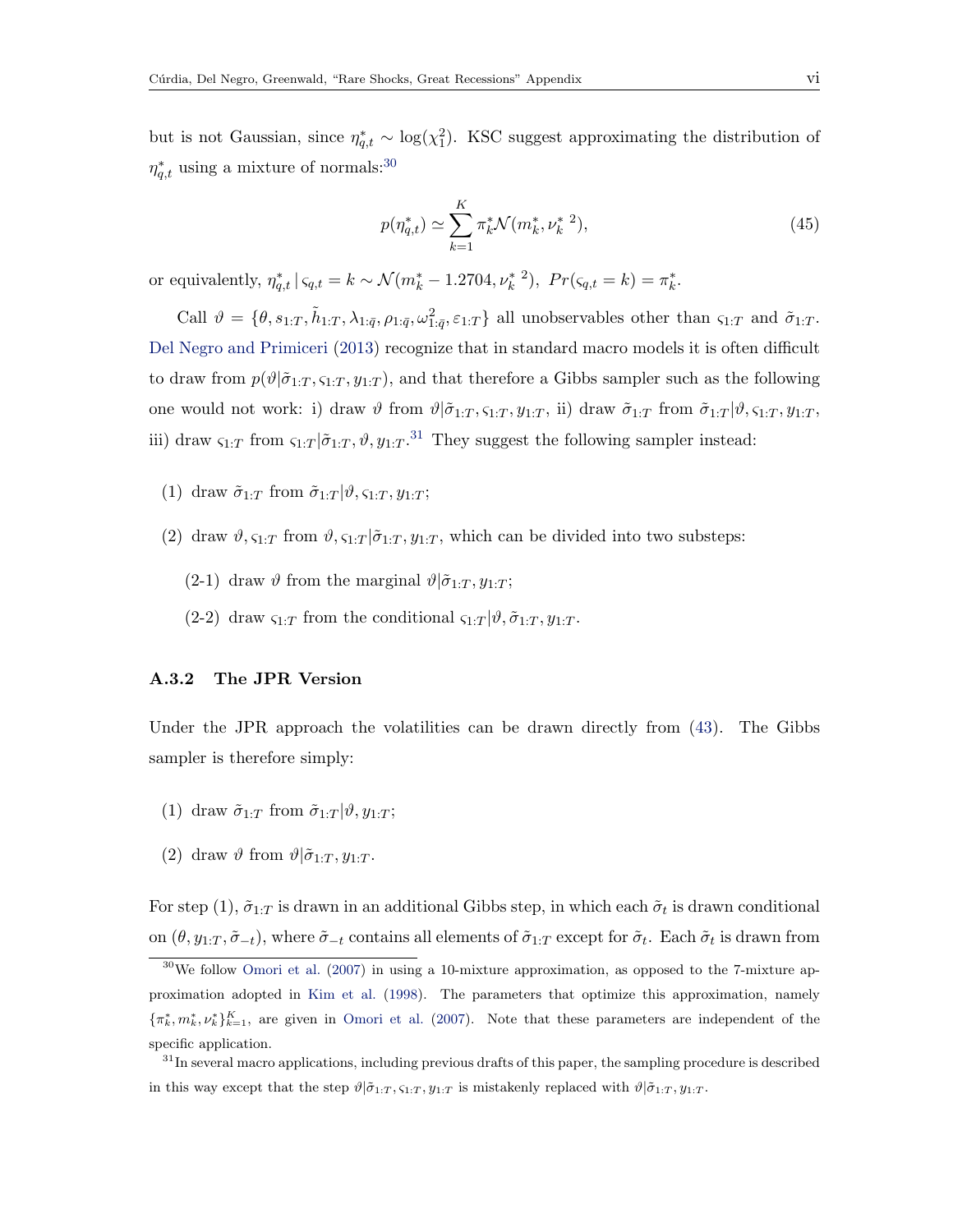but is not Gaussian, since  $\eta_{q,t}^* \sim \log(\chi_1^2)$ . KSC suggest approximating the distribution of  $\eta_{q,t}^*$  using a mixture of normals:<sup>[30](#page-5-0)</sup>

$$
p(\eta_{q,t}^*) \simeq \sum_{k=1}^K \pi_k^* \mathcal{N}(m_k^*, \nu_k^{*2}), \tag{45}
$$

or equivalently,  $\eta_{q,t}^* \mid \zeta_{q,t} = k \sim \mathcal{N}(m_k^* - 1.2704, \nu_k^{*2}), \ Pr(\zeta_{q,t} = k) = \pi_k^*$ .

Call  $\vartheta = \{\theta, s_{1:T}, \tilde{h}_{1:T}, \lambda_{1:\bar{q}}, \rho_{1:\bar{q}}, \omega_{1:\bar{q}}^2, \varepsilon_{1:T}\}\$ all unobservables other than  $\varsigma_{1:T}$  and  $\tilde{\sigma}_{1:T}$ . [Del Negro and Primiceri](#page--1-5) [\(2013\)](#page--1-5) recognize that in standard macro models it is often difficult to draw from  $p(\vartheta|\tilde{\sigma}_{1:T}, s_{1:T}, y_{1:T})$ , and that therefore a Gibbs sampler such as the following one would not work: i) draw  $\vartheta$  from  $\vartheta | \tilde{\sigma}_{1:T}, \varsigma_{1:T}, y_{1:T},$  ii) draw  $\tilde{\sigma}_{1:T}$  from  $\tilde{\sigma}_{1:T} | \vartheta, \varsigma_{1:T}, y_{1:T},$ iii) draw  $\varsigma_{1:T}$  from  $\varsigma_{1:T}|\tilde{\sigma}_{1:T},\vartheta,y_{1:T}.^{31}$  $\varsigma_{1:T}|\tilde{\sigma}_{1:T},\vartheta,y_{1:T}.^{31}$  $\varsigma_{1:T}|\tilde{\sigma}_{1:T},\vartheta,y_{1:T}.^{31}$  They suggest the following sampler instead:

- (1) draw  $\tilde{\sigma}_{1:T}$  from  $\tilde{\sigma}_{1:T}|\vartheta, \varsigma_{1:T}, y_{1:T};$
- (2) draw  $\vartheta$ ,  $\varsigma_{1:T}$  from  $\vartheta$ ,  $\varsigma_{1:T}$  | $\tilde{\sigma}_{1:T}$ ,  $y_{1:T}$ , which can be divided into two substeps:
	- (2-1) draw  $\vartheta$  from the marginal  $\vartheta$ | $\tilde{\sigma}_{1:T}$ ,  $y_{1:T}$ ;
	- (2-2) draw  $\zeta_{1:T}$  from the conditional  $\zeta_{1:T}|\vartheta,\tilde{\sigma}_{1:T},y_{1:T}$ .

#### A.3.2 The JPR Version

Under the JPR approach the volatilities can be drawn directly from [\(43\)](#page-4-0). The Gibbs sampler is therefore simply:

- (1) draw  $\tilde{\sigma}_{1:T}$  from  $\tilde{\sigma}_{1:T}|\vartheta, y_{1:T};$
- (2) draw  $\vartheta$  from  $\vartheta$ | $\tilde{\sigma}_{1:T}, y_{1:T}$ .

For step  $(1)$ ,  $\tilde{\sigma}_{1:T}$  is drawn in an additional Gibbs step, in which each  $\tilde{\sigma}_t$  is drawn conditional on  $(\theta, y_{1:T}, \tilde{\sigma}_{-t})$ , where  $\tilde{\sigma}_{-t}$  contains all elements of  $\tilde{\sigma}_{1:T}$  except for  $\tilde{\sigma}_t$ . Each  $\tilde{\sigma}_t$  is drawn from

<span id="page-5-0"></span> $30\,\text{We}$  follow [Omori et al.](#page--1-6) [\(2007\)](#page--1-6) in using a 10-mixture approximation, as opposed to the 7-mixture approximation adopted in [Kim et al.](#page--1-7) [\(1998\)](#page--1-7). The parameters that optimize this approximation, namely  $\{\pi_k^*, m_k^*, \nu_k^*\}_{k=1}^K$ , are given in [Omori et al.](#page--1-6) [\(2007\)](#page--1-6). Note that these parameters are independent of the specific application.

<span id="page-5-1"></span><sup>&</sup>lt;sup>31</sup>In several macro applications, including previous drafts of this paper, the sampling procedure is described in this way except that the step  $\vartheta | \tilde{\sigma}_{1:T}$ ,  $\zeta_{1:T}$ ,  $y_{1:T}$  is mistakenly replaced with  $\vartheta | \tilde{\sigma}_{1:T}$ ,  $y_{1:T}$ .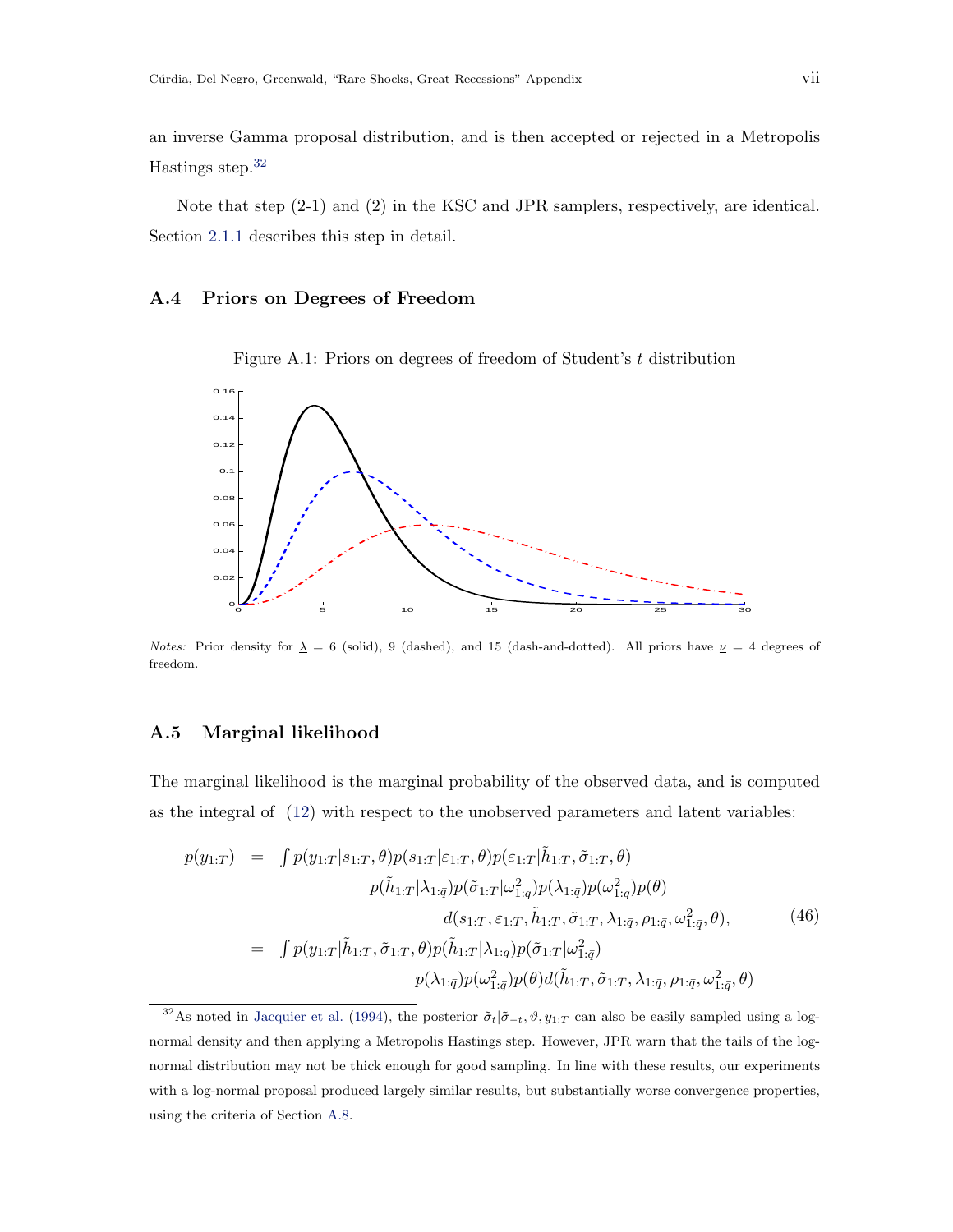an inverse Gamma proposal distribution, and is then accepted or rejected in a Metropolis Hastings step.[32](#page-6-0)

Note that step  $(2-1)$  and  $(2)$  in the KSC and JPR samplers, respectively, are identical. Section [2.1.1](#page--1-8) describes this step in detail.

## A.4 Priors on Degrees of Freedom

Figure A.1: Priors on degrees of freedom of Student's t distribution



Notes: Prior density for  $\lambda = 6$  (solid), 9 (dashed), and 15 (dash-and-dotted). All priors have  $\nu = 4$  degrees of freedom.

#### A.5 Marginal likelihood

The marginal likelihood is the marginal probability of the observed data, and is computed as the integral of [\(12\)](#page--1-9) with respect to the unobserved parameters and latent variables:

$$
p(y_{1:T}) = \int p(y_{1:T}|s_{1:T}, \theta) p(s_{1:T}|\varepsilon_{1:T}, \theta) p(\varepsilon_{1:T}|\tilde{h}_{1:T}, \tilde{\sigma}_{1:T}, \theta) p(\tilde{h}_{1:T}|\lambda_{1:\bar{q}}) p(\tilde{\sigma}_{1:T}|\omega_{1:\bar{q}}^2) p(\lambda_{1:\bar{q}}) p(\omega_{1:\bar{q}}^2) p(\theta) d(s_{1:T}, \varepsilon_{1:T}, \tilde{h}_{1:T}, \tilde{\sigma}_{1:T}, \lambda_{1:\bar{q}}, \rho_{1:\bar{q}}, \omega_{1:\bar{q}}^2, \theta),
$$
 (46)  

$$
= \int p(y_{1:T}|\tilde{h}_{1:T}, \tilde{\sigma}_{1:T}, \theta) p(\tilde{h}_{1:T}|\lambda_{1:\bar{q}}) p(\tilde{\sigma}_{1:T}|\omega_{1:\bar{q}}^2) p(\lambda_{1:\bar{q}}) p(\omega_{1:\bar{q}}^2) p(\theta) d(\tilde{h}_{1:T}, \tilde{\sigma}_{1:T}, \lambda_{1:\bar{q}}, \rho_{1:\bar{q}}, \omega_{1:\bar{q}}^2, \theta)
$$

<span id="page-6-0"></span><sup>&</sup>lt;sup>32</sup>As noted in [Jacquier et al.](#page--1-10) [\(1994\)](#page--1-10), the posterior  $\tilde{\sigma}_t | \tilde{\sigma}_{-t}, \vartheta, y_{1:T}$  can also be easily sampled using a lognormal density and then applying a Metropolis Hastings step. However, JPR warn that the tails of the lognormal distribution may not be thick enough for good sampling. In line with these results, our experiments with a log-normal proposal produced largely similar results, but substantially worse convergence properties, using the criteria of Section [A.8.](#page-9-0)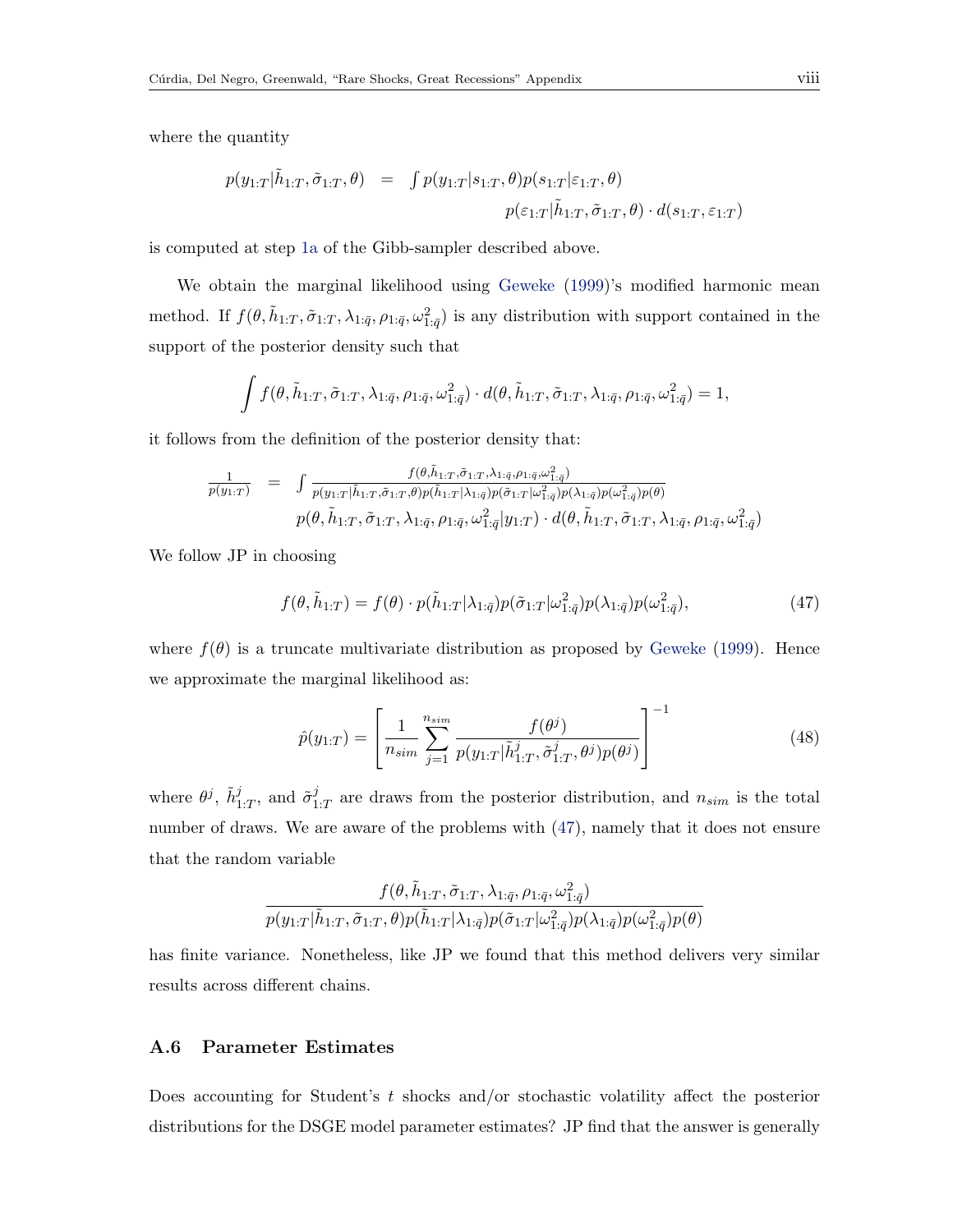where the quantity

$$
p(y_{1:T}|\tilde{h}_{1:T}, \tilde{\sigma}_{1:T}, \theta) = \int p(y_{1:T}|s_{1:T}, \theta) p(s_{1:T}|\varepsilon_{1:T}, \theta)
$$

$$
p(\varepsilon_{1:T}|\tilde{h}_{1:T}, \tilde{\sigma}_{1:T}, \theta) \cdot d(s_{1:T}, \varepsilon_{1:T})
$$

is computed at step [1a](#page--1-11) of the Gibb-sampler described above.

We obtain the marginal likelihood using [Geweke](#page--1-0) [\(1999\)](#page--1-0)'s modified harmonic mean method. If  $f(\theta, \tilde{h}_{1:T}, \tilde{\sigma}_{1:T}, \lambda_{1:\bar{q}}, \rho_{1:\bar{q}}, \omega_{1:\bar{q}}^2)$  is any distribution with support contained in the support of the posterior density such that

$$
\int f(\theta, \tilde{h}_{1:T}, \tilde{\sigma}_{1:T}, \lambda_{1:\bar{q}}, \rho_{1:\bar{q}}, \omega_{1:\bar{q}}^2) \cdot d(\theta, \tilde{h}_{1:T}, \tilde{\sigma}_{1:T}, \lambda_{1:\bar{q}}, \rho_{1:\bar{q}}, \omega_{1:\bar{q}}^2) = 1,
$$

it follows from the definition of the posterior density that:

$$
\frac{1}{p(y_{1:T})} = \int \frac{f(\theta, \tilde{h}_{1:T}, \tilde{\sigma}_{1:T}, \lambda_{1:\bar{q}}, \rho_{1:\bar{q}}, \omega_{1:\bar{q}}^2)}{p(y_{1:T}|\tilde{h}_{1:T}, \tilde{\sigma}_{1:T}, \theta)p(\tilde{h}_{1:T}|\lambda_{1:\bar{q}})p(\tilde{\sigma}_{1:T}|\omega_{1:\bar{q}}^2)p(\lambda_{1:\bar{q}})p(\omega_{1:\bar{q}}^2)p(\theta)}\n\qquad \qquad p(\theta, \tilde{h}_{1:T}, \tilde{\sigma}_{1:T}, \lambda_{1:\bar{q}}, \rho_{1:\bar{q}}, \omega_{1:\bar{q}}^2|y_{1:T}) \cdot d(\theta, \tilde{h}_{1:T}, \tilde{\sigma}_{1:T}, \lambda_{1:\bar{q}}, \rho_{1:\bar{q}}, \omega_{1:\bar{q}}^2)
$$

We follow JP in choosing

<span id="page-7-0"></span>
$$
f(\theta, \tilde{h}_{1:T}) = f(\theta) \cdot p(\tilde{h}_{1:T}|\lambda_{1:\bar{q}}) p(\tilde{\sigma}_{1:T}|\omega_{1:\bar{q}}^2) p(\lambda_{1:\bar{q}}) p(\omega_{1:\bar{q}}^2), \qquad (47)
$$

where  $f(\theta)$  is a truncate multivariate distribution as proposed by [Geweke](#page--1-0) [\(1999\)](#page--1-0). Hence we approximate the marginal likelihood as:

$$
\hat{p}(y_{1:T}) = \left[ \frac{1}{n_{sim}} \sum_{j=1}^{n_{sim}} \frac{f(\theta^j)}{p(y_{1:T} | \tilde{h}_{1:T}^j, \tilde{\sigma}_{1:T}^j, \theta^j) p(\theta^j)} \right]^{-1}
$$
(48)

where  $\theta^j$ ,  $\tilde{h}^j_{1:T}$ , and  $\tilde{\sigma}^j_1$  $\frac{1}{1}$  are draws from the posterior distribution, and  $n_{sim}$  is the total number of draws. We are aware of the problems with [\(47\)](#page-7-0), namely that it does not ensure that the random variable

$$
\frac{f(\theta,\tilde{h}_{1:T},\tilde{\sigma}_{1:T},\lambda_{1:\bar{q}},\rho_{1:\bar{q}},\omega_{1:\bar{q}}^2)}{p(y_{1:T}|\tilde{h}_{1:T},\tilde{\sigma}_{1:T},\theta)p(\tilde{h}_{1:T}|\lambda_{1:\bar{q}})p(\tilde{\sigma}_{1:T}|\omega_{1:\bar{q}}^2)p(\lambda_{1:\bar{q}})p(\omega_{1:\bar{q}}^2)p(\theta)}
$$

has finite variance. Nonetheless, like JP we found that this method delivers very similar results across different chains.

#### A.6 Parameter Estimates

Does accounting for Student's  $t$  shocks and/or stochastic volatility affect the posterior distributions for the DSGE model parameter estimates? JP find that the answer is generally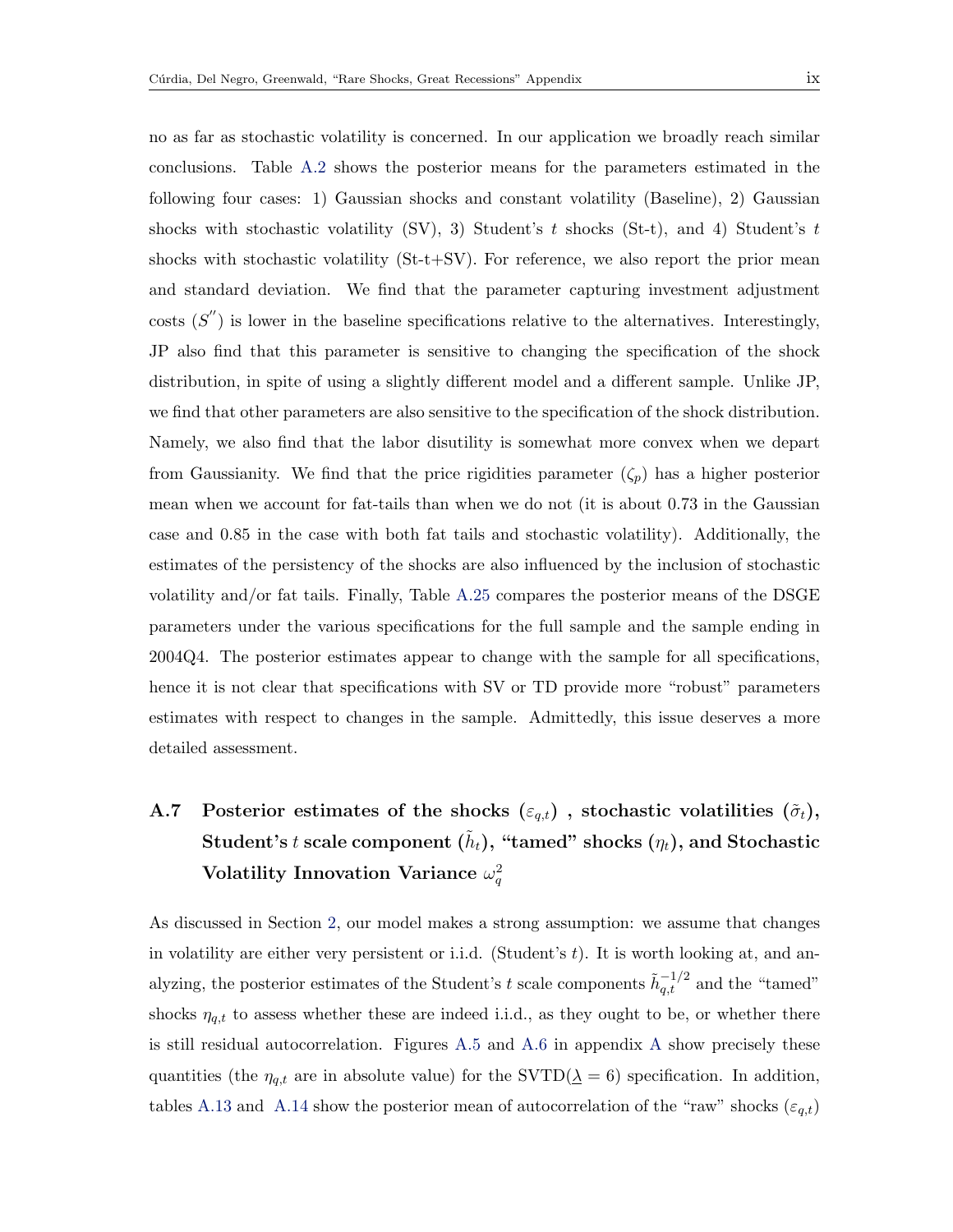no as far as stochastic volatility is concerned. In our application we broadly reach similar conclusions. Table [A.2](#page-12-0) shows the posterior means for the parameters estimated in the following four cases: 1) Gaussian shocks and constant volatility (Baseline), 2) Gaussian shocks with stochastic volatility (SV), 3) Student's t shocks (St-t), and 4) Student's t shocks with stochastic volatility (St-t+SV). For reference, we also report the prior mean and standard deviation. We find that the parameter capturing investment adjustment costs  $(S'')$  is lower in the baseline specifications relative to the alternatives. Interestingly, JP also find that this parameter is sensitive to changing the specification of the shock distribution, in spite of using a slightly different model and a different sample. Unlike JP, we find that other parameters are also sensitive to the specification of the shock distribution. Namely, we also find that the labor disutility is somewhat more convex when we depart from Gaussianity. We find that the price rigidities parameter  $(\zeta_p)$  has a higher posterior mean when we account for fat-tails than when we do not (it is about 0.73 in the Gaussian case and 0.85 in the case with both fat tails and stochastic volatility). Additionally, the estimates of the persistency of the shocks are also influenced by the inclusion of stochastic volatility and/or fat tails. Finally, Table [A.25](#page-41-0) compares the posterior means of the DSGE parameters under the various specifications for the full sample and the sample ending in 2004Q4. The posterior estimates appear to change with the sample for all specifications, hence it is not clear that specifications with SV or TD provide more "robust" parameters estimates with respect to changes in the sample. Admittedly, this issue deserves a more detailed assessment.

# A.7 Posterior estimates of the shocks  $(\varepsilon_{q,t})$ , stochastic volatilities  $(\tilde{\sigma}_t)$ , Student's  $t$  scale component  $(\tilde{h}_t),$  "tamed" shocks  $(\eta_t),$  and Stochastic Volatility Innovation Variance  $\omega_q^2$

As discussed in Section [2,](#page--1-12) our model makes a strong assumption: we assume that changes in volatility are either very persistent or i.i.d. (Student's  $t$ ). It is worth looking at, and analyzing, the posterior estimates of the Student's t scale components  $\tilde{h}_{q,t}^{-1/2}$  and the "tamed" shocks  $\eta_{q,t}$  to assess whether these are indeed i.i.d., as they ought to be, or whether there is still residual autocorrelation. Figures [A.5](#page-21-0) and [A.6](#page-23-0) in appendix [A](#page-0-3) show precisely these quantities (the  $\eta_{q,t}$  are in absolute value) for the SVTD( $\underline{\lambda} = 6$ ) specification. In addition, tables [A.13](#page-24-0) and [A.14](#page-24-1) show the posterior mean of autocorrelation of the "raw" shocks  $(\varepsilon_{q,t})$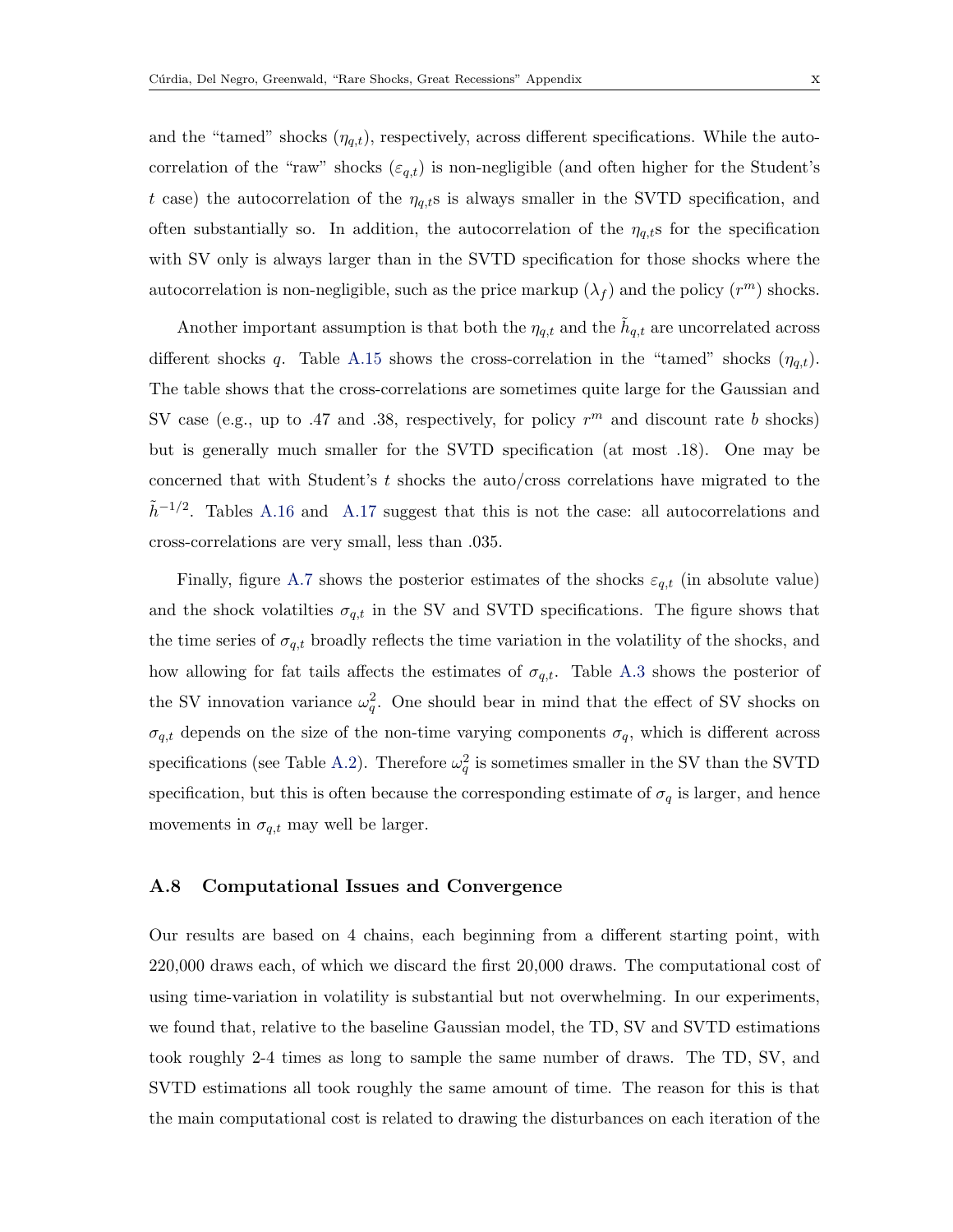and the "tamed" shocks  $(\eta_{q,t})$ , respectively, across different specifications. While the autocorrelation of the "raw" shocks  $(\varepsilon_{q,t})$  is non-negligible (and often higher for the Student's t case) the autocorrelation of the  $\eta_{q,t}$ s is always smaller in the SVTD specification, and often substantially so. In addition, the autocorrelation of the  $\eta_{q,t}$  for the specification with SV only is always larger than in the SVTD specification for those shocks where the autocorrelation is non-negligible, such as the price markup  $(\lambda_f)$  and the policy  $(r^m)$  shocks.

Another important assumption is that both the  $\eta_{q,t}$  and the  $\tilde{h}_{q,t}$  are uncorrelated across different shocks q. Table [A.15](#page-25-0) shows the cross-correlation in the "tamed" shocks  $(\eta_{q,t})$ . The table shows that the cross-correlations are sometimes quite large for the Gaussian and SV case (e.g., up to .47 and .38, respectively, for policy  $r^m$  and discount rate b shocks) but is generally much smaller for the SVTD specification (at most .18). One may be concerned that with Student's t shocks the auto/cross correlations have migrated to the  $\tilde{h}^{-1/2}$ . Tables [A.16](#page-26-0) and [A.17](#page-26-1) suggest that this is not the case: all autocorrelations and cross-correlations are very small, less than .035.

Finally, figure [A.7](#page-27-0) shows the posterior estimates of the shocks  $\varepsilon_{q,t}$  (in absolute value) and the shock volatilities  $\sigma_{q,t}$  in the SV and SVTD specifications. The figure shows that the time series of  $\sigma_{q,t}$  broadly reflects the time variation in the volatility of the shocks, and how allowing for fat tails affects the estimates of  $\sigma_{q,t}$ . Table [A.3](#page-13-0) shows the posterior of the SV innovation variance  $\omega_q^2$ . One should bear in mind that the effect of SV shocks on  $\sigma_{q,t}$  depends on the size of the non-time varying components  $\sigma_q$ , which is different across specifications (see Table [A.2\)](#page-12-0). Therefore  $\omega_q^2$  is sometimes smaller in the SV than the SVTD specification, but this is often because the corresponding estimate of  $\sigma_q$  is larger, and hence movements in  $\sigma_{q,t}$  may well be larger.

#### <span id="page-9-0"></span>A.8 Computational Issues and Convergence

Our results are based on 4 chains, each beginning from a different starting point, with 220,000 draws each, of which we discard the first 20,000 draws. The computational cost of using time-variation in volatility is substantial but not overwhelming. In our experiments, we found that, relative to the baseline Gaussian model, the TD, SV and SVTD estimations took roughly 2-4 times as long to sample the same number of draws. The TD, SV, and SVTD estimations all took roughly the same amount of time. The reason for this is that the main computational cost is related to drawing the disturbances on each iteration of the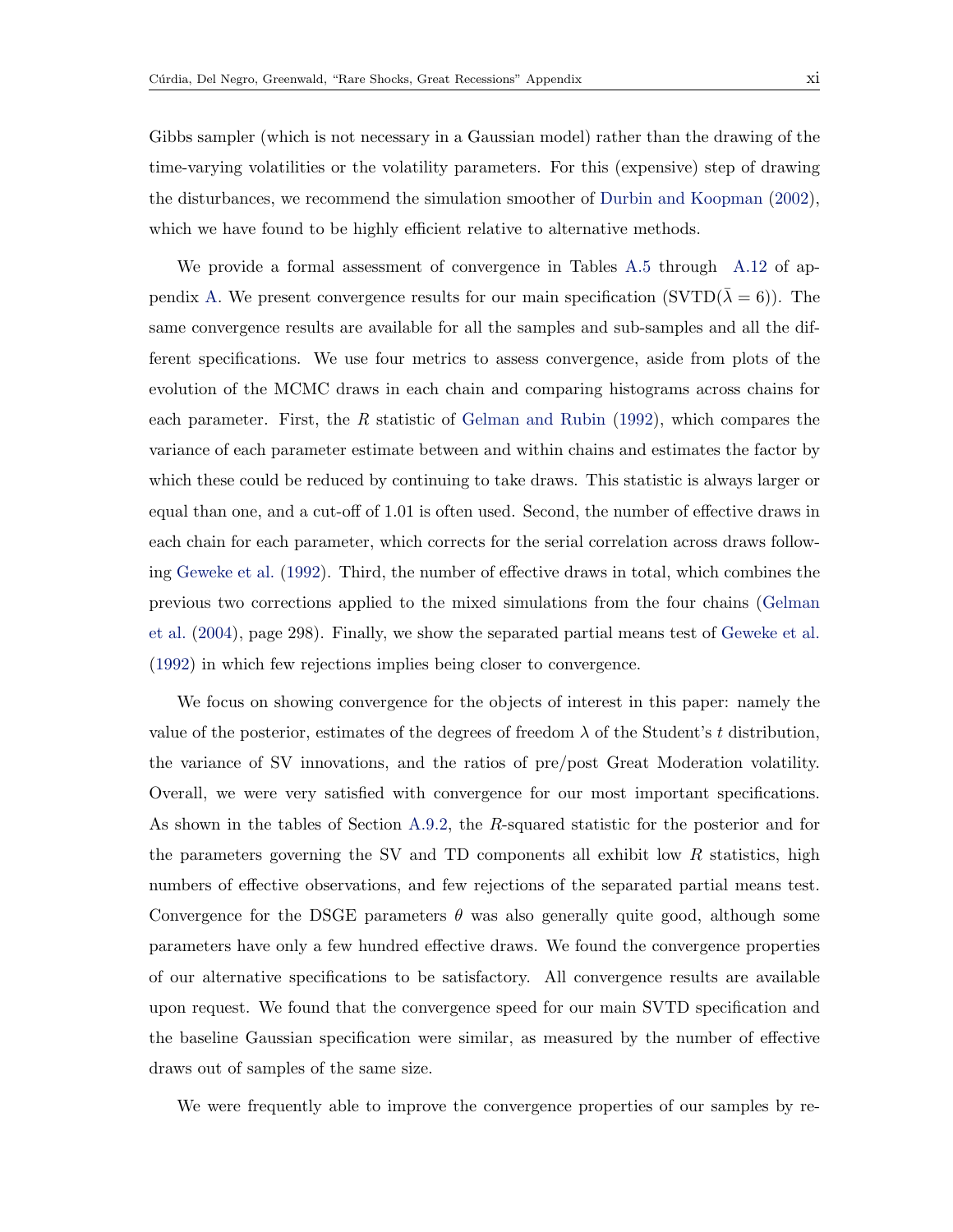Gibbs sampler (which is not necessary in a Gaussian model) rather than the drawing of the time-varying volatilities or the volatility parameters. For this (expensive) step of drawing the disturbances, we recommend the simulation smoother of [Durbin and Koopman](#page--1-13) [\(2002\)](#page--1-13), which we have found to be highly efficient relative to alternative methods.

We provide a formal assessment of convergence in Tables [A.5](#page-15-0) through [A.12](#page-18-0) of ap-pendix [A.](#page-0-3) We present convergence results for our main specification (SVTD( $\bar{\lambda} = 6$ )). The same convergence results are available for all the samples and sub-samples and all the different specifications. We use four metrics to assess convergence, aside from plots of the evolution of the MCMC draws in each chain and comparing histograms across chains for each parameter. First, the R statistic of [Gelman and Rubin](#page--1-14)  $(1992)$ , which compares the variance of each parameter estimate between and within chains and estimates the factor by which these could be reduced by continuing to take draws. This statistic is always larger or equal than one, and a cut-off of 1.01 is often used. Second, the number of effective draws in each chain for each parameter, which corrects for the serial correlation across draws following [Geweke et al.](#page--1-15) [\(1992\)](#page--1-15). Third, the number of effective draws in total, which combines the previous two corrections applied to the mixed simulations from the four chains [\(Gelman](#page--1-16) [et al.](#page--1-16) [\(2004\)](#page--1-16), page 298). Finally, we show the separated partial means test of [Geweke et al.](#page--1-15) [\(1992\)](#page--1-15) in which few rejections implies being closer to convergence.

We focus on showing convergence for the objects of interest in this paper: namely the value of the posterior, estimates of the degrees of freedom  $\lambda$  of the Student's t distribution, the variance of SV innovations, and the ratios of pre/post Great Moderation volatility. Overall, we were very satisfied with convergence for our most important specifications. As shown in the tables of Section [A.9.2,](#page-15-1) the R-squared statistic for the posterior and for the parameters governing the SV and TD components all exhibit low  $R$  statistics, high numbers of effective observations, and few rejections of the separated partial means test. Convergence for the DSGE parameters  $\theta$  was also generally quite good, although some parameters have only a few hundred effective draws. We found the convergence properties of our alternative specifications to be satisfactory. All convergence results are available upon request. We found that the convergence speed for our main SVTD specification and the baseline Gaussian specification were similar, as measured by the number of effective draws out of samples of the same size.

We were frequently able to improve the convergence properties of our samples by re-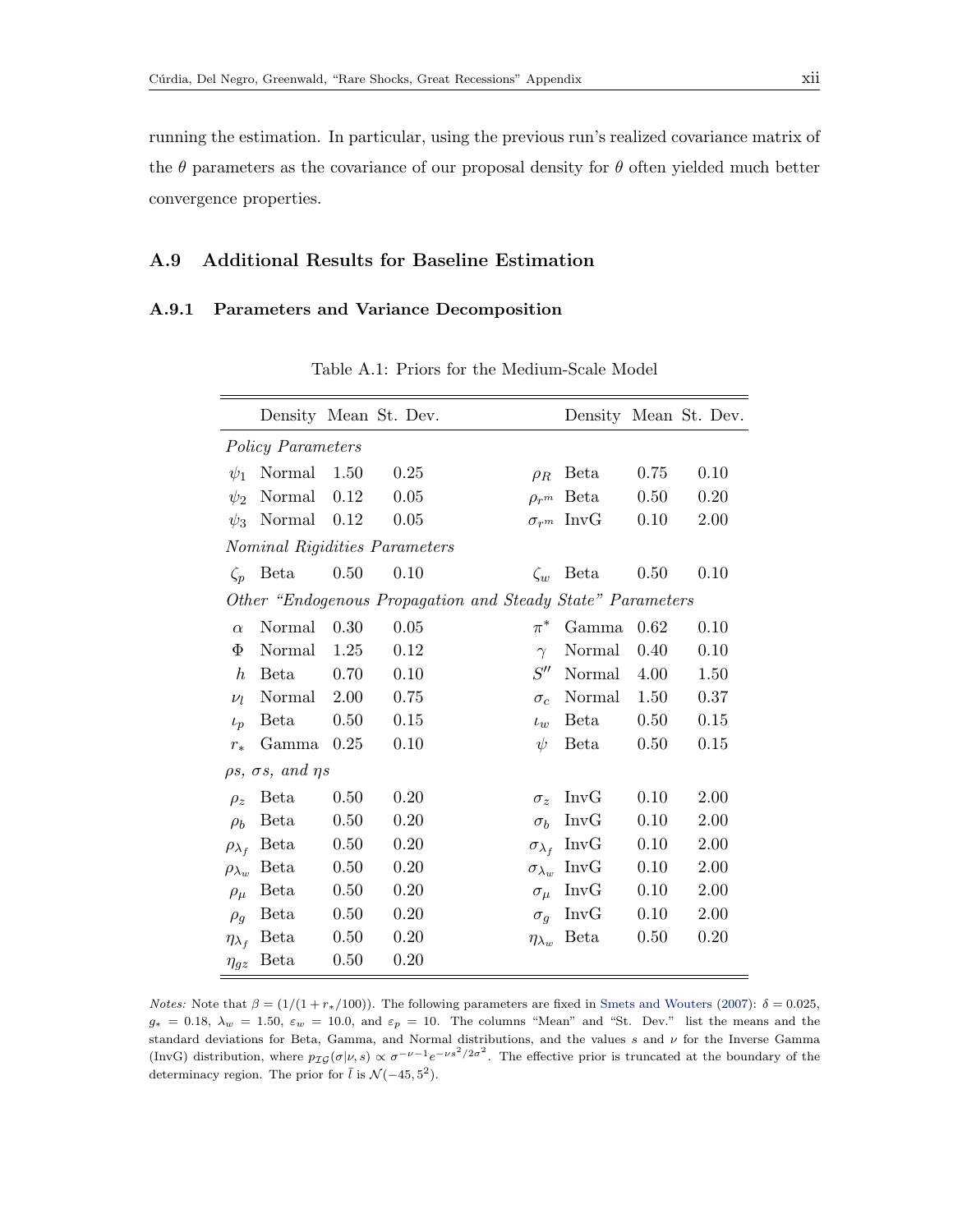running the estimation. In particular, using the previous run's realized covariance matrix of the  $\theta$  parameters as the covariance of our proposal density for  $\theta$  often yielded much better convergence properties.

## A.9 Additional Results for Baseline Estimation

## A.9.1 Parameters and Variance Decomposition

|                      |                                      |      | Density Mean St. Dev.         |                                                            |                     |      | Density Mean St. Dev. |
|----------------------|--------------------------------------|------|-------------------------------|------------------------------------------------------------|---------------------|------|-----------------------|
|                      | <b>Policy Parameters</b>             |      |                               |                                                            |                     |      |                       |
| $\psi_1$             | Normal                               | 1.50 | 0.25                          | $\rho_R$                                                   | Beta                | 0.75 | 0.10                  |
| $\psi_2$             | Normal                               | 0.12 | 0.05                          | $\rho_{rm}$                                                | <b>B</b> eta        | 0.50 | 0.20                  |
| $\psi_3$             | Normal                               | 0.12 | 0.05                          |                                                            | $\sigma_{r^m}$ InvG | 0.10 | 2.00                  |
|                      |                                      |      | Nominal Rigidities Parameters |                                                            |                     |      |                       |
| $\zeta_p$            | <b>Beta</b>                          | 0.50 | 0.10                          | $\zeta_w$                                                  | Beta                | 0.50 | 0.10                  |
|                      |                                      |      |                               | Other "Endogenous Propagation and Steady State" Parameters |                     |      |                       |
| $\alpha$             | Normal                               | 0.30 | 0.05                          | $\pi^*$                                                    | Gamma               | 0.62 | 0.10                  |
| Φ                    | Normal                               | 1.25 | 0.12                          | $\gamma$                                                   | Normal              | 0.40 | 0.10                  |
| $\hbar$              | Beta                                 | 0.70 | 0.10                          | S''                                                        | Normal              | 4.00 | 1.50                  |
| $\nu_l$              | Normal                               | 2.00 | 0.75                          | $\sigma_c$                                                 | Normal              | 1.50 | 0.37                  |
| $\iota_p$            | Beta                                 | 0.50 | 0.15                          | $\iota_w$                                                  | <b>Beta</b>         | 0.50 | 0.15                  |
| $r_{*}$              | Gamma                                | 0.25 | 0.10                          | $\psi$                                                     | <b>Beta</b>         | 0.50 | 0.15                  |
|                      | $\rho s$ , $\sigma s$ , and $\eta s$ |      |                               |                                                            |                     |      |                       |
| $\rho_z$             | Beta                                 | 0.50 | 0.20                          | $\sigma_z$                                                 | InvG                | 0.10 | 2.00                  |
| $\rho_b$             | Beta                                 | 0.50 | 0.20                          | $\sigma_b$                                                 | InvG                | 0.10 | 2.00                  |
| $\rho_{\lambda_f}$   | Beta                                 | 0.50 | 0.20                          | $\sigma_{\lambda_f}$                                       | InvG                | 0.10 | 2.00                  |
| $\rho_{\lambda_{w}}$ | Beta                                 | 0.50 | 0.20                          | $\sigma_{\lambda_w}$                                       | InvG                | 0.10 | 2.00                  |
| $\rho_\mu$           | Beta                                 | 0.50 | 0.20                          | $\sigma_{\mu}$                                             | InvG                | 0.10 | 2.00                  |
| $\rho_g$             | Beta                                 | 0.50 | 0.20                          | $\sigma_q$                                                 | InvG                | 0.10 | 2.00                  |
| $\eta_{\lambda_f}$   | <b>Beta</b>                          | 0.50 | 0.20                          | $\eta_{\lambda_w}$                                         | <b>B</b> eta        | 0.50 | 0.20                  |
| $\eta_{gz}$          | Beta                                 | 0.50 | 0.20                          |                                                            |                     |      |                       |

Table A.1: Priors for the Medium-Scale Model

*Notes:* Note that  $\beta = (1/(1 + r_*)100)$ . The following parameters are fixed in [Smets and Wouters](#page--1-0) [\(2007\)](#page--1-0):  $\delta = 0.025$ ,  $g_* = 0.18$ ,  $\lambda_w = 1.50$ ,  $\varepsilon_w = 10.0$ , and  $\varepsilon_p = 10$ . The columns "Mean" and "St. Dev." list the means and the standard deviations for Beta, Gamma, and Normal distributions, and the values s and  $\nu$  for the Inverse Gamma (InvG) distribution, where  $p_{\mathcal{IG}}(\sigma|\nu, s) \propto \sigma^{-\nu-1} e^{-\nu s^2/2\sigma^2}$ . The effective prior is truncated at the boundary of the determinacy region. The prior for  $\overline{l}$  is  $\mathcal{N}(-45, 5^2)$ .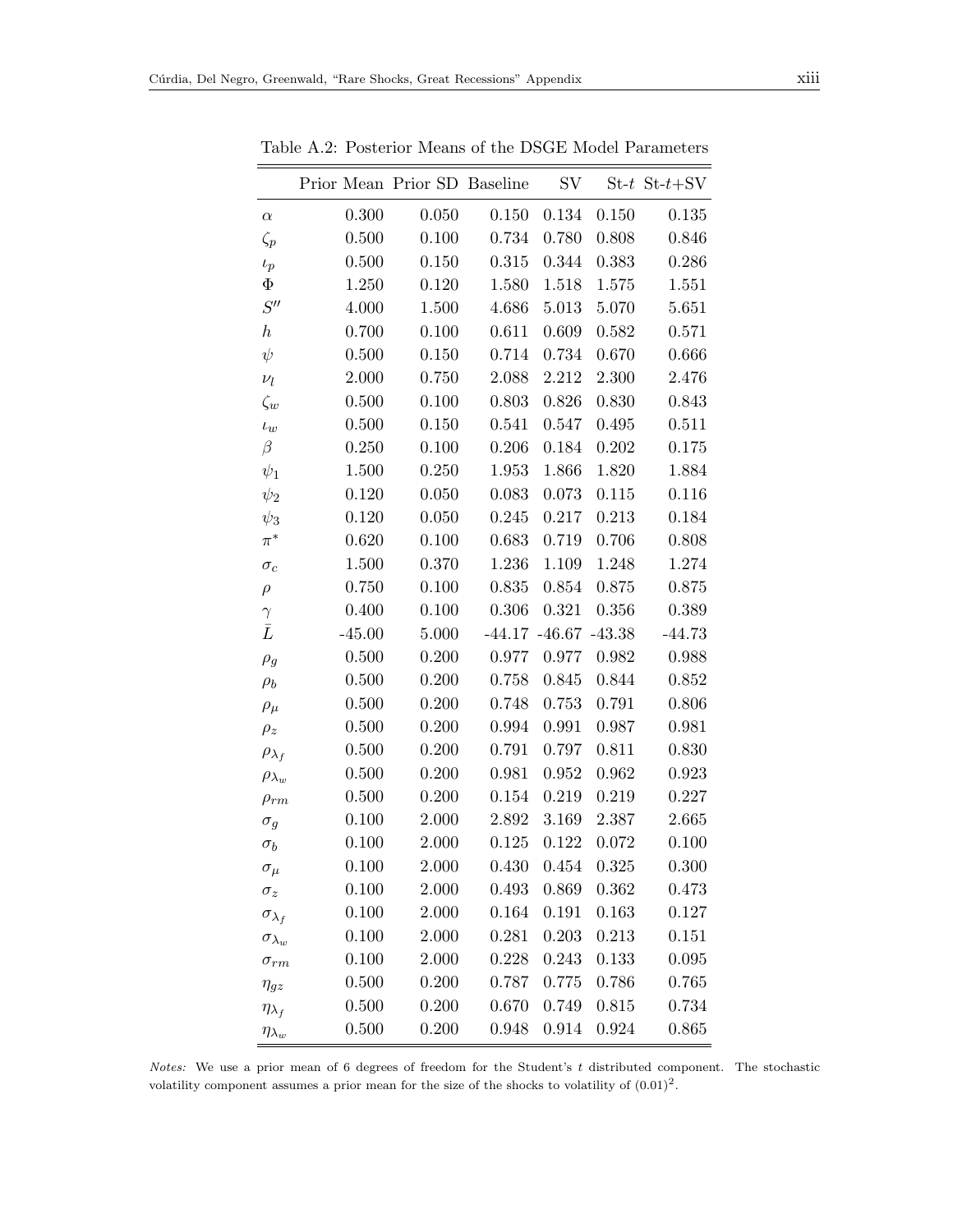|                      | Prior Mean Prior SD Baseline |           |           | $\mathrm{SV}$              |       | $St-t$ $St-t+SV$ |
|----------------------|------------------------------|-----------|-----------|----------------------------|-------|------------------|
| $\alpha$             | 0.300                        | 0.050     | 0.150     | 0.134                      | 0.150 | $0.135\,$        |
| $\zeta_p$            | 0.500                        | 0.100     | 0.734     | 0.780                      | 0.808 | 0.846            |
| $\iota_p$            | 0.500                        | $0.150\,$ | 0.315     | 0.344                      | 0.383 | 0.286            |
| $\Phi$               | 1.250                        | 0.120     | 1.580     | 1.518                      | 1.575 | 1.551            |
| S''                  | 4.000                        | 1.500     | 4.686     | 5.013                      | 5.070 | 5.651            |
| $\boldsymbol{h}$     | 0.700                        | 0.100     | 0.611     | 0.609                      | 0.582 | 0.571            |
| $\psi$               | 0.500                        | 0.150     | 0.714     | 0.734                      | 0.670 | 0.666            |
| $\nu_l$              | 2.000                        | 0.750     | 2.088     | 2.212                      | 2.300 | 2.476            |
| $\zeta_w$            | 0.500                        | 0.100     | 0.803     | 0.826                      | 0.830 | 0.843            |
| $\iota_w$            | 0.500                        | 0.150     | 0.541     | 0.547                      | 0.495 | 0.511            |
| $\beta$              | 0.250                        | 0.100     | 0.206     | 0.184                      | 0.202 | 0.175            |
| $\psi_1$             | 1.500                        | 0.250     | 1.953     | 1.866                      | 1.820 | 1.884            |
| $\psi_2$             | 0.120                        | 0.050     | 0.083     | 0.073                      | 0.115 | 0.116            |
| $\psi_3$             | 0.120                        | 0.050     | $0.245\,$ | 0.217                      | 0.213 | 0.184            |
| $\pi^*$              | 0.620                        | 0.100     | 0.683     | 0.719                      | 0.706 | 0.808            |
| $\sigma_c$           | 1.500                        | 0.370     | 1.236     | 1.109                      | 1.248 | 1.274            |
| $\rho$               | 0.750                        | 0.100     | 0.835     | 0.854                      | 0.875 | 0.875            |
| $\gamma$             | 0.400                        | 0.100     | 0.306     | 0.321                      | 0.356 | 0.389            |
| $\bar{L}$            | $-45.00$                     | 5.000     |           | $-44.17$ $-46.67$ $-43.38$ |       | $-44.73$         |
| $\rho_g$             | 0.500                        | 0.200     | 0.977     | 0.977                      | 0.982 | 0.988            |
| $\rho_b$             | 0.500                        | 0.200     | 0.758     | 0.845                      | 0.844 | 0.852            |
| $\rho_\mu$           | 0.500                        | 0.200     | 0.748     | 0.753                      | 0.791 | 0.806            |
| $\rho_z$             | 0.500                        | 0.200     | 0.994     | 0.991                      | 0.987 | 0.981            |
| $\rho_{\lambda_f}$   | 0.500                        | 0.200     | 0.791     | 0.797                      | 0.811 | 0.830            |
| $\rho_{\lambda_w}$   | 0.500                        | 0.200     | 0.981     | 0.952                      | 0.962 | 0.923            |
| $\rho_{rm}$          | 0.500                        | 0.200     | 0.154     | 0.219                      | 0.219 | 0.227            |
| $\sigma_g$           | 0.100                        | 2.000     | 2.892     | 3.169                      | 2.387 | 2.665            |
| $\sigma_b$           | 0.100                        | 2.000     | 0.125     | 0.122                      | 0.072 | 0.100            |
| $\sigma_{\mu}$       | 0.100                        | $2.000\,$ |           | $0.430$ $0.454$ $0.325$    |       | 0.300            |
| $\sigma_z$           | 0.100                        | 2.000     | 0.493     | 0.869                      | 0.362 | 0.473            |
| $\sigma_{\lambda_f}$ | 0.100                        | 2.000     | 0.164     | 0.191                      | 0.163 | 0.127            |
| $\sigma_{\lambda_w}$ | 0.100                        | 2.000     | 0.281     | 0.203                      | 0.213 | 0.151            |
| $\sigma_{rm}$        | 0.100                        | 2.000     | 0.228     | 0.243                      | 0.133 | 0.095            |
| $\eta_{gz}$          | 0.500                        | 0.200     | 0.787     | 0.775                      | 0.786 | 0.765            |
| $\eta_{\lambda_f}$   | 0.500                        | 0.200     | 0.670     | 0.749                      | 0.815 | 0.734            |
| $\eta_{\lambda_w}$   | 0.500                        | 0.200     | 0.948     | 0.914                      | 0.924 | 0.865            |

<span id="page-12-0"></span>Table A.2: Posterior Means of the DSGE Model Parameters

Notes: We use a prior mean of 6 degrees of freedom for the Student's t distributed component. The stochastic volatility component assumes a prior mean for the size of the shocks to volatility of  $(0.01)^2$ .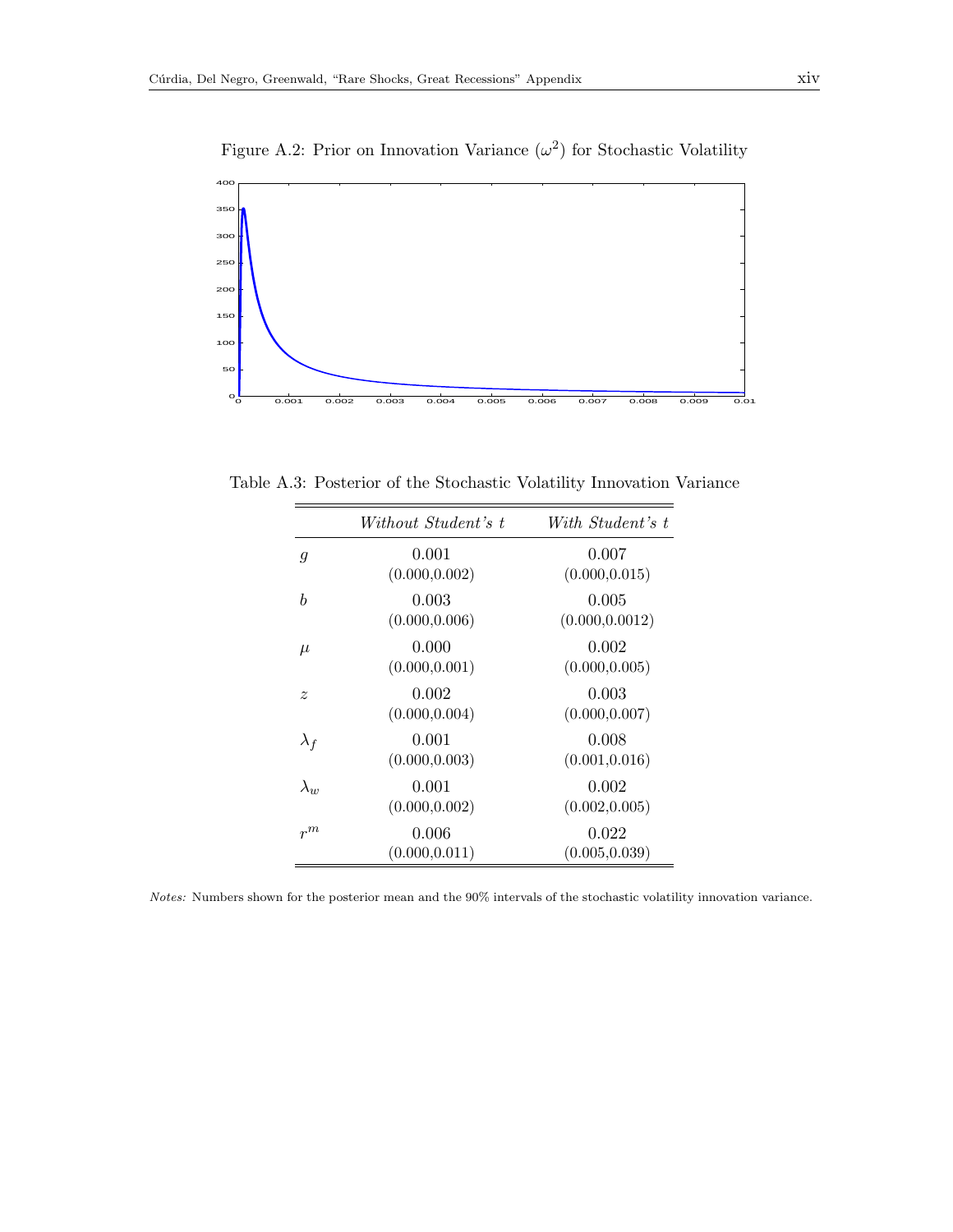

Figure A.2: Prior on Innovation Variance  $(\omega^2)$  for Stochastic Volatility

Table A.3: Posterior of the Stochastic Volatility Innovation Variance

<span id="page-13-0"></span>

|                | Without Student's t     | With Student's t         |
|----------------|-------------------------|--------------------------|
| $\mathfrak{g}$ | 0.001<br>(0.000, 0.002) | 0.007<br>(0.000, 0.015)  |
| b              | 0.003<br>(0.000, 0.006) | 0.005<br>(0.000, 0.0012) |
| $\mu$          | 0.000<br>(0.000, 0.001) | 0.002<br>(0.000, 0.005)  |
| $\tilde{z}$    | 0.002<br>(0.000, 0.004) | 0.003<br>(0.000, 0.007)  |
| $\lambda_f$    | 0.001<br>(0.000, 0.003) | 0.008<br>(0.001, 0.016)  |
| $\lambda_{w}$  | 0.001<br>(0.000, 0.002) | 0.002<br>(0.002, 0.005)  |
| $r^m$          | 0.006<br>(0.000, 0.011) | 0.022<br>(0.005, 0.039)  |

Notes: Numbers shown for the posterior mean and the 90% intervals of the stochastic volatility innovation variance.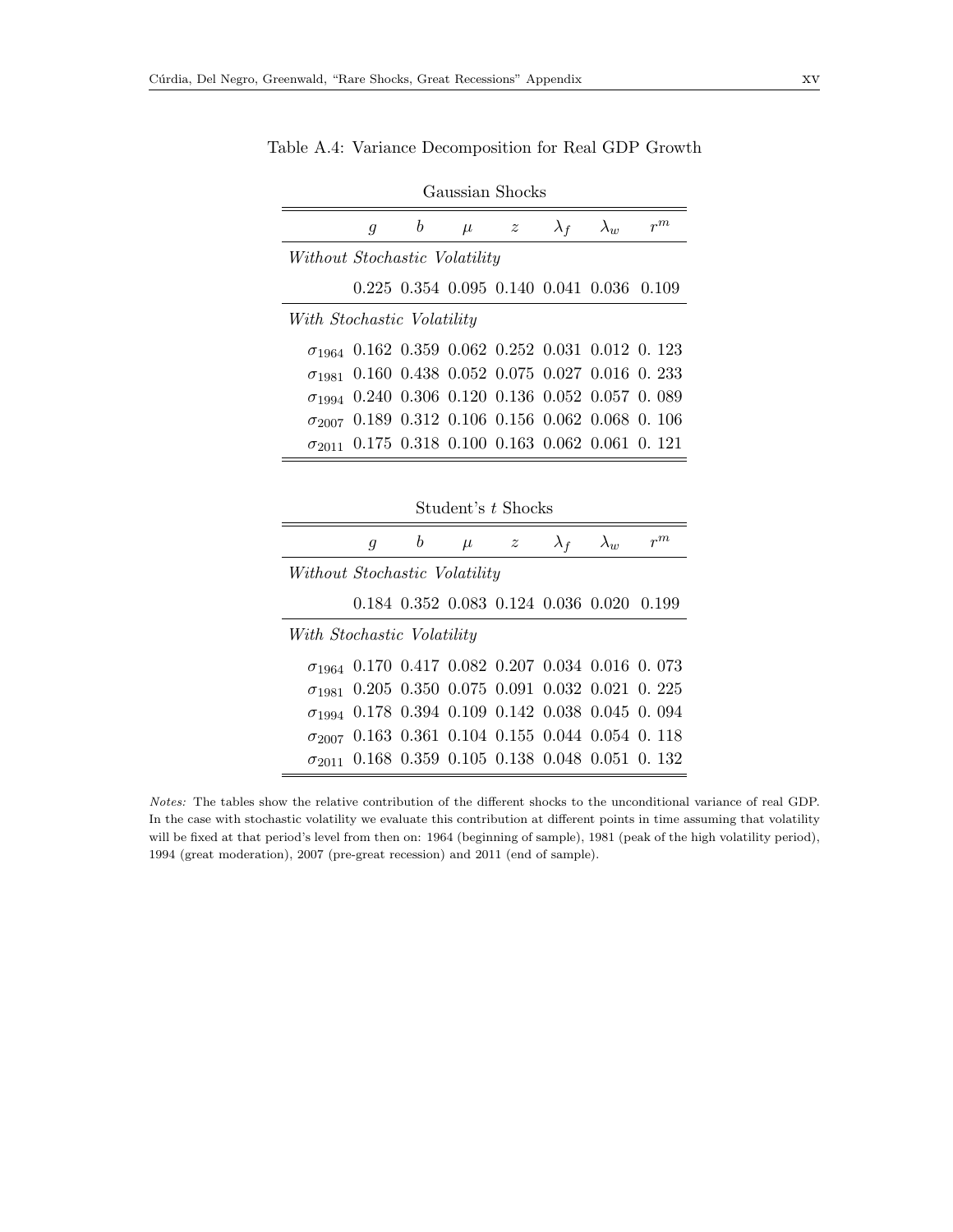J.

|                               |   |   | Gaussian Shocks    |                |                                           |             |                                                           |
|-------------------------------|---|---|--------------------|----------------|-------------------------------------------|-------------|-----------------------------------------------------------|
|                               | g | b | $\mu$              | $\overline{z}$ | $\lambda_f$                               | $\lambda_w$ | $r^m$                                                     |
| Without Stochastic Volatility |   |   |                    |                |                                           |             |                                                           |
|                               |   |   |                    |                | 0.225 0.354 0.095 0.140 0.041 0.036 0.109 |             |                                                           |
| With Stochastic Volatility    |   |   |                    |                |                                           |             |                                                           |
|                               |   |   |                    |                |                                           |             | $\sigma_{1964}$ 0.162 0.359 0.062 0.252 0.031 0.012 0.123 |
| $\sigma$ <sub>1981</sub>      |   |   |                    |                |                                           |             | 0.160 0.438 0.052 0.075 0.027 0.016 0.233                 |
| $\sigma_{1994}$               |   |   |                    |                |                                           |             | $0.240$ $0.306$ $0.120$ $0.136$ $0.052$ $0.057$ $0.089$   |
| $\sigma$ 2007                 |   |   |                    |                |                                           |             | 0.189 0.312 0.106 0.156 0.062 0.068 0.106                 |
| $\sigma$ <sub>2011</sub>      |   |   |                    |                |                                           |             | $0.175$ $0.318$ $0.100$ $0.163$ $0.062$ $0.061$ $0.121$   |
|                               |   |   |                    |                |                                           |             |                                                           |
|                               |   |   | Student's t Shocks |                |                                           |             |                                                           |
|                               | g | b | $\mu$              | $z_{-}$        | $\lambda_f$                               | $\lambda_w$ | $r^m$                                                     |
| Without Stochastic Volatility |   |   |                    |                |                                           |             |                                                           |

Table A.4: Variance Decomposition for Real GDP Growth

| Without Stochastic Volatility |  |  |  |                                                           |
|-------------------------------|--|--|--|-----------------------------------------------------------|
|                               |  |  |  | 0.184 0.352 0.083 0.124 0.036 0.020 0.199                 |
| With Stochastic Volatility    |  |  |  |                                                           |
|                               |  |  |  | $\sigma_{1964}$ 0.170 0.417 0.082 0.207 0.034 0.016 0.073 |
|                               |  |  |  | $\sigma_{1981}$ 0.205 0.350 0.075 0.091 0.032 0.021 0.225 |
|                               |  |  |  | $\sigma_{1994}$ 0.178 0.394 0.109 0.142 0.038 0.045 0.094 |
|                               |  |  |  | $\sigma_{2007}$ 0.163 0.361 0.104 0.155 0.044 0.054 0.118 |
|                               |  |  |  | $\sigma_{2011}$ 0.168 0.359 0.105 0.138 0.048 0.051 0.132 |
|                               |  |  |  |                                                           |

Notes: The tables show the relative contribution of the different shocks to the unconditional variance of real GDP. In the case with stochastic volatility we evaluate this contribution at different points in time assuming that volatility will be fixed at that period's level from then on: 1964 (beginning of sample), 1981 (peak of the high volatility period), 1994 (great moderation), 2007 (pre-great recession) and 2011 (end of sample).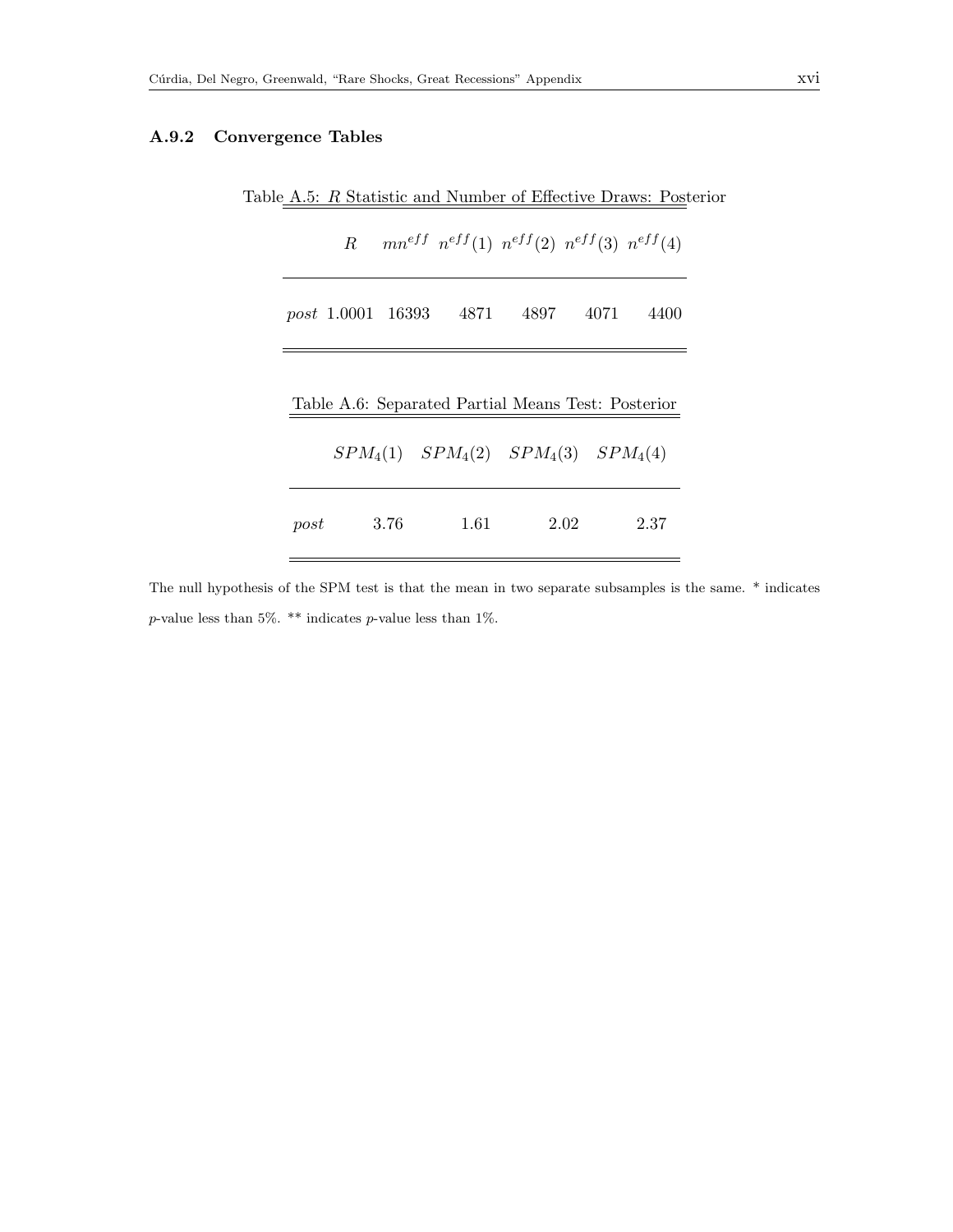#### <span id="page-15-1"></span>A.9.2 Convergence Tables

<span id="page-15-0"></span>

| post 1.0001 16393 4871 4897 4071                   |  | $R = mn^{eff} n^{eff}(1) n^{eff}(2) n^{eff}(3) n^{eff}(4)$ |  |      |
|----------------------------------------------------|--|------------------------------------------------------------|--|------|
|                                                    |  |                                                            |  | 4400 |
|                                                    |  |                                                            |  |      |
|                                                    |  |                                                            |  |      |
|                                                    |  |                                                            |  |      |
| Table A.6: Separated Partial Means Test: Posterior |  |                                                            |  |      |
|                                                    |  |                                                            |  |      |
| $SPM_4(1)$ $SPM_4(2)$ $SPM_4(3)$ $SPM_4(4)$        |  |                                                            |  |      |
|                                                    |  |                                                            |  |      |

The null hypothesis of the SPM test is that the mean in two separate subsamples is the same. \* indicates  $p$ -value less than 5%. \*\* indicates  $p$ -value less than 1%.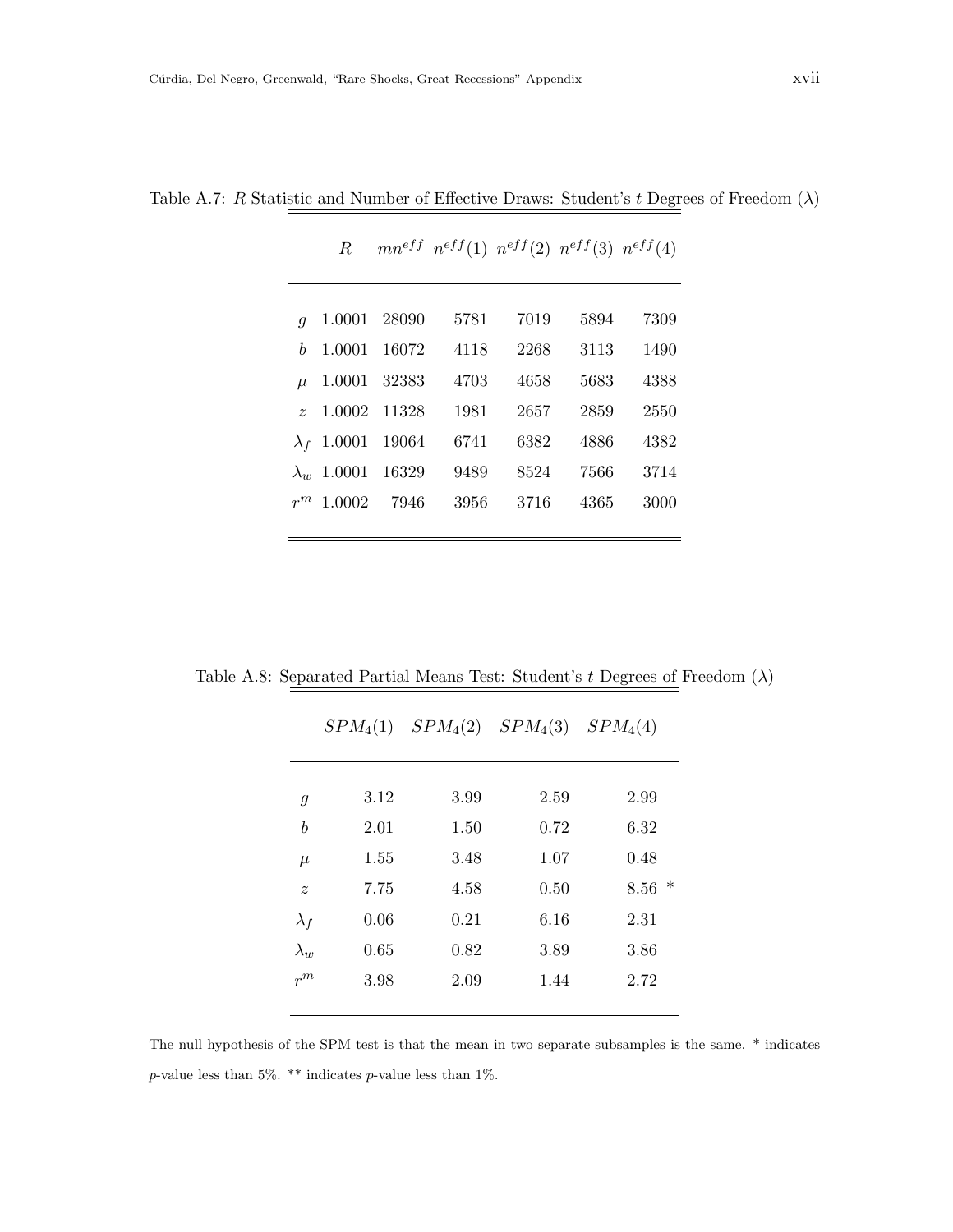|                       | R                  |              |      | $mn^{eff}$ $n^{eff}(1)$ $n^{eff}(2)$ $n^{eff}(3)$ $n^{eff}(4)$ |      |      |
|-----------------------|--------------------|--------------|------|----------------------------------------------------------------|------|------|
|                       |                    |              |      |                                                                |      |      |
|                       |                    |              |      |                                                                |      |      |
| $\boldsymbol{q}$      |                    | 1.0001 28090 | 5781 | 7019                                                           | 5894 | 7309 |
| h                     | 1.0001             | 16072        | 4118 | 2268                                                           | 3113 | 1490 |
| $\mu$                 | 1.0001             | 32383        | 4703 | 4658                                                           | 5683 | 4388 |
| $\tilde{\mathcal{Z}}$ | 1.0002             | 11328        | 1981 | 2657                                                           | 2859 | 2550 |
| $\lambda_f$           | 1.0001             | 19064        | 6741 | 6382                                                           | 4886 | 4382 |
|                       | $\lambda_w$ 1.0001 | 16329        | 9489 | 8524                                                           | 7566 | 3714 |
| $r^m$                 | 1.0002             | 7946         | 3956 | 3716                                                           | 4365 | 3000 |
|                       |                    |              |      |                                                                |      |      |

Table A.7: R Statistic and Number of Effective Draws: Student's  $t$  Degrees of Freedom  $(\lambda)$ 

Table A.8: Separated Partial Means Test: Student's  $t$  Degrees of Freedom  $(\lambda)$ 

|                  | $SPM_4(1)$ | $SPM_4(2)$ | $SPM_4(3)$ | $SPM_4(4)$     |
|------------------|------------|------------|------------|----------------|
|                  |            |            |            |                |
| $\overline{g}$   | 3.12       | 3.99       | 2.59       | 2.99           |
| $\boldsymbol{b}$ | 2.01       | 1.50       | 0.72       | 6.32           |
| $\mu$            | 1.55       | 3.48       | 1.07       | 0.48           |
| $\tilde{z}$      | 7.75       | 4.58       | 0.50       | $\ast$<br>8.56 |
| $\lambda_f$      | 0.06       | 0.21       | 6.16       | 2.31           |
| $\lambda_w$      | 0.65       | 0.82       | 3.89       | 3.86           |
| $r^m$            | 3.98       | 2.09       | 1.44       | 2.72           |
|                  |            |            |            |                |

The null hypothesis of the SPM test is that the mean in two separate subsamples is the same. \* indicates p-value less than 5%. \*\* indicates p-value less than 1%.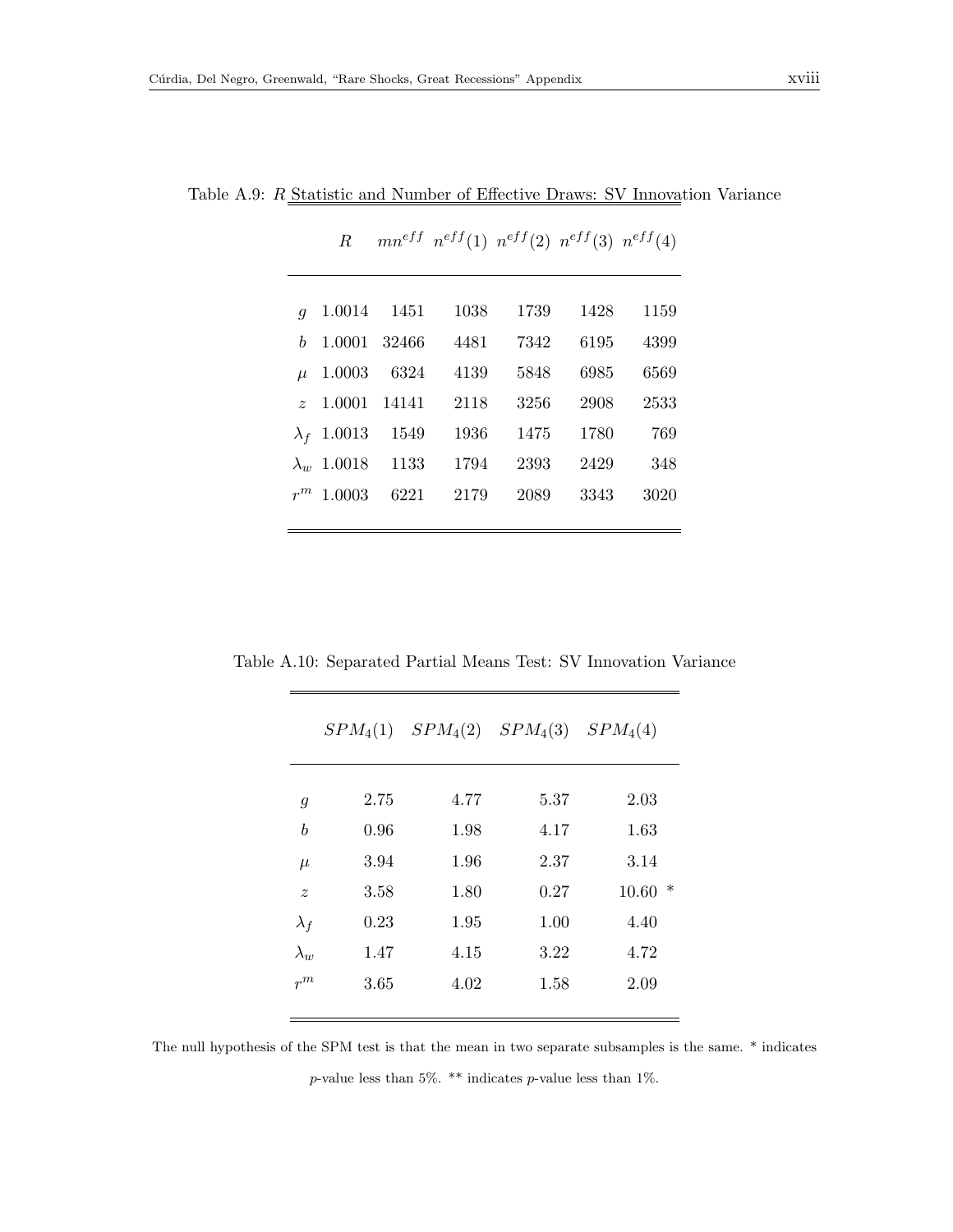$\overline{a}$ 

| $q_{-}$ |                    |                         | 1.0014 1451 1038 | 1739 |      | 1428 1159 |
|---------|--------------------|-------------------------|------------------|------|------|-----------|
|         |                    | $b$ 1.0001 32466        | 4481             | 7342 | 6195 | 4399      |
|         | $\mu$ 1.0003 6324  |                         | 4139             | 5848 | 6985 | 6569      |
|         |                    | $z$ 1.0001 14141        | 2118             | 3256 | 2908 | 2533      |
|         |                    | $\lambda_f$ 1.0013 1549 | 1936             | 1475 | 1780 | 769       |
|         | $\lambda_w$ 1.0018 | 1133                    | 1794             | 2393 | 2429 | 348       |
|         | $r^m$ 1.0003       | 6221                    | 2179             | 2089 | 3343 | 3020      |
|         |                    |                         |                  |      |      |           |

Table A.9:  $R\underline{\text{ Statistic and Number of Effective Draws: SV Innova}}$ tion Variance

 $R = mn^{eff} n^{eff}(1) n^{eff}(2) n^{eff}(3) n^{eff}(4)$ 

|  |  |  |  |  |  | Table A.10: Separated Partial Means Test: SV Innovation Variance |  |
|--|--|--|--|--|--|------------------------------------------------------------------|--|
|--|--|--|--|--|--|------------------------------------------------------------------|--|

|                  | $SPM_4(1)$ | $SPM_4(2)$ | $SPM_4(3)$ | $SPM_4(4)$ |
|------------------|------------|------------|------------|------------|
| $\mathfrak{g}$   | 2.75       | 4.77       | 5.37       | 2.03       |
| b                | 0.96       | 1.98       | 4.17       | 1.63       |
| $\mu$            | 3.94       | 1.96       | 2.37       | 3.14       |
| $\boldsymbol{z}$ | 3.58       | 1.80       | 0.27       | $10.60*$   |
| $\lambda_f$      | 0.23       | 1.95       | 1.00       | 4.40       |
| $\lambda_w$      | 1.47       | 4.15       | 3.22       | 4.72       |
| $r^m$            | 3.65       | 4.02       | 1.58       | 2.09       |
|                  |            |            |            |            |

The null hypothesis of the SPM test is that the mean in two separate subsamples is the same. \* indicates  $p$ -value less than 5%. \*\* indicates  $p$ -value less than 1%.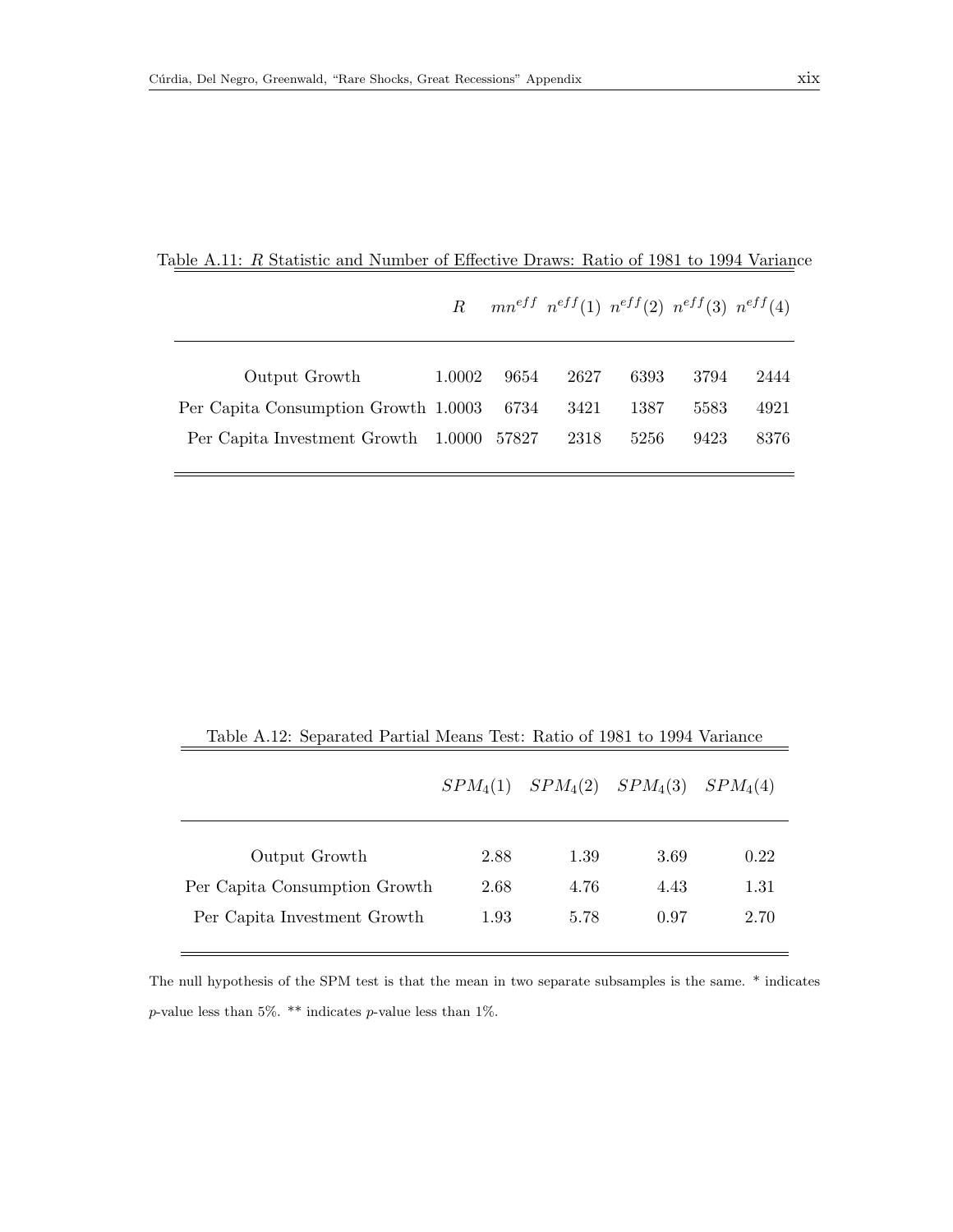|                                           |        |      | R $mn^{eff}$ $n^{eff}(1)$ $n^{eff}(2)$ $n^{eff}(3)$ $n^{eff}(4)$ |      |      |      |
|-------------------------------------------|--------|------|------------------------------------------------------------------|------|------|------|
|                                           |        |      |                                                                  |      |      |      |
| Output Growth                             | 1.0002 | 9654 | 2627                                                             | 6393 | 3794 | 2444 |
| Per Capita Consumption Growth 1.0003 6734 |        |      | -3421                                                            | 1387 | 5583 | 4921 |
| Per Capita Investment Growth 1.0000 57827 |        |      | 2318                                                             | 5256 | 9423 | 8376 |
|                                           |        |      |                                                                  |      |      |      |

|  | Table A.11: R Statistic and Number of Effective Draws: Ratio of 1981 to 1994 Variance |  |  |
|--|---------------------------------------------------------------------------------------|--|--|
|  |                                                                                       |  |  |

<span id="page-18-0"></span>

| Table A.12: Separated Partial Means Test: Ratio of 1981 to 1994 Variance |            |      |                                  |      |
|--------------------------------------------------------------------------|------------|------|----------------------------------|------|
|                                                                          | $SPM_4(1)$ |      | $SPM_4(2)$ $SPM_4(3)$ $SPM_4(4)$ |      |
| Output Growth                                                            | 2.88       | 1.39 | 3.69                             | 0.22 |
| Per Capita Consumption Growth                                            | 2.68       | 4.76 | 4.43                             | 1.31 |
| Per Capita Investment Growth                                             | 1.93       | 5.78 | 0.97                             | 2.70 |

The null hypothesis of the SPM test is that the mean in two separate subsamples is the same. \* indicates  $p\text{-value less than 5\%.}$  \*\* indicates  $p\text{-value less than 1\%.}$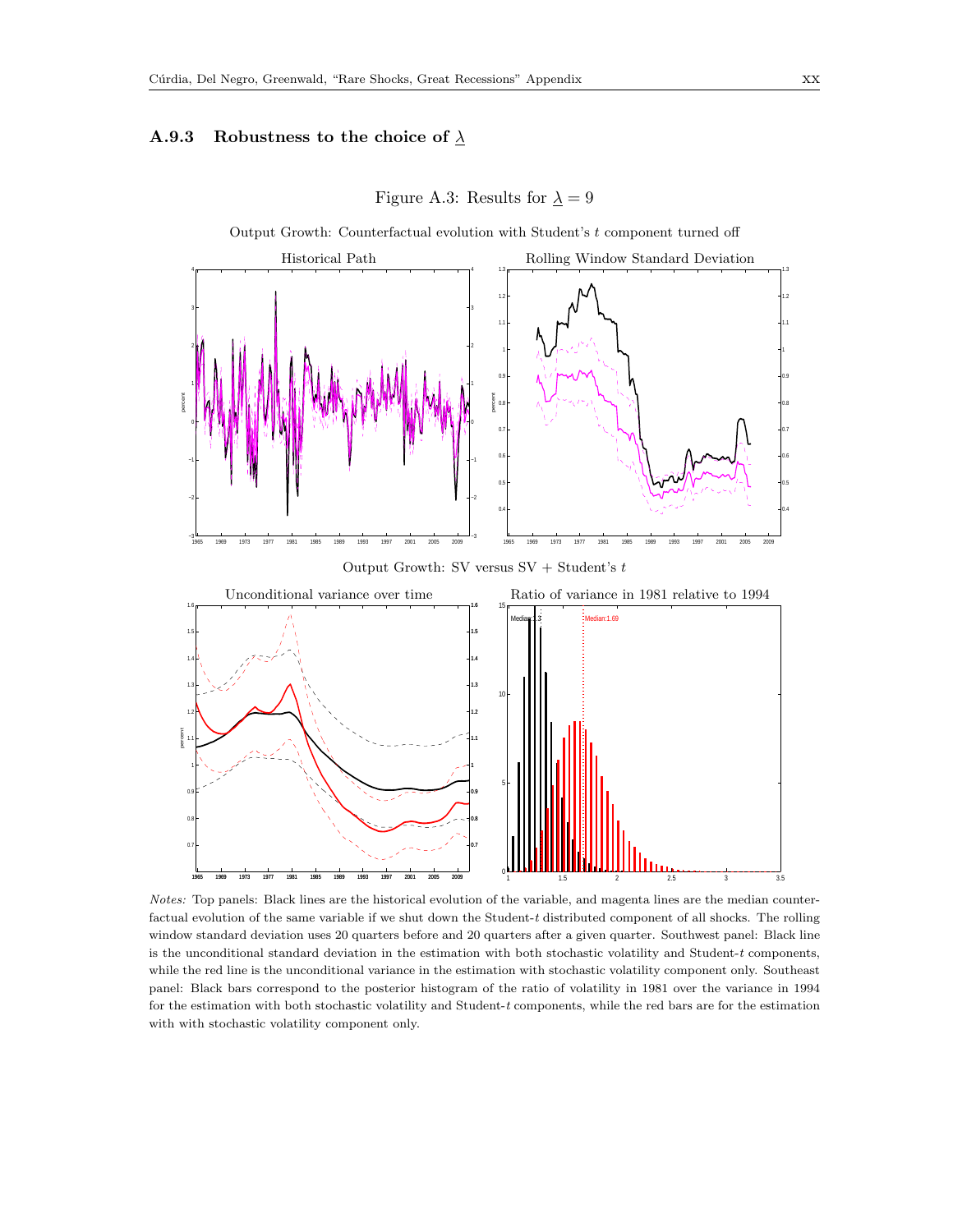#### A.9.3 Robustness to the choice of  $\lambda$



Figure A.3: Results for  $\underline{\lambda}=9$ 

Notes: Top panels: Black lines are the historical evolution of the variable, and magenta lines are the median counterfactual evolution of the same variable if we shut down the Student-t distributed component of all shocks. The rolling window standard deviation uses 20 quarters before and 20 quarters after a given quarter. Southwest panel: Black line is the unconditional standard deviation in the estimation with both stochastic volatility and Student-t components, while the red line is the unconditional variance in the estimation with stochastic volatility component only. Southeast panel: Black bars correspond to the posterior histogram of the ratio of volatility in 1981 over the variance in 1994 for the estimation with both stochastic volatility and Student-t components, while the red bars are for the estimation with with stochastic volatility component only.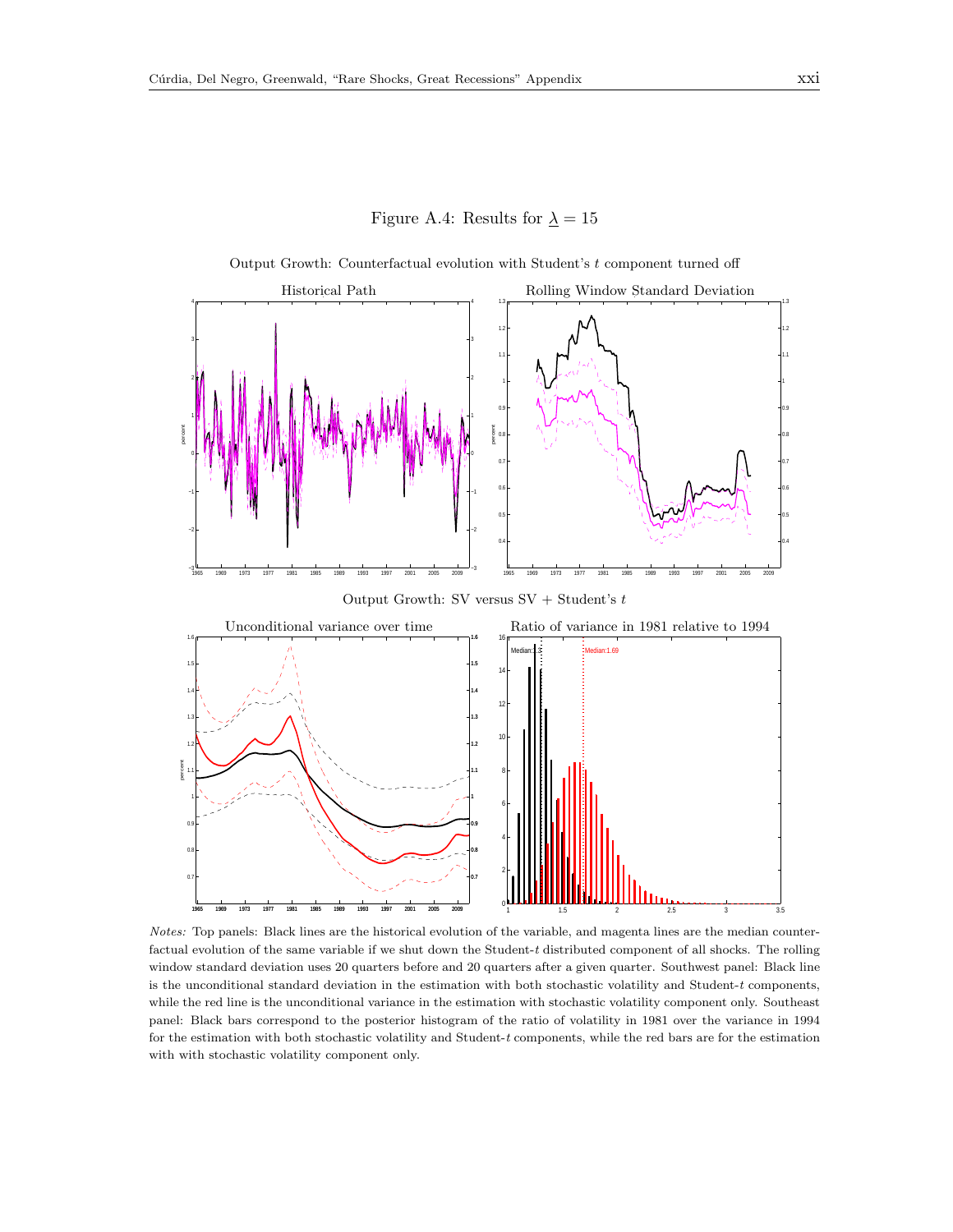Figure A.4: Results for  $\lambda = 15$ 



Output Growth: Counterfactual evolution with Student's  $t$  component turned off

Notes: Top panels: Black lines are the historical evolution of the variable, and magenta lines are the median counterfactual evolution of the same variable if we shut down the Student-t distributed component of all shocks. The rolling window standard deviation uses 20 quarters before and 20 quarters after a given quarter. Southwest panel: Black line is the unconditional standard deviation in the estimation with both stochastic volatility and Student- $t$  components, while the red line is the unconditional variance in the estimation with stochastic volatility component only. Southeast panel: Black bars correspond to the posterior histogram of the ratio of volatility in 1981 over the variance in 1994 for the estimation with both stochastic volatility and Student-t components, while the red bars are for the estimation with with stochastic volatility component only.

1 1.5 2 2.5 3 3.5

1965 1969 1973 1977 1981 1985 1989 1993 1997 2001 2005 2009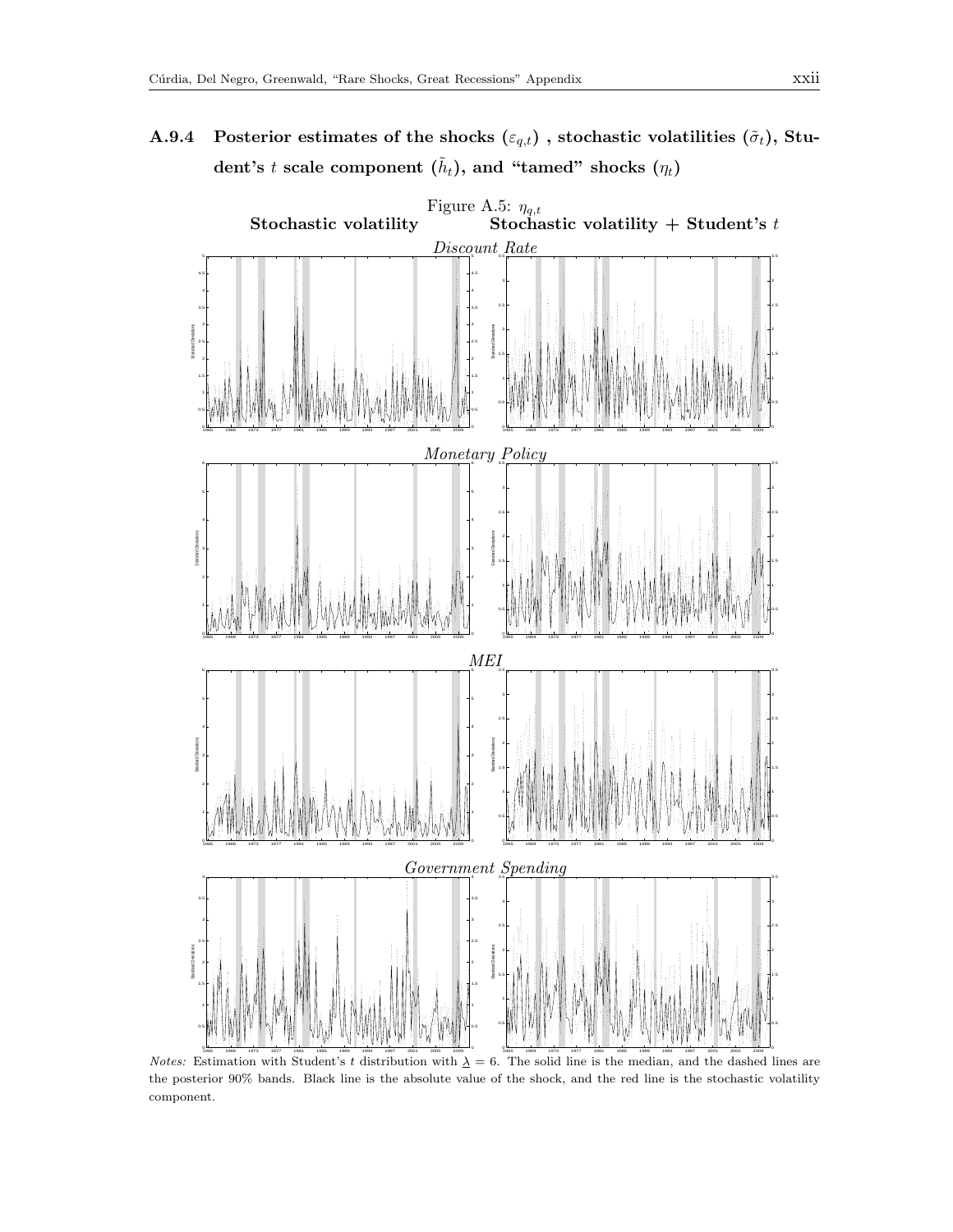A.9.4 Posterior estimates of the shocks  $(\varepsilon_{q,t})$ , stochastic volatilities  $(\tilde{\sigma}_t)$ , Stu- $\textbf{dent's}\;t\;\textbf{scale component}\;(\tilde{h}_t),\,\textbf{and}\; \textbf{``tamed''}\;\textbf{shocks}\;(\eta_t)$ 

<span id="page-21-0"></span>

*Notes:* Estimation with Student's t distribution with  $\lambda = 6$ . The solid line is the median, and the dashed lines are the posterior 90% bands. Black line is the absolute value of the shock, and the red line is the stochastic volatility component.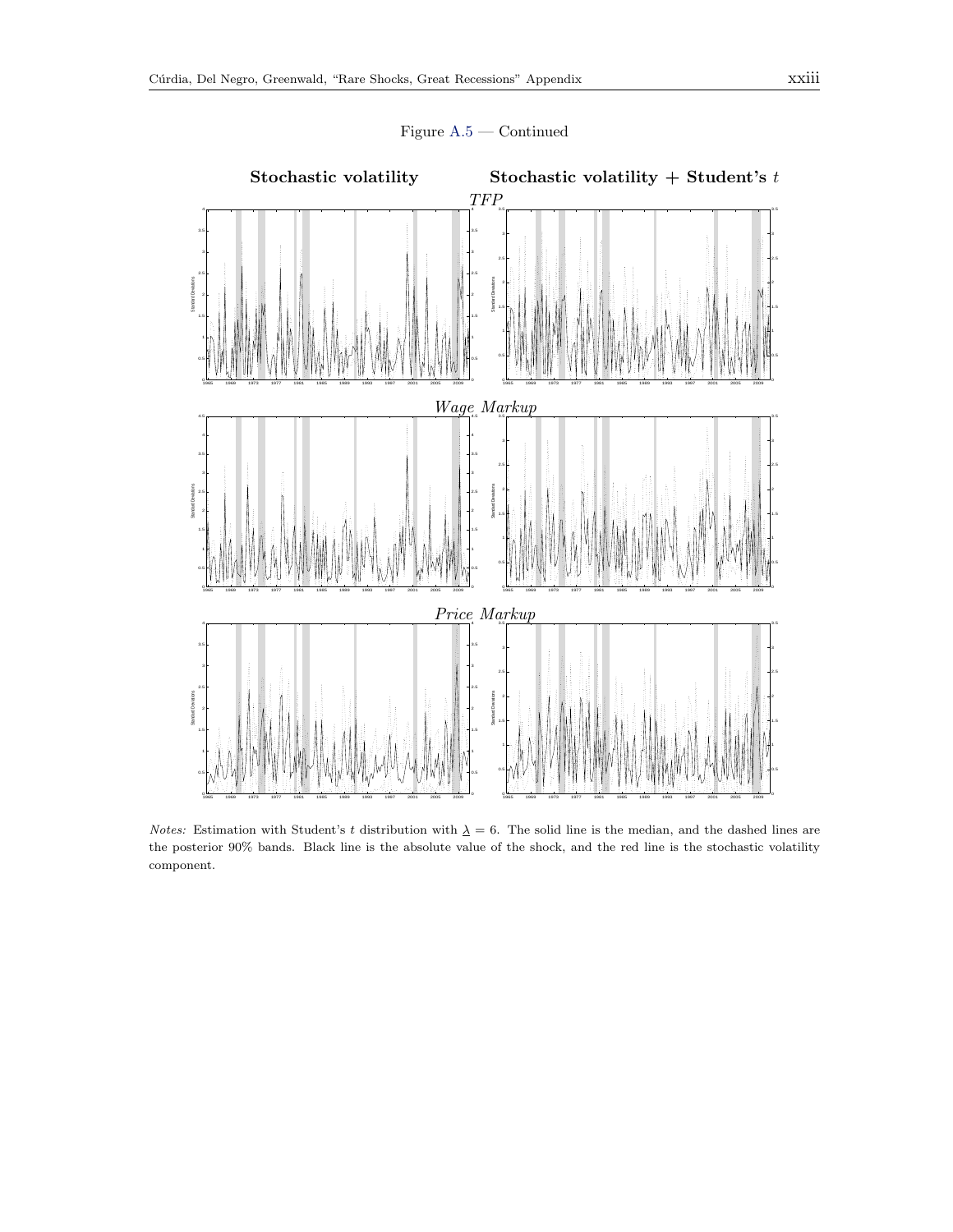

Figure [A.5](#page-21-0) — Continued

Notes: Estimation with Student's t distribution with  $\Delta = 6$ . The solid line is the median, and the dashed lines are the posterior 90% bands. Black line is the absolute value of the shock, and the red line is the stochastic volatility component.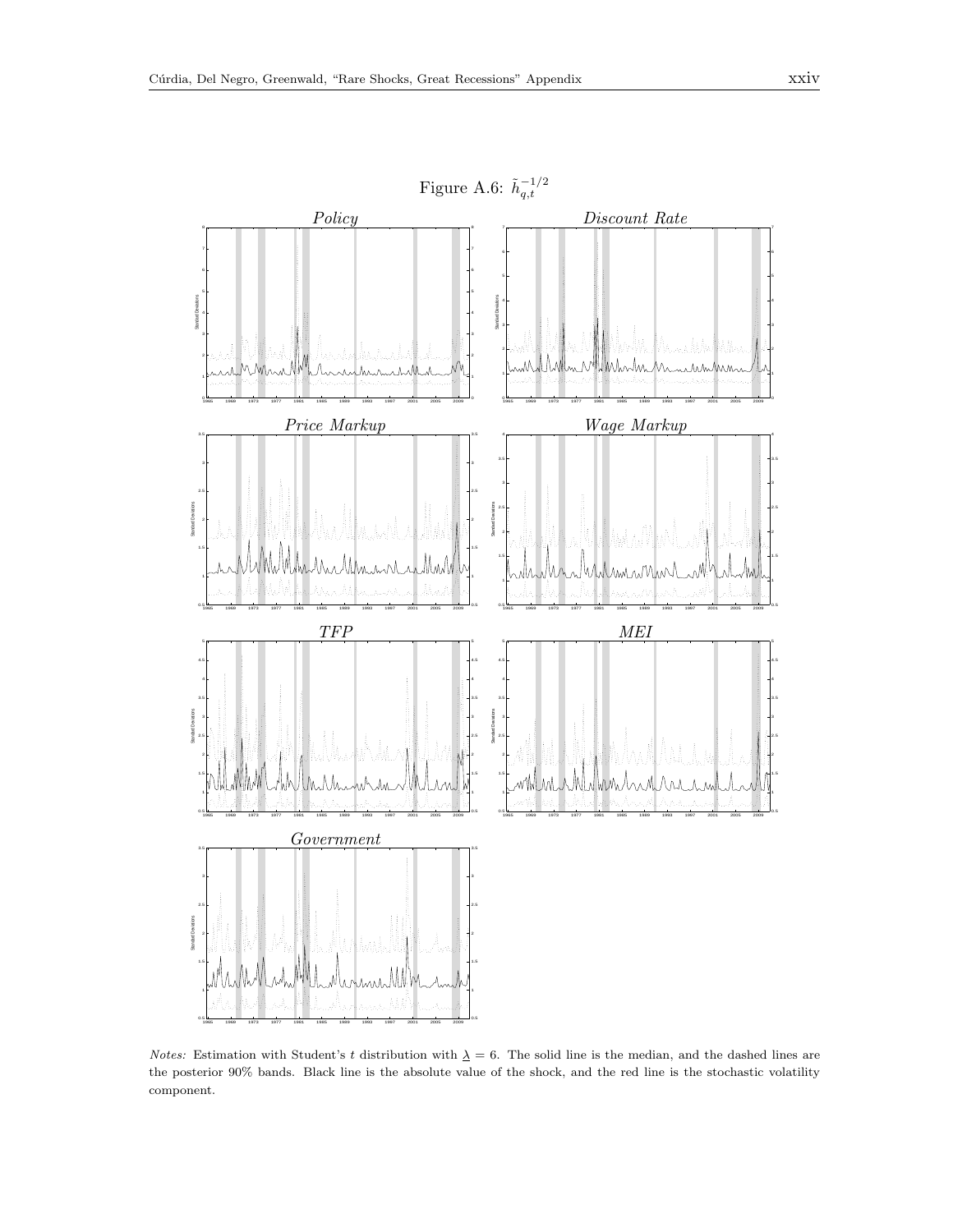<span id="page-23-0"></span>

Notes: Estimation with Student's t distribution with  $\Delta = 6$ . The solid line is the median, and the dashed lines are the posterior 90% bands. Black line is the absolute value of the shock, and the red line is the stochastic volatility component.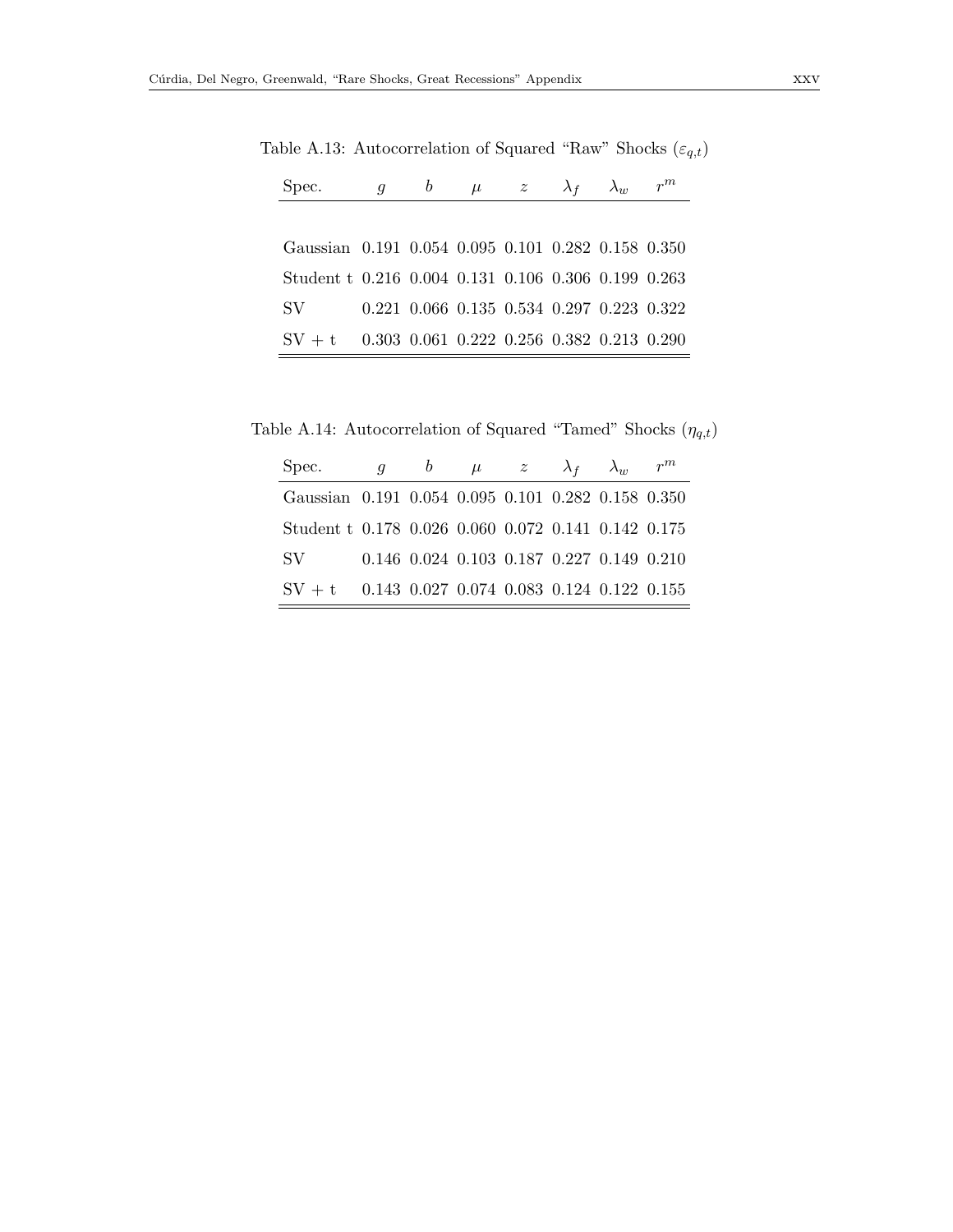<span id="page-24-0"></span>

| Spec.                                               | $\boldsymbol{g}$ |  | b $\mu$ z $\lambda_f$ | $\lambda_w$ |                                           |
|-----------------------------------------------------|------------------|--|-----------------------|-------------|-------------------------------------------|
|                                                     |                  |  |                       |             |                                           |
| Gaussian 0.191 0.054 0.095 0.101 0.282 0.158 0.350  |                  |  |                       |             |                                           |
| Student t 0.216 0.004 0.131 0.106 0.306 0.199 0.263 |                  |  |                       |             |                                           |
| SV –                                                |                  |  |                       |             | 0.221 0.066 0.135 0.534 0.297 0.223 0.322 |
| $SV + t$ 0.303 0.061 0.222 0.256 0.382 0.213 0.290  |                  |  |                       |             |                                           |

Table A.13: Autocorrelation of Squared "Raw" Shocks  $(\varepsilon_{q,t})$ 

Table A.14: Autocorrelation of Squared "Tamed" Shocks  $(\eta_{q,t})$ 

<span id="page-24-1"></span>

| Spec.                                               | $q \qquad b$ |  | $\mu$ z $\lambda_f$ $\lambda_w$                         |  |
|-----------------------------------------------------|--------------|--|---------------------------------------------------------|--|
| Gaussian 0.191 0.054 0.095 0.101 0.282 0.158 0.350  |              |  |                                                         |  |
| Student t 0.178 0.026 0.060 0.072 0.141 0.142 0.175 |              |  |                                                         |  |
| SV.                                                 |              |  | $0.146$ $0.024$ $0.103$ $0.187$ $0.227$ $0.149$ $0.210$ |  |
| $SV + t$ 0.143 0.027 0.074 0.083 0.124 0.122 0.155  |              |  |                                                         |  |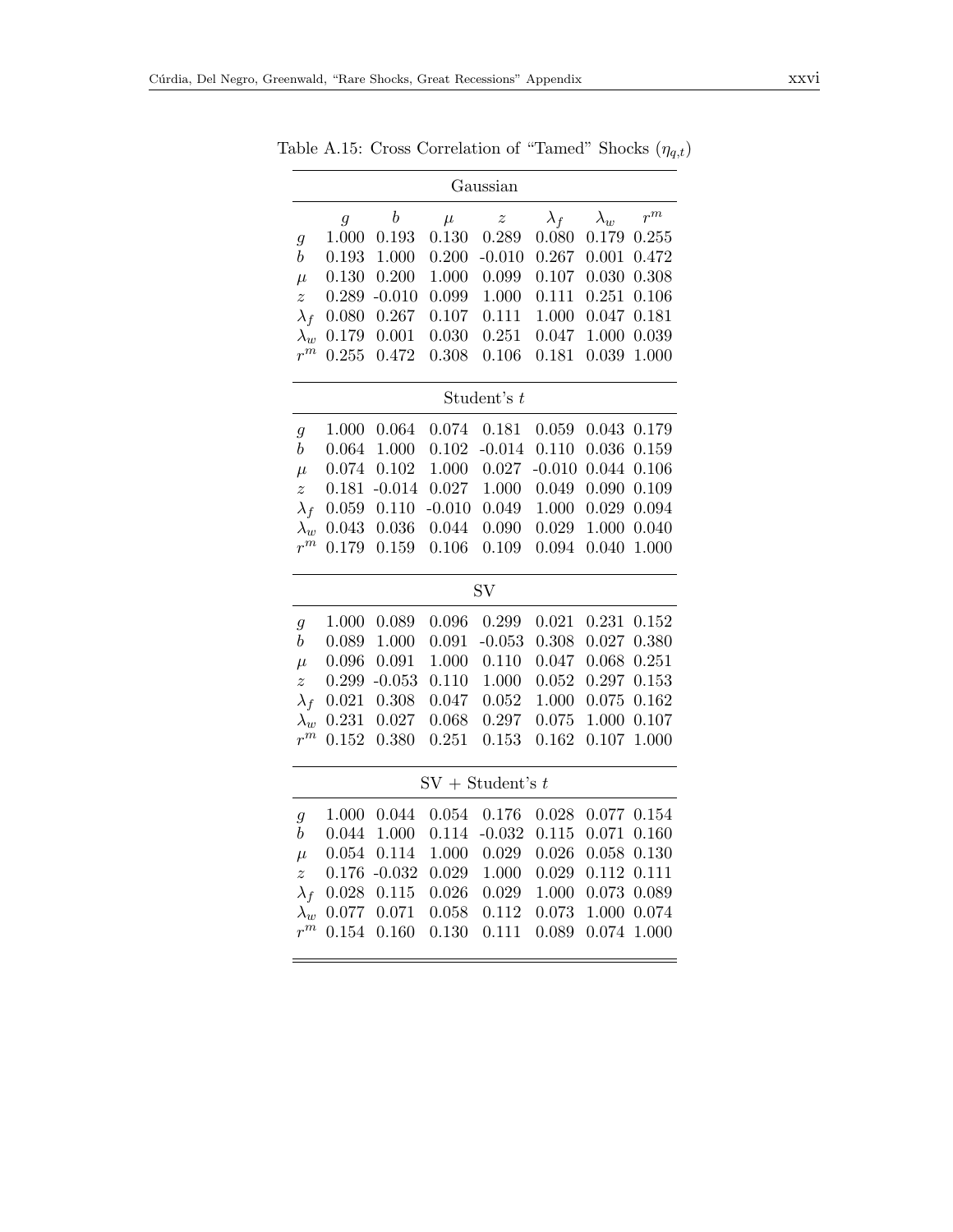|                    |       |                  |          | Gaussian           |             |             |       |
|--------------------|-------|------------------|----------|--------------------|-------------|-------------|-------|
|                    | 9     | $\boldsymbol{b}$ | $\mu$    | $\boldsymbol{z}$   | $\lambda_f$ | $\lambda_w$ | $r^m$ |
| $\mathfrak{g}$     | 1.000 | 0.193            | 0.130    | 0.289              | 0.080       | 0.179       | 0.255 |
| $\boldsymbol{b}$   | 0.193 | 1.000            | 0.200    | $-0.010$           | 0.267       | 0.001       | 0.472 |
| $\mu$              | 0.130 | 0.200            | 1.000    | 0.099              | 0.107       | 0.030       | 0.308 |
| $\boldsymbol{z}$   | 0.289 | $-0.010$         | 0.099    | 1.000              | 0.111       | 0.251       | 0.106 |
| $\lambda_f$        | 0.080 | 0.267            | 0.107    | 0.111              | 1.000       | 0.047       | 0.181 |
| $\lambda_w$        | 0.179 | 0.001            | 0.030    | 0.251              | 0.047       | 1.000       | 0.039 |
| $\boldsymbol{r}^m$ | 0.255 | 0.472            | 0.308    | 0.106              | 0.181       | 0.039       | 1.000 |
|                    |       |                  |          | Student's $t$      |             |             |       |
| $\boldsymbol{g}$   | 1.000 | 0.064            | 0.074    | 0.181              | 0.059       | 0.043       | 0.179 |
| $\boldsymbol{b}$   | 0.064 | 1.000            | 0.102    | $-0.014$           | 0.110       | 0.036       | 0.159 |
| $\mu$              | 0.074 | 0.102            | 1.000    | 0.027              | $-0.010$    | 0.044       | 0.106 |
| $\boldsymbol{z}$   | 0.181 | $-0.014$         | 0.027    | 1.000              | 0.049       | 0.090       | 0.109 |
| $\lambda_f$        | 0.059 | 0.110            | $-0.010$ | 0.049              | 1.000       | 0.029       | 0.094 |
| $\lambda_w$        | 0.043 | 0.036            | 0.044    | 0.090              | 0.029       | 1.000       | 0.040 |
| $r^m$              | 0.179 | 0.159            | 0.106    | 0.109              | 0.094       | 0.040       | 1.000 |
|                    |       |                  |          | SV                 |             |             |       |
| 9                  | 1.000 | 0.089            | 0.096    | 0.299              | 0.021       | 0.231       | 0.152 |
| $\boldsymbol{b}$   | 0.089 | 1.000            | 0.091    | $-0.053$           | 0.308       | 0.027       | 0.380 |
| $\mu$              | 0.096 | 0.091            | 1.000    | 0.110              | 0.047       | 0.068       | 0.251 |
| $\tilde{z}$        | 0.299 | $-0.053$         | 0.110    | 1.000              | 0.052       | 0.297       | 0.153 |
| $\lambda_f$        | 0.021 | 0.308            | 0.047    | 0.052              | 1.000       | 0.075       | 0.162 |
| $\lambda_w$        | 0.231 | 0.027            | 0.068    | 0.297              | 0.075       | 1.000       | 0.107 |
| $\boldsymbol{r}^m$ | 0.152 | 0.380            | 0.251    | 0.153              | 0.162       | 0.107       | 1.000 |
|                    |       |                  |          | $SV + Student's t$ |             |             |       |
| $\mathfrak{g}$     | 1.000 | 0.044            | 0.054    | 0.176              | 0.028       | 0.077       | 0.154 |
| $\boldsymbol{b}$   | 0.044 | 1.000            | 0.114    | $-0.032$           | 0.115       | 0.071       | 0.160 |
| $\mu$              | 0.054 | 0.114            | 1.000    | 0.029              | 0.026       | 0.058       | 0.130 |
| $\boldsymbol{z}$   | 0.176 | $-0.032$         | 0.029    | 1.000              | 0.029       | 0.112       | 0.111 |
| $\lambda_f$        | 0.028 | 0.115            | 0.026    | 0.029              | 1.000       | 0.073       | 0.089 |
| $\lambda_{w}$      | 0.077 | 0.071            | 0.058    | 0.112              | 0.073       | 1.000       | 0.074 |
| $r^m$              | 0.154 | 0.160            | 0.130    | 0.111              | 0.089       | 0.074       | 1.000 |
|                    |       |                  |          |                    |             |             |       |

<span id="page-25-0"></span>Table A.15: Cross Correlation of "Tamed" Shocks  $(\eta_{q,t})$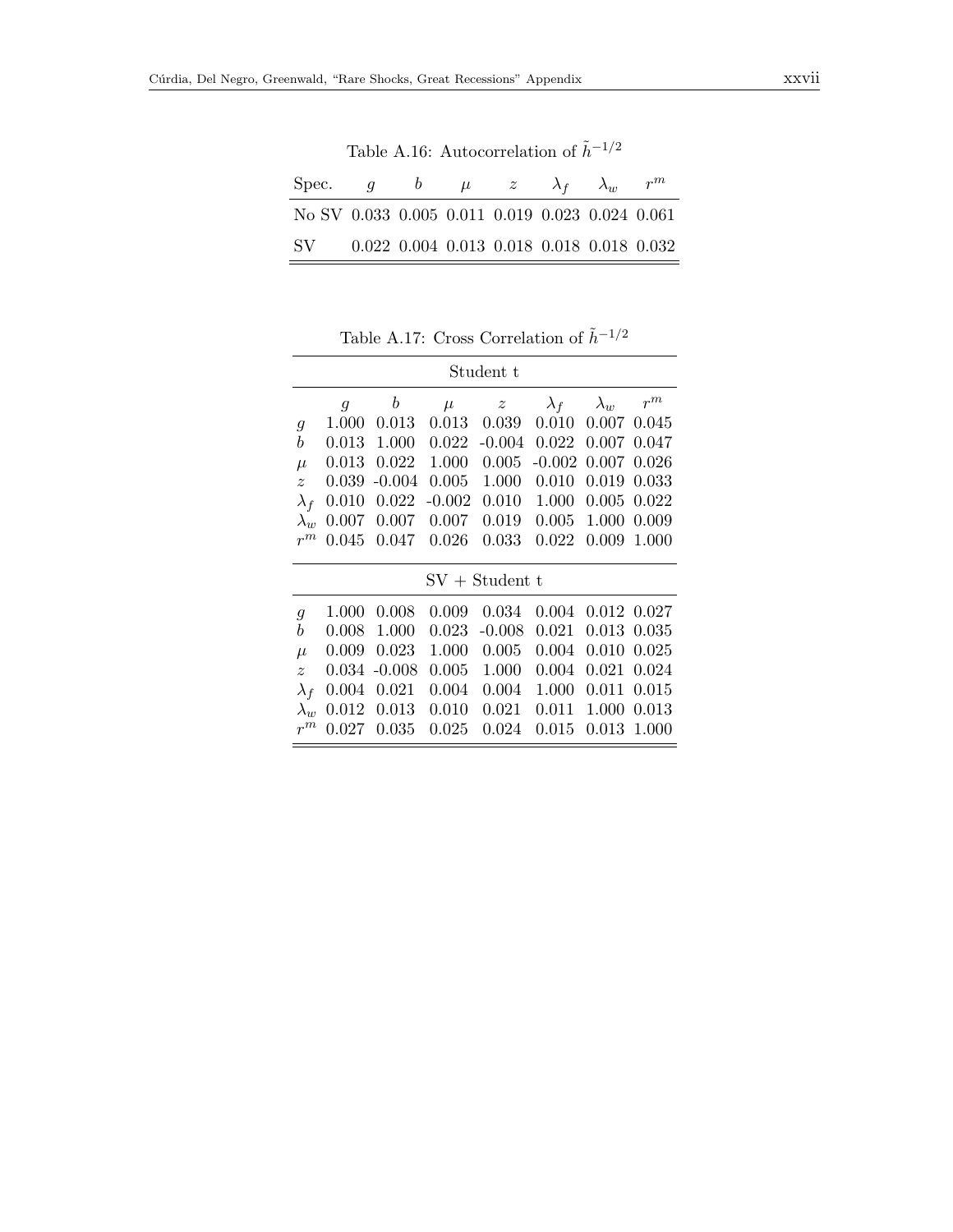<span id="page-26-0"></span>Table A.16: Autocorrelation of  $\tilde{h}^{-1/2}$ 

| Spec.                                           | $\overline{a}$ |  | $\mu$ $z$                                               | $\lambda_f$ | $\lambda_{uv}$ | $r^{m}$ |
|-------------------------------------------------|----------------|--|---------------------------------------------------------|-------------|----------------|---------|
| No SV 0.033 0.005 0.011 0.019 0.023 0.024 0.061 |                |  |                                                         |             |                |         |
| SV -                                            |                |  | $0.022$ $0.004$ $0.013$ $0.018$ $0.018$ $0.018$ $0.032$ |             |                |         |

<span id="page-26-1"></span>Table A.17: Cross Correlation of  $\tilde{h}^{-1/2}$ 

|                  |                |                  |           | Student t        |             |             |       |
|------------------|----------------|------------------|-----------|------------------|-------------|-------------|-------|
|                  | $\mathfrak{g}$ | $\boldsymbol{b}$ | $\mu$     | $\boldsymbol{z}$ | $\lambda_f$ | $\lambda_w$ | $r^m$ |
| 9                | 1.000          | 0.013            | 0.013     | 0.039            | 0.010       | 0.007       | 0.045 |
| b                | 0.013          | 1.000            | 0.022     | $-0.004$         | 0.022       | 0.007       | 0.047 |
| $\mu$            | 0.013          | 0.022            | 1.000     | 0.005            | $-0.002$    | 0.007       | 0.026 |
| $\boldsymbol{z}$ | 0.039          | $-0.004$         | 0.005     | 1.000            | 0.010       | 0.019       | 0.033 |
| $\lambda_f$      | 0.010          | 0.022            | $-0.002$  | 0.010            | 1.000       | 0.005       | 0.022 |
| $\lambda_w$      | 0.007          | 0.007            | 0.007     | 0.019            | 0.005       | 1.000       | 0.009 |
| $r^m$            | 0.045          | 0.047            | 0.026     | 0.033            | 0.022       | 0.009       | 1.000 |
|                  |                |                  |           | $SV + Student t$ |             |             |       |
| $\mathfrak{g}$   | 1.000          | 0.008            | 0.009     | 0.034            | 0.004       | 0.012 0.027 |       |
| b                | 0.008          | 1.000            | 0.023     | $-0.008$         | 0.021       | 0.013       | 0.035 |
| $\mu$            | 0.009          | 0.023            | 1.000     | 0.005            | 0.004       | 0.010       | 0.025 |
| $\boldsymbol{z}$ | 0.034          | $-0.008$         | $0.005\,$ | 1.000            | 0.004       | 0.021       | 0.024 |
| $\lambda_f$      | 0.004          | 0.021            | 0.004     | 0.004            | 1.000       | 0.011       | 0.015 |
| $\lambda_w$      | 0.012          | 0.013            | 0.010     | 0.021            | 0.011       | 1.000       | 0.013 |
| $r^m$            | 0.027          | 0.035            | 0.025     | 0.024            | 0.015       | 0.013       | 1.000 |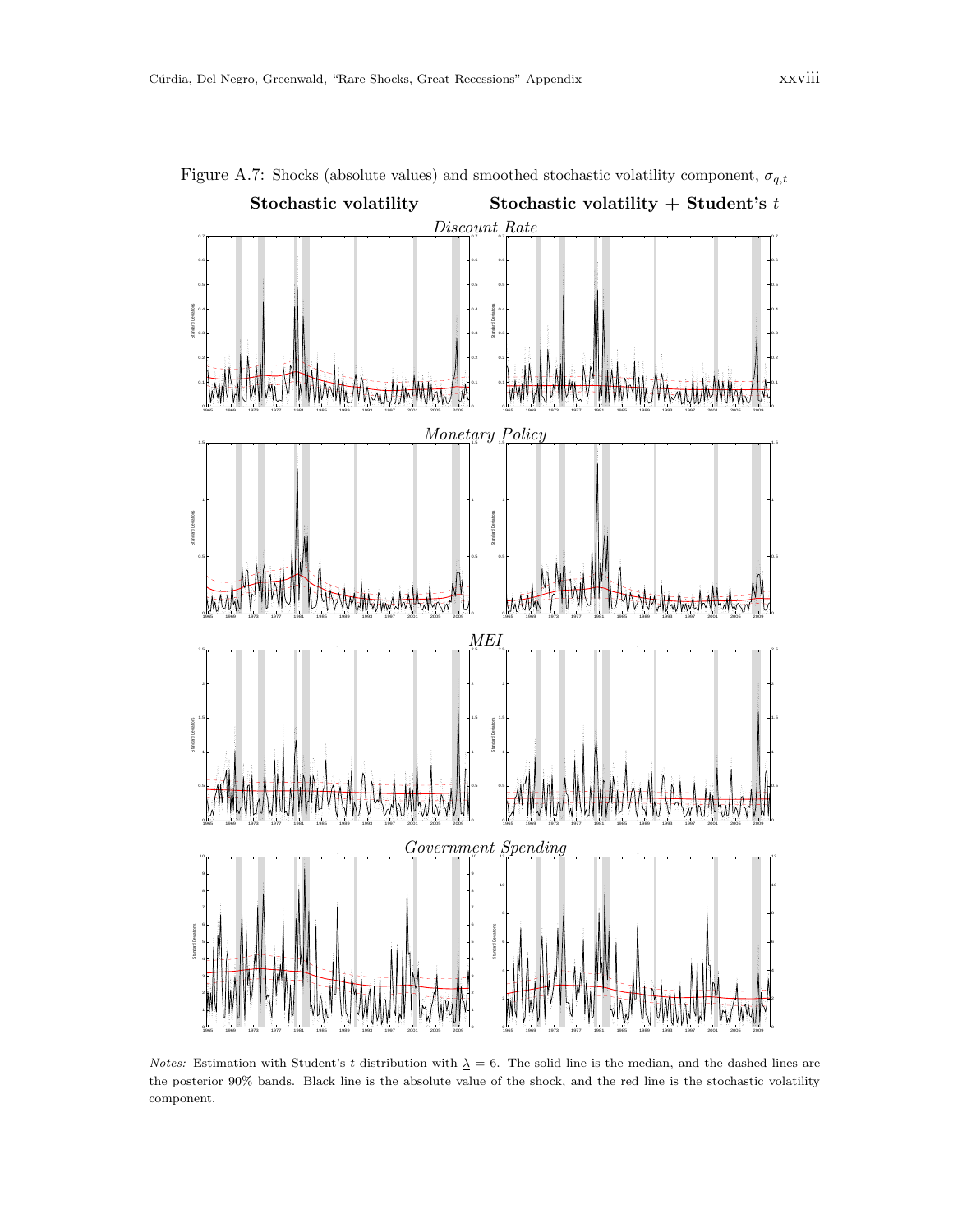

<span id="page-27-0"></span>Figure A.7: Shocks (absolute values) and smoothed stochastic volatility component,  $\sigma_{q,t}$ 

*Notes:* Estimation with Student's t distribution with  $\Delta = 6$ . The solid line is the median, and the dashed lines are the posterior 90% bands. Black line is the absolute value of the shock, and the red line is the stochastic volatility component.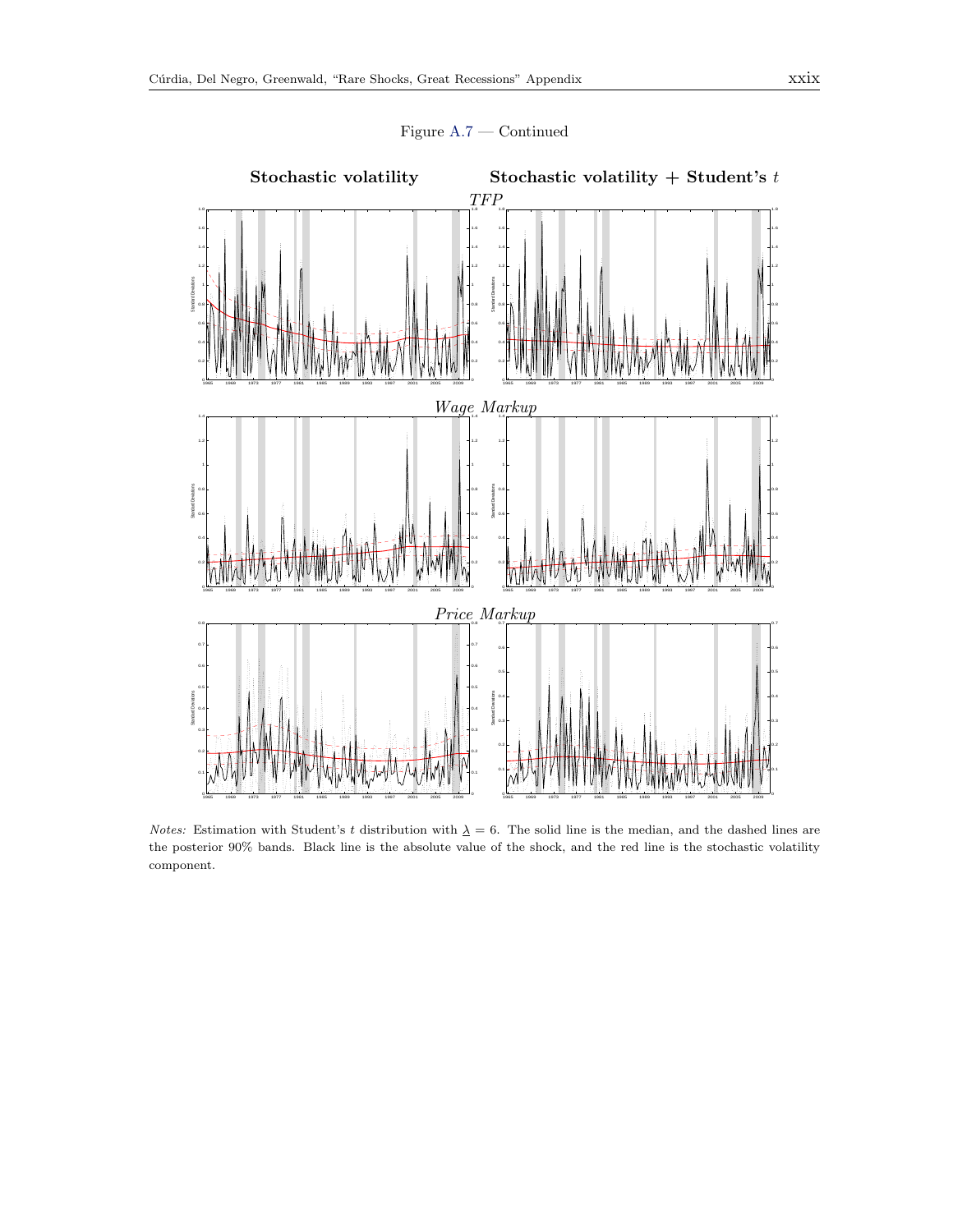



Figure [A.7](#page-27-0) — Continued

Notes: Estimation with Student's t distribution with  $\Delta = 6$ . The solid line is the median, and the dashed lines are the posterior 90% bands. Black line is the absolute value of the shock, and the red line is the stochastic volatility component.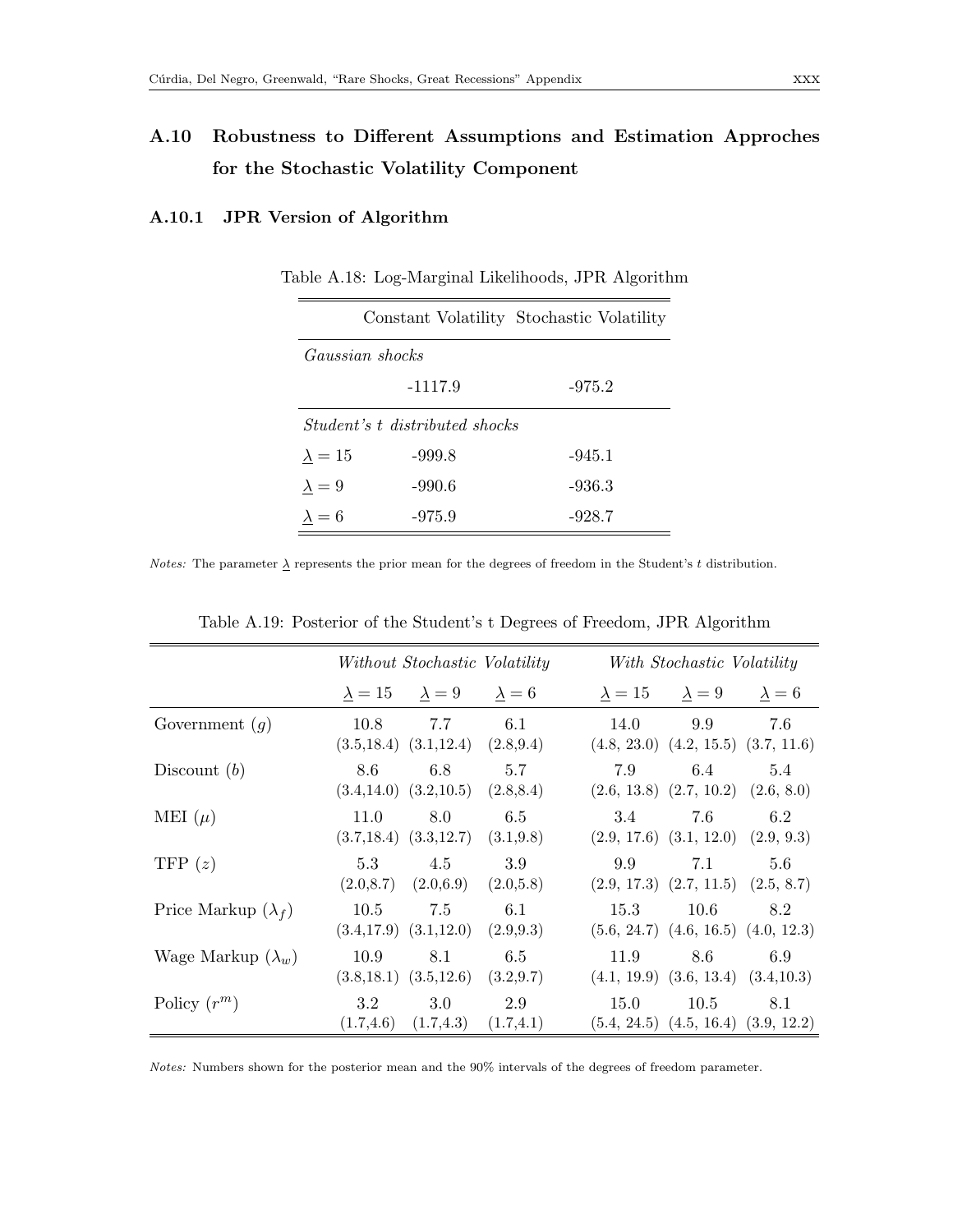# A.10 Robustness to Different Assumptions and Estimation Approches for the Stochastic Volatility Component

## A.10.1 JPR Version of Algorithm

|                 |                                       | Constant Volatility Stochastic Volatility |
|-----------------|---------------------------------------|-------------------------------------------|
| Gaussian shocks |                                       |                                           |
|                 | $-1117.9$                             | $-975.2$                                  |
|                 | <i>Student's t distributed shocks</i> |                                           |
| $\lambda = 15$  | $-999.8$                              | $-945.1$                                  |
| $\lambda = 9$   | -990.6                                | -936.3                                    |
| $\lambda = 6$   | $-975.9$                              | $-928.7$                                  |

|  |  |  | Table A.18: Log-Marginal Likelihoods, JPR Algorithm |
|--|--|--|-----------------------------------------------------|
|--|--|--|-----------------------------------------------------|

*Notes:* The parameter  $\lambda$  represents the prior mean for the degrees of freedom in the Student's t distribution.

|                            |      | Without Stochastic Volatility                              |                   |                                                                                       | With Stochastic Volatility |     |
|----------------------------|------|------------------------------------------------------------|-------------------|---------------------------------------------------------------------------------------|----------------------------|-----|
|                            |      | $\lambda = 15$ $\lambda = 9$ $\lambda = 6$                 |                   | $\lambda = 15$ $\lambda = 9$ $\lambda = 6$                                            |                            |     |
| Government $(q)$           |      | $10.8$ 7.7 6.1<br>$(3.5, 18.4)$ $(3.1, 12.4)$ $(2.8, 9.4)$ |                   | $(4.8, 23.0)$ $(4.2, 15.5)$ $(3.7, 11.6)$                                             | 14.0 9.9 7.6               |     |
| Discount $(b)$             | 8.6  | 6.8<br>$(3.4, 14.0)$ $(3.2, 10.5)$                         | 5.7<br>(2.8, 8.4) | 7.9<br>$(2.6, 13.8)$ $(2.7, 10.2)$ $(2.6, 8.0)$                                       | 6.4                        | 5.4 |
| MEI $(\mu)$                | 11.0 | 8.0<br>$(3.7, 18.4)$ $(3.3, 12.7)$ $(3.1, 9.8)$            | 6.5               | 3.4<br>$(2.9, 17.6)$ $(3.1, 12.0)$ $(2.9, 9.3)$                                       | 7.6                        | 6.2 |
| TFP $(z)$                  | 5.3  | 4.5<br>$(2.0,8.7)$ $(2.0,6.9)$ $(2.0,5.8)$                 | 3.9               | 9.9<br>$(2.9, 17.3)$ $(2.7, 11.5)$ $(2.5, 8.7)$                                       | 7.1                        | 5.6 |
| Price Markup $(\lambda_f)$ | 10.5 | 7.5<br>$(3.4, 17.9)$ $(3.1, 12.0)$ $(2.9, 9.3)$            | 6.1               | 15.3<br>$(5.6, 24.7)$ $(4.6, 16.5)$ $(4.0, 12.3)$                                     | 10.6                       | 8.2 |
| Wage Markup $(\lambda_w)$  | 10.9 | 8.1<br>$(3.8, 18.1)$ $(3.5, 12.6)$                         | 6.5<br>(3.2, 9.7) | 11.9<br>$(4.1, 19.9)$ $(3.6, 13.4)$ $(3.4, 10.3)$                                     | 8.6                        | 6.9 |
| Policy $(r^m)$             | 3.2  | 3.0                                                        | 2.9               | 15.0<br>$(1.7,4.6)$ $(1.7,4.3)$ $(1.7,4.1)$ $(5.4, 24.5)$ $(4.5, 16.4)$ $(3.9, 12.2)$ | $10.5\,$                   | 8.1 |

Table A.19: Posterior of the Student's t Degrees of Freedom, JPR Algorithm

Notes: Numbers shown for the posterior mean and the 90% intervals of the degrees of freedom parameter.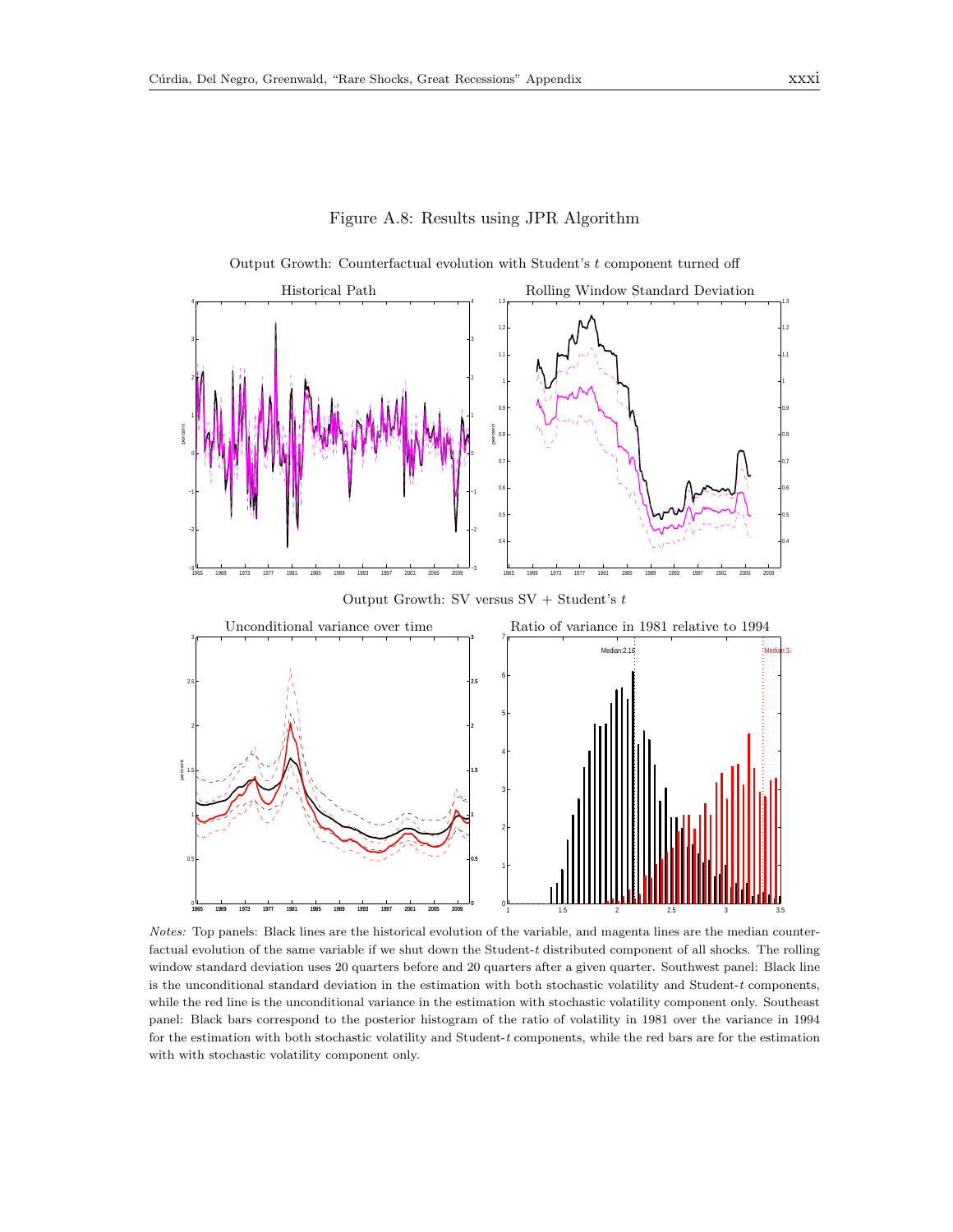

Figure A.8: Results using JPR Algorithm

Notes: Top panels: Black lines are the historical evolution of the variable, and magenta lines are the median counterfactual evolution of the same variable if we shut down the Student-t distributed component of all shocks. The rolling window standard deviation uses 20 quarters before and 20 quarters after a given quarter. Southwest panel: Black line is the unconditional standard deviation in the estimation with both stochastic volatility and Student- $t$  components, while the red line is the unconditional variance in the estimation with stochastic volatility component only. Southeast panel: Black bars correspond to the posterior histogram of the ratio of volatility in 1981 over the variance in 1994 for the estimation with both stochastic volatility and Student-t components, while the red bars are for the estimation with with stochastic volatility component only.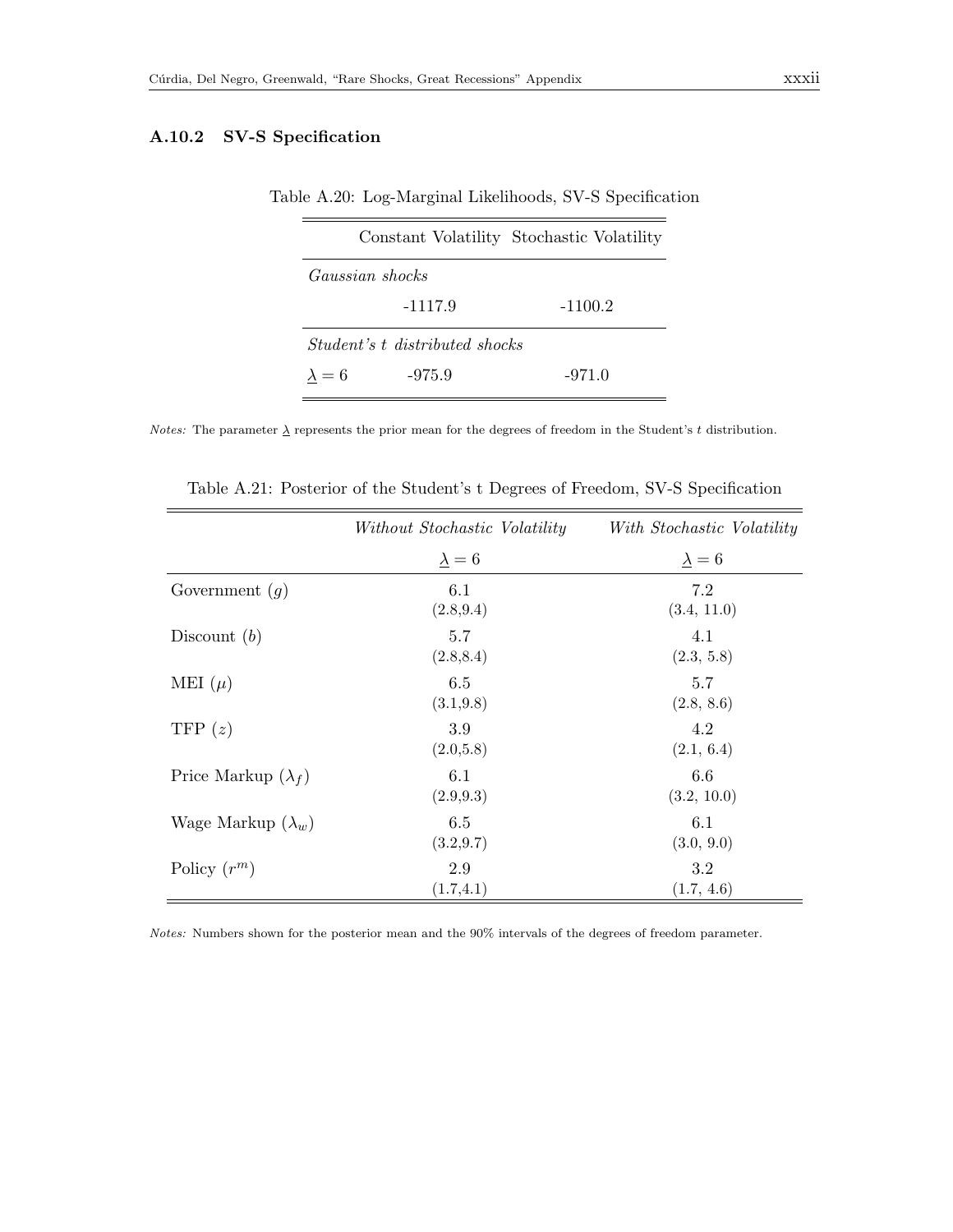## A.10.2 SV-S Specification

|  |  | Table A.20: Log-Marginal Likelihoods, SV-S Specification |  |  |  |
|--|--|----------------------------------------------------------|--|--|--|
|--|--|----------------------------------------------------------|--|--|--|

|                 |                                       | Constant Volatility Stochastic Volatility |
|-----------------|---------------------------------------|-------------------------------------------|
| Gaussian shocks |                                       |                                           |
|                 | $-1117.9$                             | $-1100.2$                                 |
|                 | <i>Student's t distributed shocks</i> |                                           |
| $\lambda = 6$   | $-975.9$                              | $-971.0$                                  |

*Notes:* The parameter  $\underline{\lambda}$  represents the prior mean for the degrees of freedom in the Student's t distribution.

|                            | Without Stochastic Volatility | With Stochastic Volatility |
|----------------------------|-------------------------------|----------------------------|
|                            | $\lambda = 6$                 | $\lambda = 6$              |
| Government $(g)$           | 6.1<br>(2.8, 9.4)             | 7.2<br>(3.4, 11.0)         |
| Discount $(b)$             | 5.7<br>(2.8, 8.4)             | 4.1<br>(2.3, 5.8)          |
| MEI $(\mu)$                | 6.5<br>(3.1, 9.8)             | 5.7<br>(2.8, 8.6)          |
| TFP $(z)$                  | 3.9<br>(2.0,5.8)              | 4.2<br>(2.1, 6.4)          |
| Price Markup $(\lambda_f)$ | 6.1<br>(2.9, 9.3)             | 6.6<br>(3.2, 10.0)         |
| Wage Markup $(\lambda_w)$  | 6.5<br>(3.2, 9.7)             | 6.1<br>(3.0, 9.0)          |
| Policy $(r^m)$             | 2.9<br>(1.7, 4.1)             | 3.2<br>(1.7, 4.6)          |

Table A.21: Posterior of the Student's t Degrees of Freedom, SV-S Specification

Notes: Numbers shown for the posterior mean and the 90% intervals of the degrees of freedom parameter.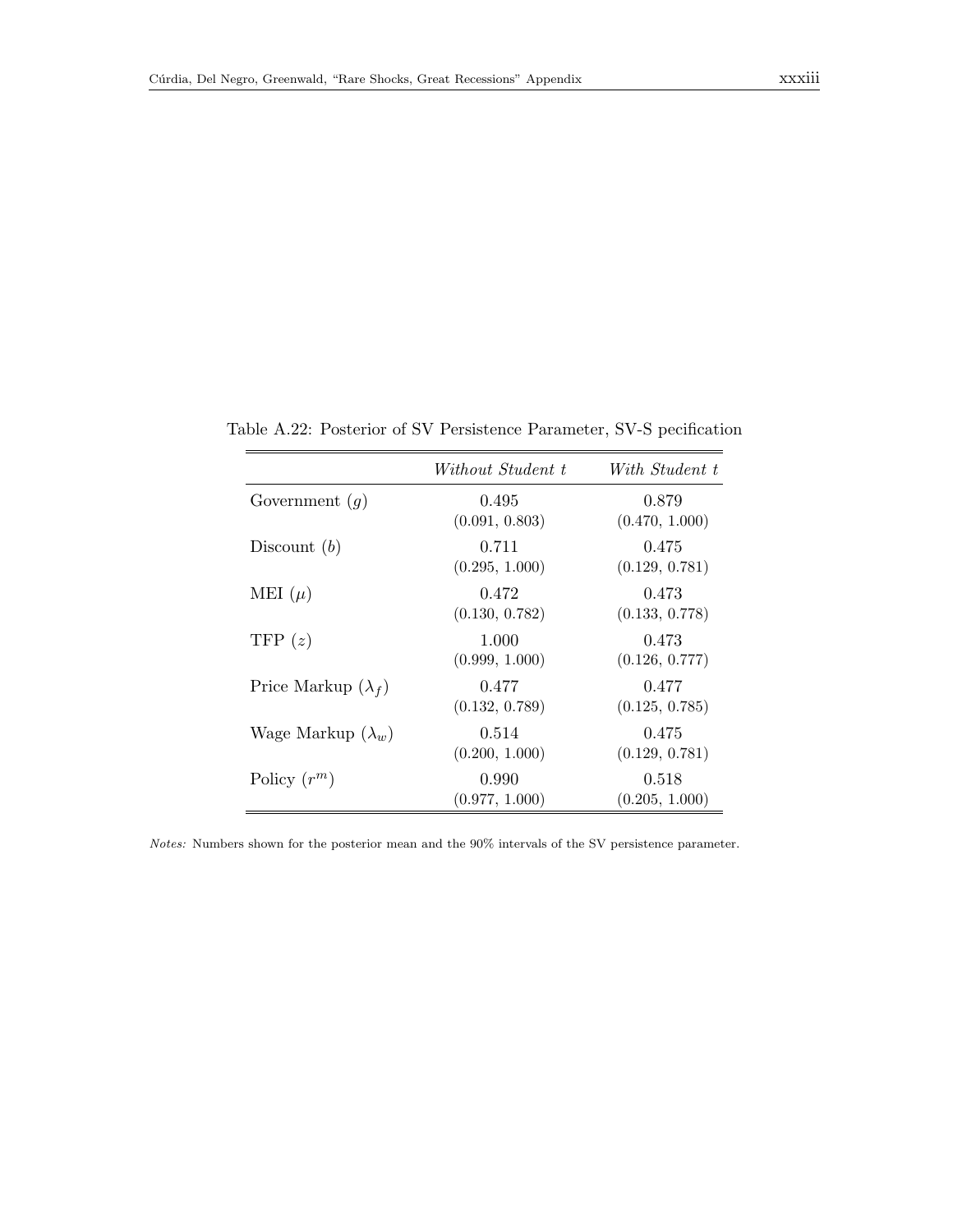|                            | Without Student t       | With Student t          |
|----------------------------|-------------------------|-------------------------|
| Government $(g)$           | 0.495<br>(0.091, 0.803) | 0.879<br>(0.470, 1.000) |
| Discount $(b)$             | 0.711<br>(0.295, 1.000) | 0.475<br>(0.129, 0.781) |
| MEI $(\mu)$                | 0.472<br>(0.130, 0.782) | 0.473<br>(0.133, 0.778) |
| TFP $(z)$                  | 1.000<br>(0.999, 1.000) | 0.473<br>(0.126, 0.777) |
| Price Markup $(\lambda_f)$ | 0.477<br>(0.132, 0.789) | 0.477<br>(0.125, 0.785) |
| Wage Markup $(\lambda_w)$  | 0.514<br>(0.200, 1.000) | 0.475<br>(0.129, 0.781) |
| Policy $(r^m)$             | 0.990<br>(0.977, 1.000) | 0.518<br>(0.205, 1.000) |

Table A.22: Posterior of SV Persistence Parameter, SV-S pecification

Notes: Numbers shown for the posterior mean and the 90% intervals of the SV persistence parameter.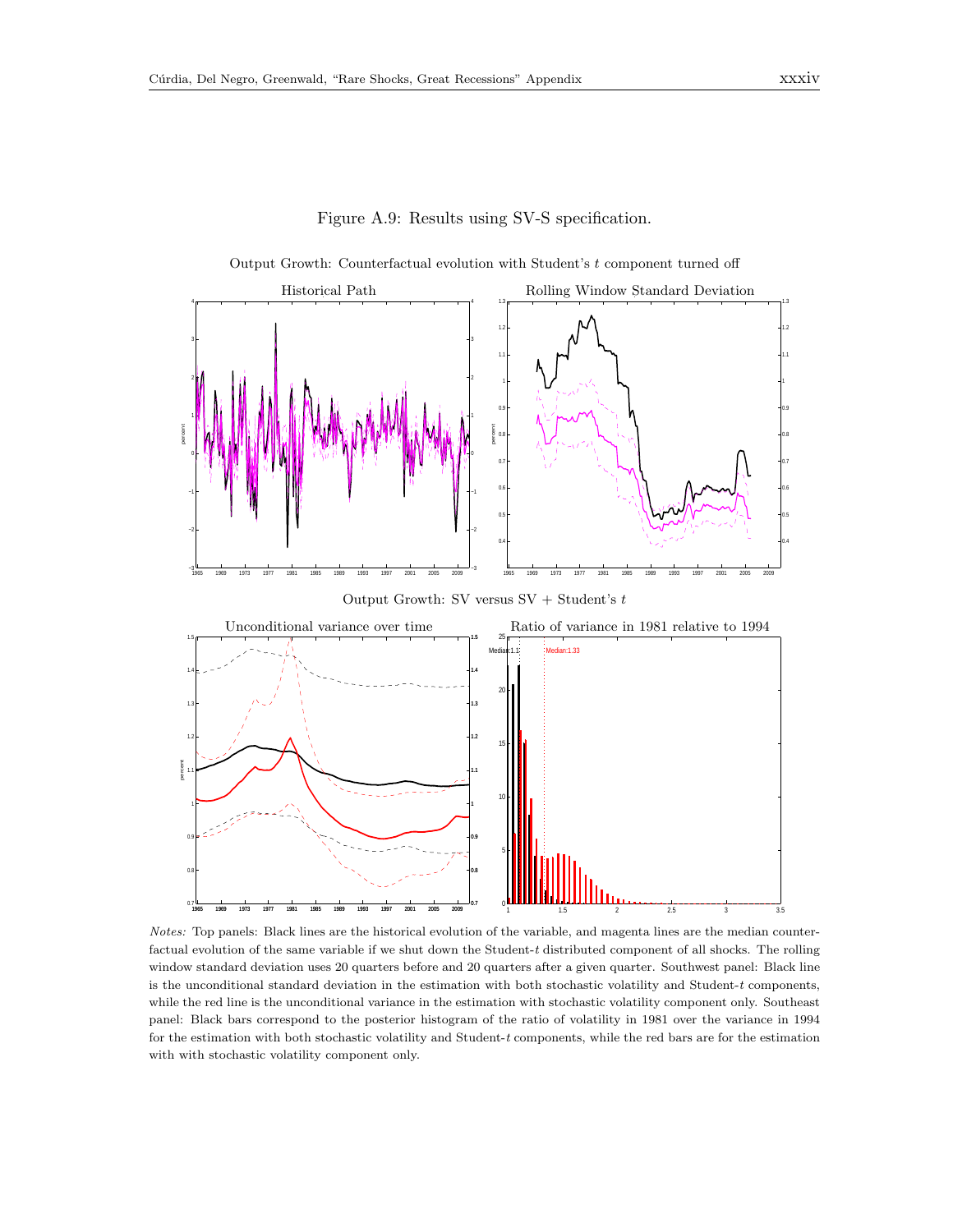

Figure A.9: Results using SV-S specification.

Notes: Top panels: Black lines are the historical evolution of the variable, and magenta lines are the median counterfactual evolution of the same variable if we shut down the Student- $t$  distributed component of all shocks. The rolling window standard deviation uses 20 quarters before and 20 quarters after a given quarter. Southwest panel: Black line is the unconditional standard deviation in the estimation with both stochastic volatility and Student- $t$  components, while the red line is the unconditional variance in the estimation with stochastic volatility component only. Southeast panel: Black bars correspond to the posterior histogram of the ratio of volatility in 1981 over the variance in 1994 for the estimation with both stochastic volatility and Student-t components, while the red bars are for the estimation with with stochastic volatility component only.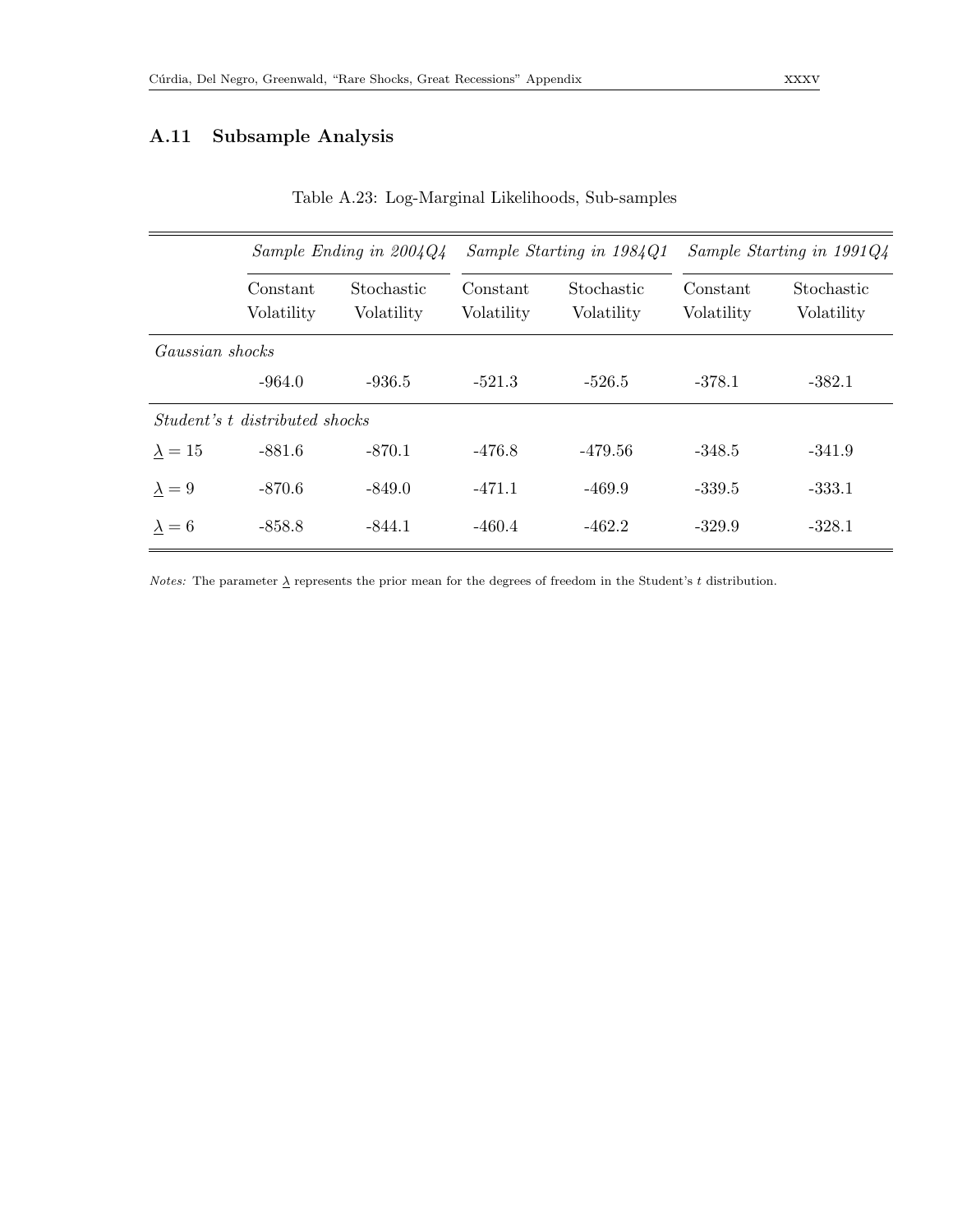## A.11 Subsample Analysis

|                 | Sample Ending in $2004Q4$             |                          |                        | Sample Starting in 1984Q1 | Sample Starting in $1991Q_4$ |                          |  |  |
|-----------------|---------------------------------------|--------------------------|------------------------|---------------------------|------------------------------|--------------------------|--|--|
|                 | Constant<br>Volatility                | Stochastic<br>Volatility | Constant<br>Volatility | Stochastic<br>Volatility  | Constant<br>Volatility       | Stochastic<br>Volatility |  |  |
| Gaussian shocks |                                       |                          |                        |                           |                              |                          |  |  |
|                 | $-964.0$                              | $-936.5$                 | $-521.3$               | $-526.5$                  | $-378.1$                     | $-382.1$                 |  |  |
|                 | <i>Student's</i> t distributed shocks |                          |                        |                           |                              |                          |  |  |
| $\lambda = 15$  | $-881.6$                              | $-870.1$                 | $-476.8$               | $-479.56$                 | $-348.5$                     | $-341.9$                 |  |  |
| $\lambda = 9$   | $-870.6$                              | $-849.0$                 | $-471.1$               | $-469.9$                  | $-339.5$                     | $-333.1$                 |  |  |
| $\lambda = 6$   | $-858.8$                              | $-844.1$                 | $-460.4$               | $-462.2$                  | $-329.9$                     | $-328.1$                 |  |  |

Table A.23: Log-Marginal Likelihoods, Sub-samples

*Notes:* The parameter  $\underline{\lambda}$  represents the prior mean for the degrees of freedom in the Student's t distribution.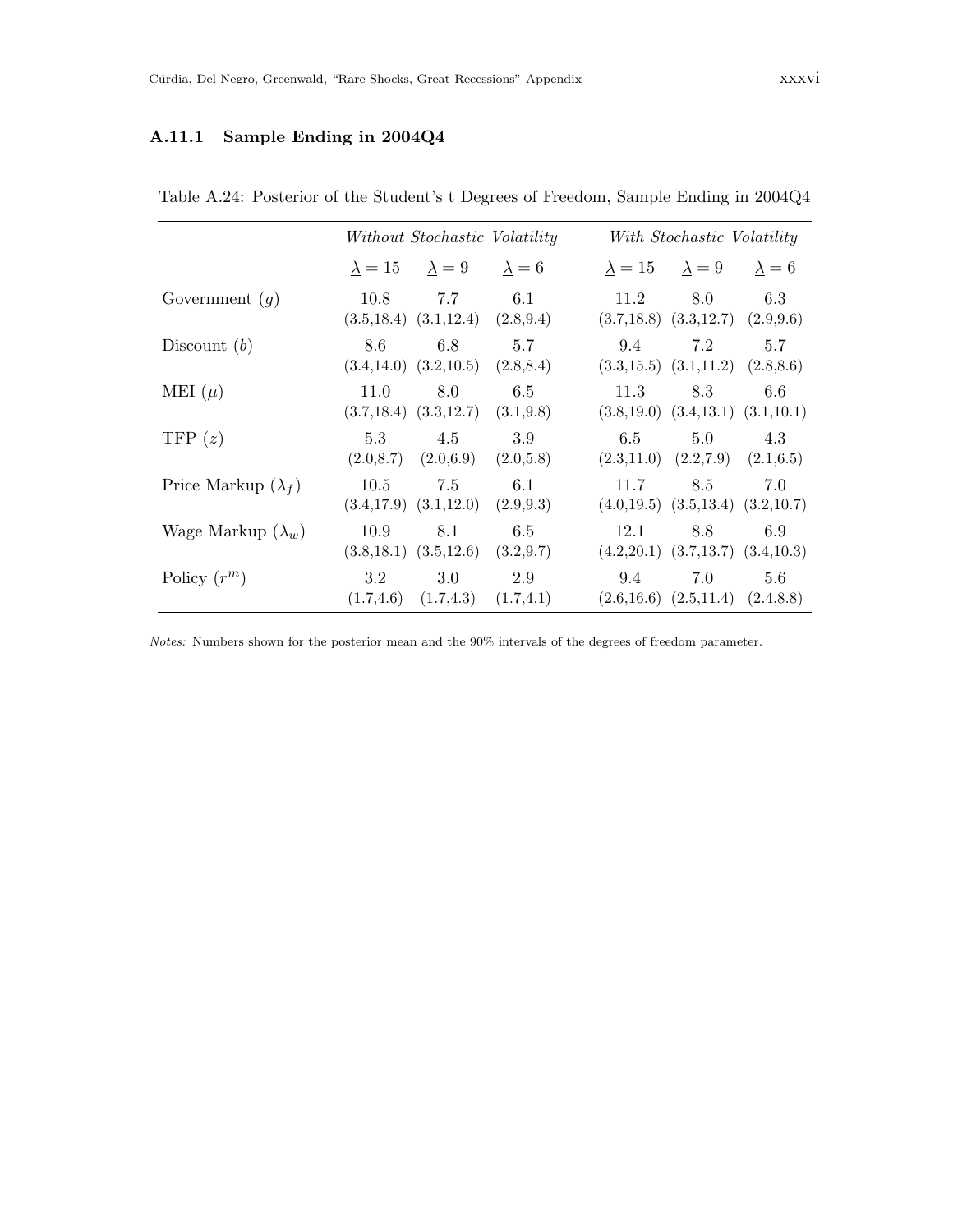#### A.11.1 Sample Ending in 2004Q4

|                            | Without Stochastic Volatility |                                                 |                                                 |                                                       | With Stochastic Volatility                      |     |  |  |
|----------------------------|-------------------------------|-------------------------------------------------|-------------------------------------------------|-------------------------------------------------------|-------------------------------------------------|-----|--|--|
|                            |                               | $\lambda = 15$ $\lambda = 9$ $\lambda = 6$      |                                                 |                                                       | $\lambda = 15$ $\lambda = 9$ $\lambda = 6$      |     |  |  |
| Government $(g)$           | 10.8                          | 7.7<br>$(3.5, 18.4)$ $(3.1, 12.4)$ $(2.8, 9.4)$ | 6.1                                             | 11.2<br>$(3.7,18.8)$ $(3.3,12.7)$ $(2.9,9.6)$         | 8.0                                             | 6.3 |  |  |
| Discount $(b)$             | 8.6                           | 6.8<br>$(3.4, 14.0)$ $(3.2, 10.5)$ $(2.8, 8.4)$ | 5.7                                             | 9.4<br>$(3.3, 15.5)$ $(3.1, 11.2)$ $(2.8, 8.6)$       | 7.2                                             | 5.7 |  |  |
| MEI $(\mu)$                | 11.0                          | 8.0<br>$(3.7, 18.4)$ $(3.3, 12.7)$ $(3.1, 9.8)$ | 6.5                                             | 11.3<br>$(3.8,19.0)$ $(3.4,13.1)$ $(3.1,10.1)$        | 8.3                                             | 6.6 |  |  |
| TFP $(z)$                  | 5.3                           | 4.5<br>$(2.0,8.7)$ $(2.0,6.9)$ $(2.0,5.8)$      | 3.9                                             | $6.5^{\circ}$<br>$(2.3,11.0)$ $(2.2,7.9)$ $(2.1,6.5)$ | 5.0                                             | 4.3 |  |  |
| Price Markup $(\lambda_f)$ | 10.5                          | 7.5<br>$(3.4, 17.9)$ $(3.1, 12.0)$ $(2.9, 9.3)$ | 6.1                                             | 11.7<br>$(4.0,19.5)$ $(3.5,13.4)$ $(3.2,10.7)$        | 8.5                                             | 7.0 |  |  |
| Wage Markup $(\lambda_w)$  | 10.9                          | 8.1                                             | 6.5<br>$(3.8, 18.1)$ $(3.5, 12.6)$ $(3.2, 9.7)$ | 12.1<br>$(4.2,20.1)$ $(3.7,13.7)$ $(3.4,10.3)$        | 8.8                                             | 6.9 |  |  |
| Policy $(r^m)$             | 3.2                           | 3.0<br>$(1.7, 4.6)$ $(1.7, 4.3)$ $(1.7, 4.1)$   | 2.9                                             | 9.4                                                   | 7.0<br>$(2.6, 16.6)$ $(2.5, 11.4)$ $(2.4, 8.8)$ | 5.6 |  |  |

Table A.24: Posterior of the Student's t Degrees of Freedom, Sample Ending in 2004Q4

Notes: Numbers shown for the posterior mean and the 90% intervals of the degrees of freedom parameter.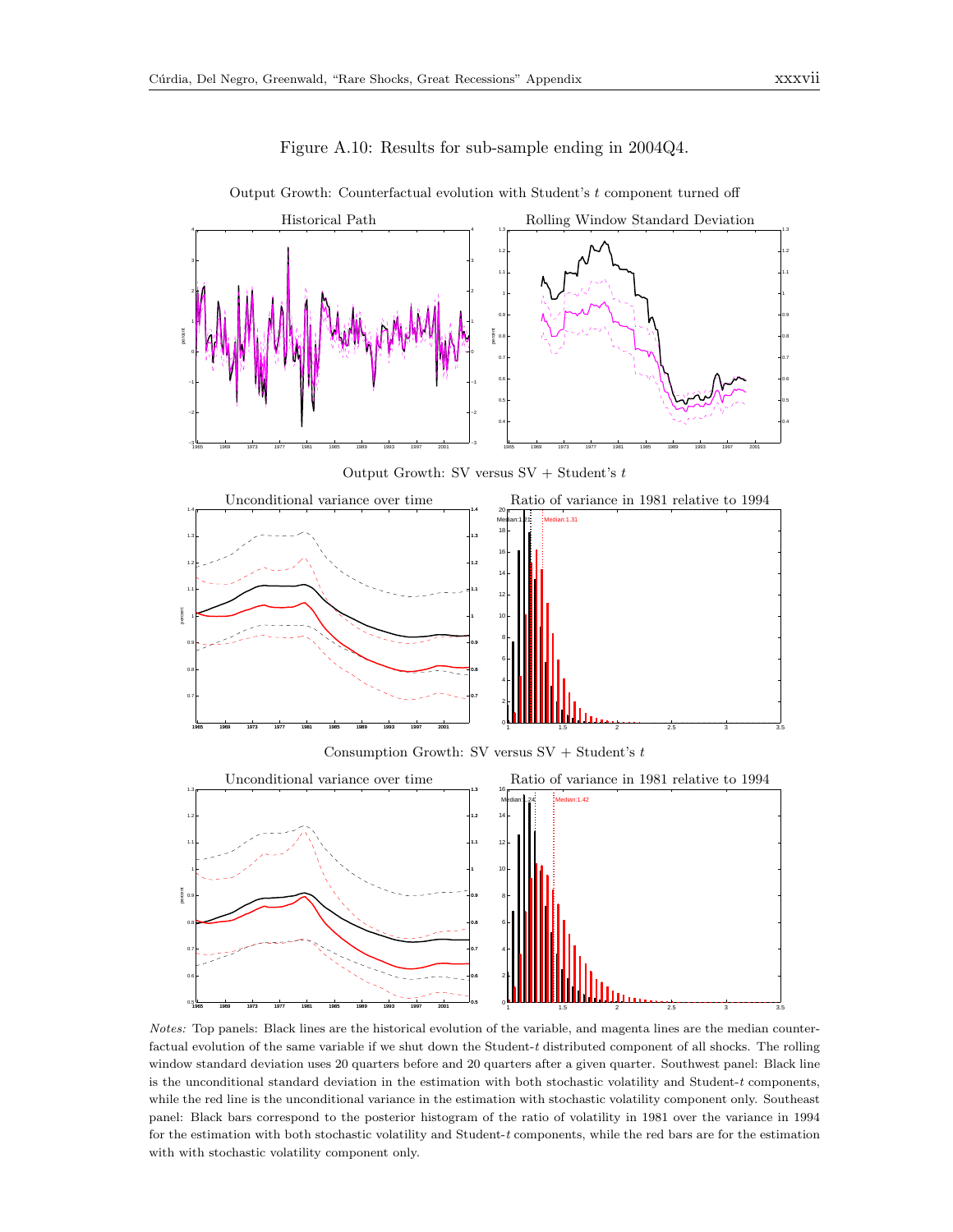

Figure A.10: Results for sub-sample ending in 2004Q4.

Output Growth: Counterfactual evolution with Student's  $t$  component turned off

Output Growth: SV versus  $SV + Student's$ 



Consumption Growth: SV versus SV + Student's  $t$ 



Notes: Top panels: Black lines are the historical evolution of the variable, and magenta lines are the median counterfactual evolution of the same variable if we shut down the Student-t distributed component of all shocks. The rolling window standard deviation uses 20 quarters before and 20 quarters after a given quarter. Southwest panel: Black line is the unconditional standard deviation in the estimation with both stochastic volatility and Student-t components, while the red line is the unconditional variance in the estimation with stochastic volatility component only. Southeast panel: Black bars correspond to the posterior histogram of the ratio of volatility in 1981 over the variance in 1994 for the estimation with both stochastic volatility and Student-t components, while the red bars are for the estimation with with stochastic volatility component only.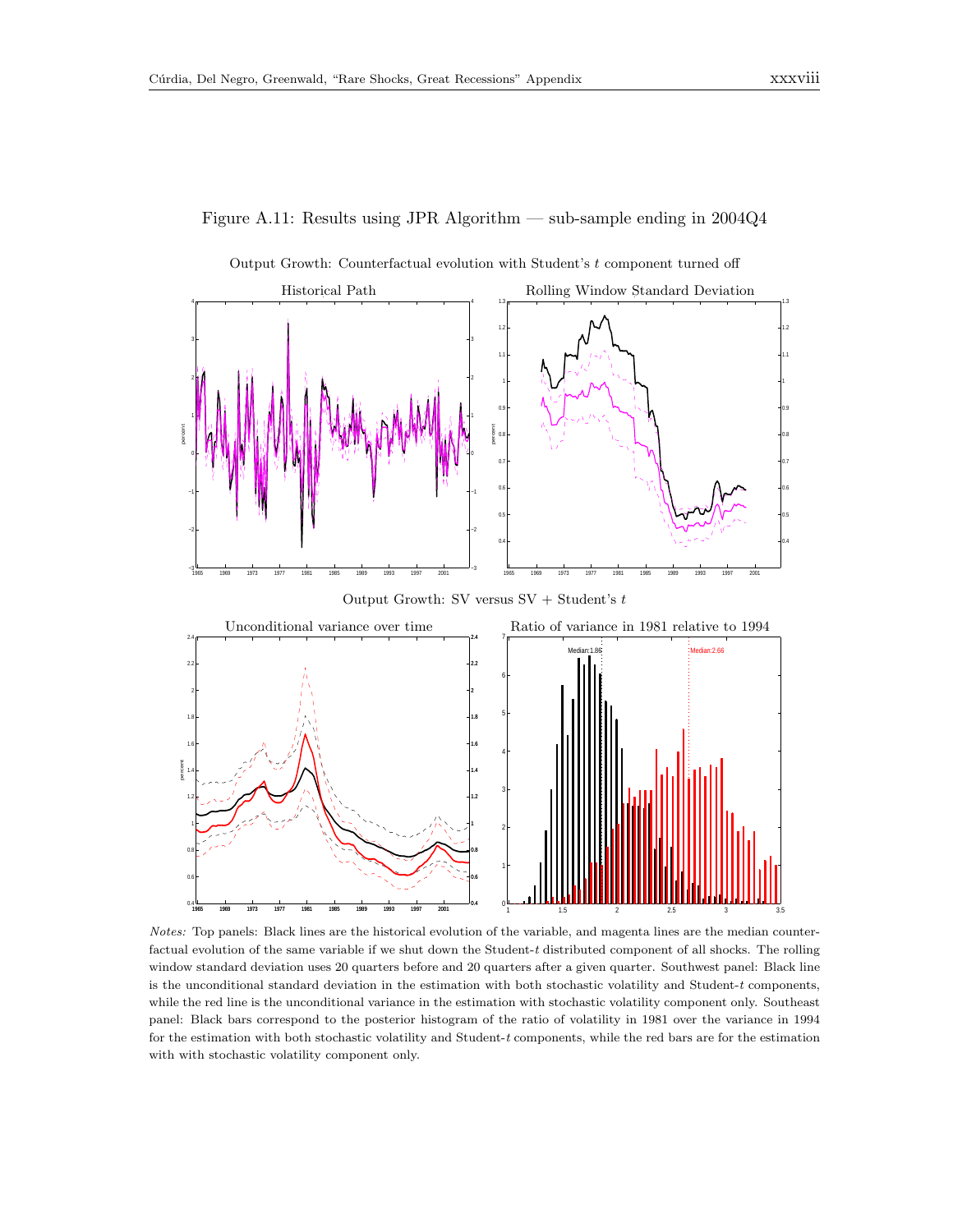



Output Growth: Counterfactual evolution with Student's  $t$  component turned off

Notes: Top panels: Black lines are the historical evolution of the variable, and magenta lines are the median counterfactual evolution of the same variable if we shut down the Student- $t$  distributed component of all shocks. The rolling window standard deviation uses 20 quarters before and 20 quarters after a given quarter. Southwest panel: Black line is the unconditional standard deviation in the estimation with both stochastic volatility and Student- $t$  components, while the red line is the unconditional variance in the estimation with stochastic volatility component only. Southeast panel: Black bars correspond to the posterior histogram of the ratio of volatility in 1981 over the variance in 1994 for the estimation with both stochastic volatility and Student-t components, while the red bars are for the estimation with with stochastic volatility component only.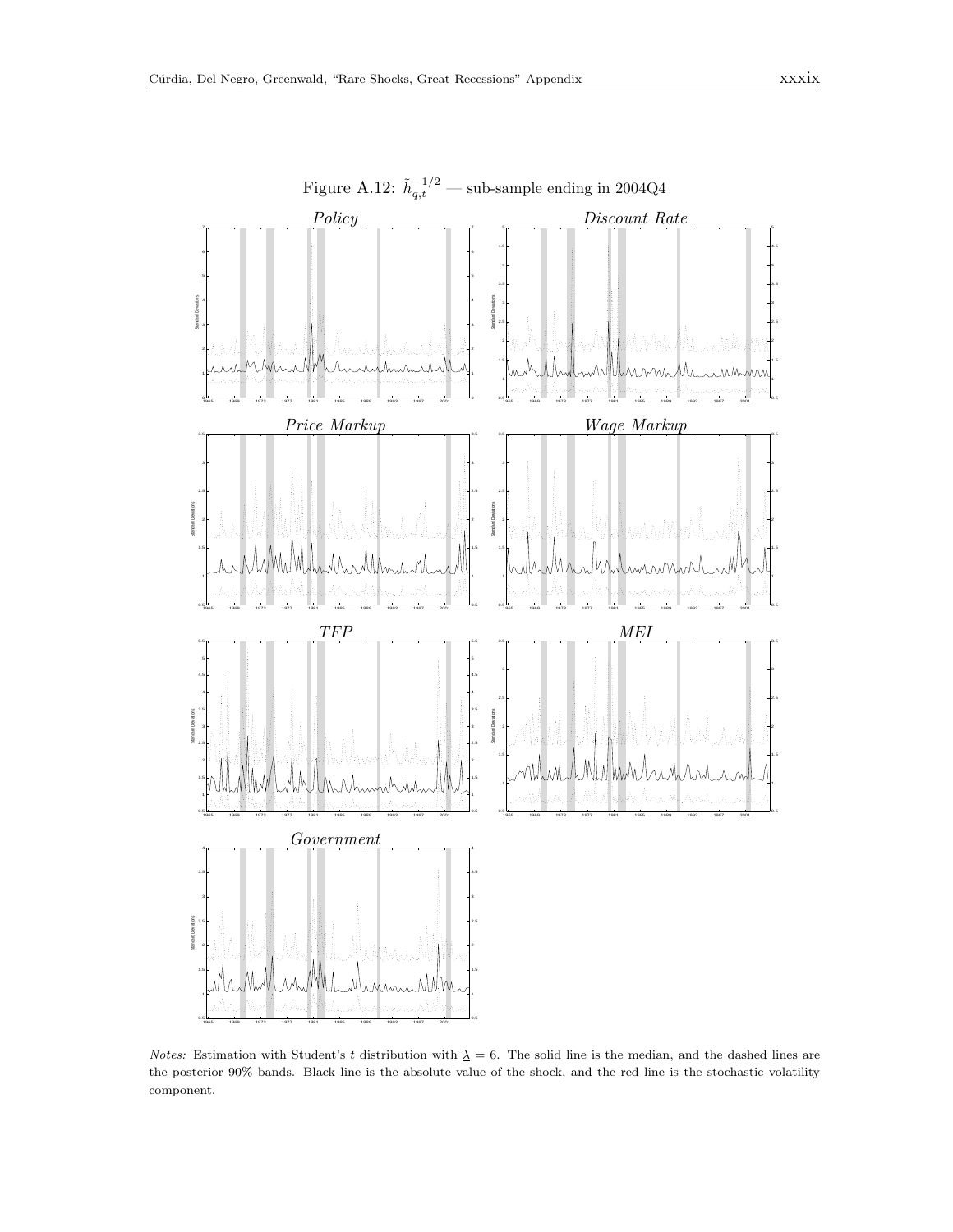

Figure A.12:  $\tilde{h}_{q,t}^{-1/2}$  — sub-sample ending in 2004Q4

Notes: Estimation with Student's t distribution with  $\Delta = 6$ . The solid line is the median, and the dashed lines are the posterior 90% bands. Black line is the absolute value of the shock, and the red line is the stochastic volatility component.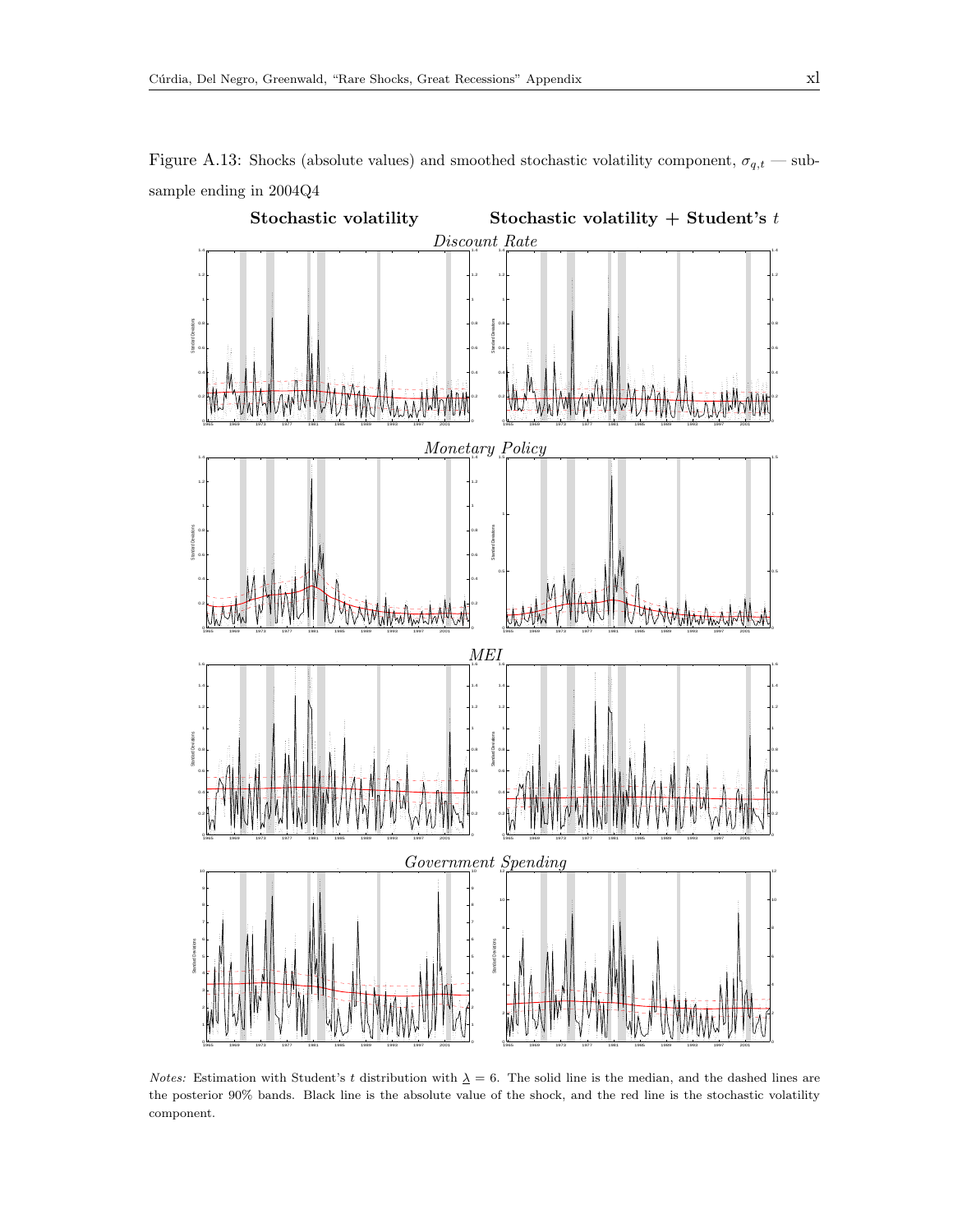

<span id="page-39-0"></span>

Notes: Estimation with Student's t distribution with  $\lambda = 6$ . The solid line is the median, and the dashed lines are the posterior 90% bands. Black line is the absolute value of the shock, and the red line is the stochastic volatility component.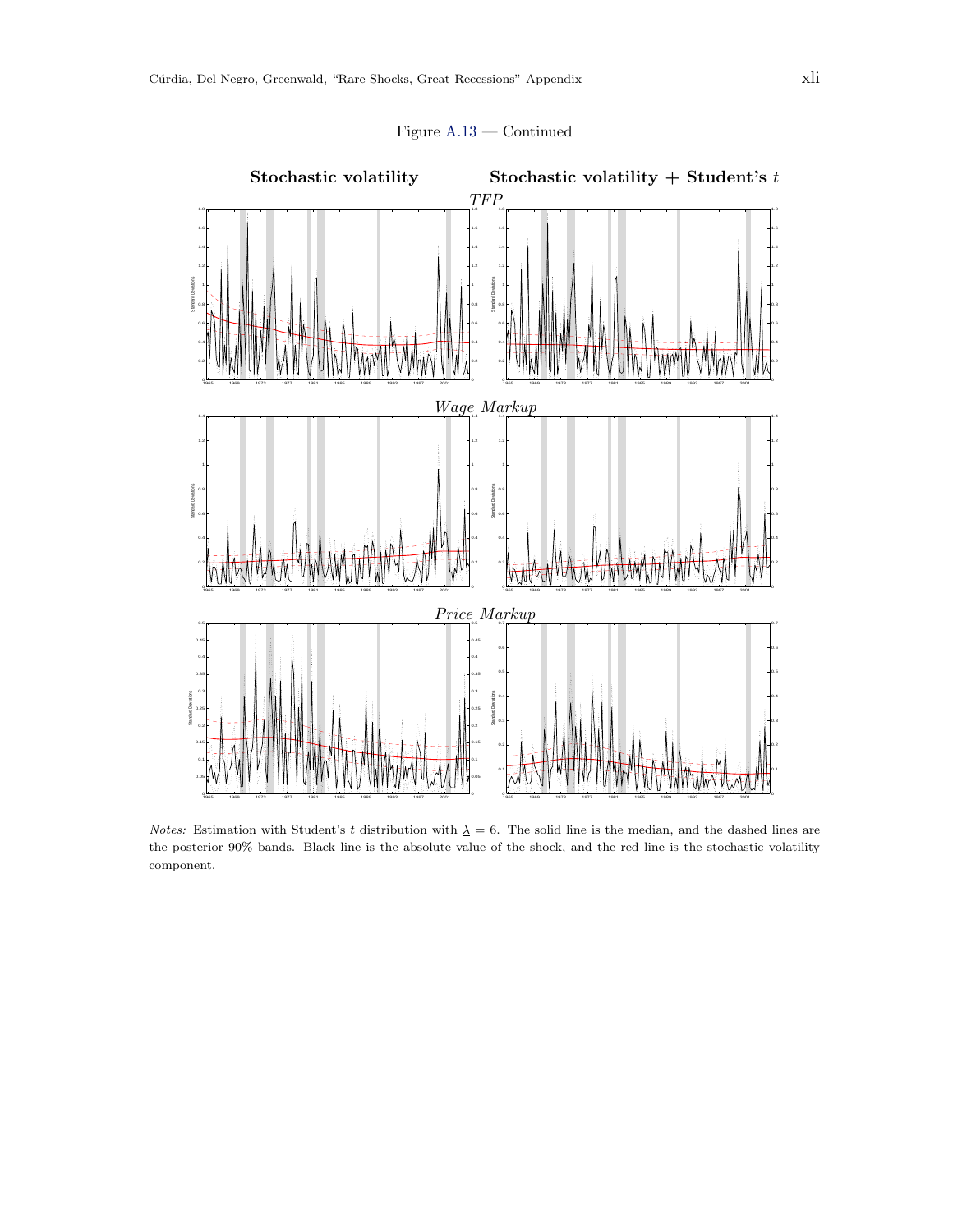

Figure [A.13](#page-39-0) — Continued

Notes: Estimation with Student's t distribution with  $\Delta = 6$ . The solid line is the median, and the dashed lines are the posterior 90% bands. Black line is the absolute value of the shock, and the red line is the stochastic volatility component.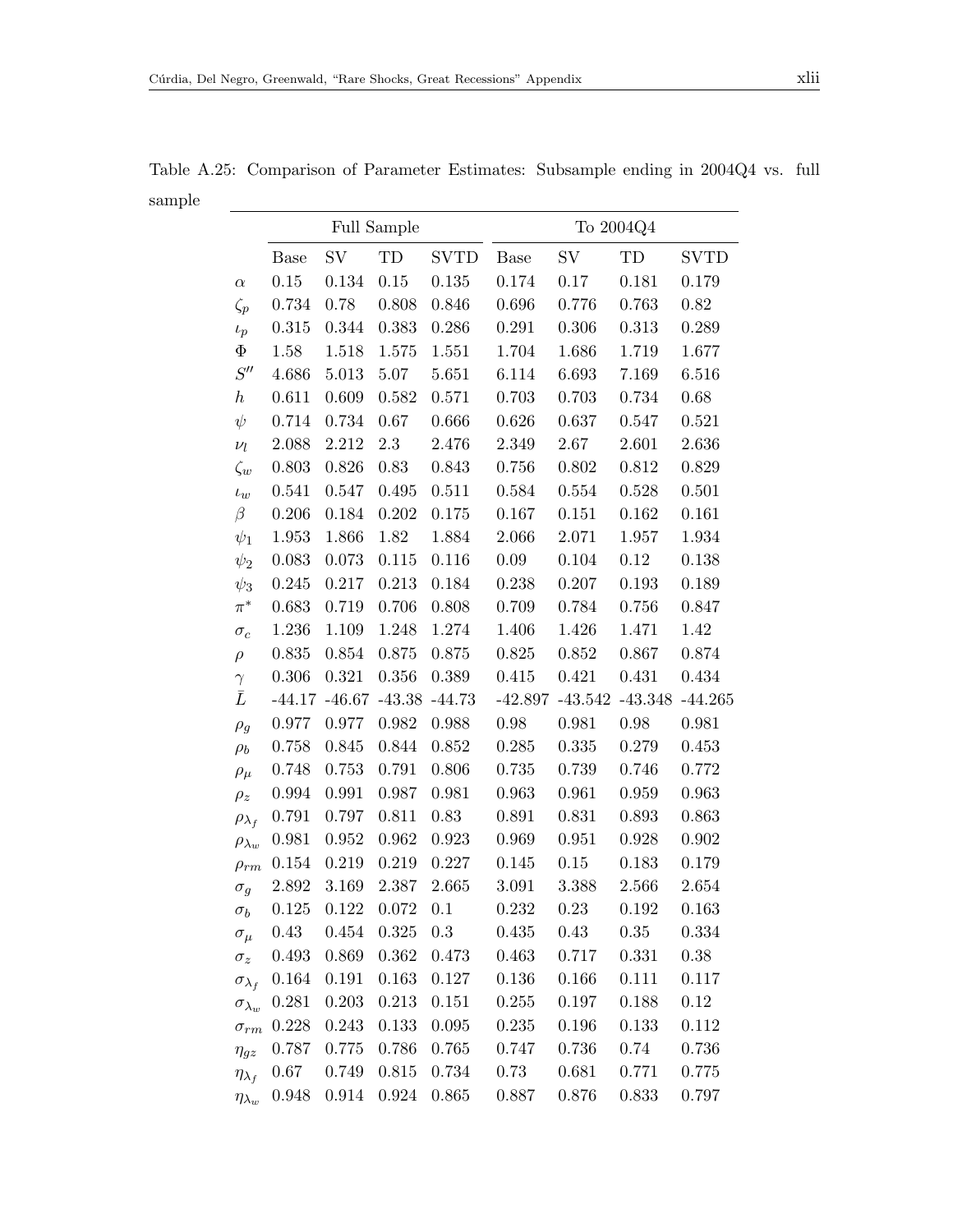<span id="page-41-0"></span>

|                      | Full Sample |          |          |             | To 2004Q4   |           |           |             |
|----------------------|-------------|----------|----------|-------------|-------------|-----------|-----------|-------------|
|                      | <b>Base</b> | SV       | TD       | <b>SVTD</b> | <b>Base</b> | SV        | TD        | <b>SVTD</b> |
| $\alpha$             | 0.15        | 0.134    | 0.15     | 0.135       | 0.174       | 0.17      | 0.181     | 0.179       |
| $\zeta_p$            | 0.734       | 0.78     | 0.808    | 0.846       | 0.696       | 0.776     | 0.763     | 0.82        |
| $\iota_p$            | 0.315       | 0.344    | 0.383    | 0.286       | 0.291       | 0.306     | 0.313     | 0.289       |
| $\Phi$               | 1.58        | 1.518    | 1.575    | 1.551       | 1.704       | 1.686     | 1.719     | 1.677       |
| S''                  | 4.686       | 5.013    | 5.07     | 5.651       | 6.114       | 6.693     | 7.169     | 6.516       |
| $\boldsymbol{h}$     | 0.611       | 0.609    | 0.582    | 0.571       | 0.703       | 0.703     | 0.734     | 0.68        |
| $\psi$               | 0.714       | 0.734    | 0.67     | 0.666       | 0.626       | 0.637     | 0.547     | 0.521       |
| $\nu_l$              | 2.088       | 2.212    | 2.3      | 2.476       | 2.349       | 2.67      | 2.601     | 2.636       |
| $\zeta_w$            | 0.803       | 0.826    | 0.83     | 0.843       | 0.756       | 0.802     | 0.812     | 0.829       |
| $\iota_w$            | 0.541       | 0.547    | 0.495    | 0.511       | 0.584       | 0.554     | 0.528     | 0.501       |
| $\beta$              | 0.206       | 0.184    | 0.202    | 0.175       | 0.167       | 0.151     | 0.162     | 0.161       |
| $\psi_1$             | 1.953       | 1.866    | 1.82     | 1.884       | 2.066       | 2.071     | 1.957     | 1.934       |
| $\psi_2$             | 0.083       | 0.073    | 0.115    | 0.116       | 0.09        | 0.104     | 0.12      | 0.138       |
| $\psi_3$             | 0.245       | 0.217    | 0.213    | 0.184       | 0.238       | 0.207     | 0.193     | 0.189       |
| $\pi^*$              | 0.683       | 0.719    | 0.706    | 0.808       | 0.709       | 0.784     | 0.756     | 0.847       |
| $\sigma_c$           | 1.236       | 1.109    | 1.248    | 1.274       | 1.406       | 1.426     | 1.471     | 1.42        |
| $\rho$               | 0.835       | 0.854    | 0.875    | 0.875       | 0.825       | 0.852     | 0.867     | 0.874       |
| $\gamma$             | 0.306       | 0.321    | 0.356    | 0.389       | 0.415       | 0.421     | 0.431     | 0.434       |
| $\bar{L}$            | $-44.17$    | $-46.67$ | $-43.38$ | $-44.73$    | $-42.897$   | $-43.542$ | $-43.348$ | $-44.265$   |
| $\rho_g$             | 0.977       | 0.977    | 0.982    | 0.988       | 0.98        | 0.981     | 0.98      | 0.981       |
| $\rho_b$             | 0.758       | 0.845    | 0.844    | 0.852       | 0.285       | 0.335     | 0.279     | 0.453       |
| $\rho_\mu$           | 0.748       | 0.753    | 0.791    | 0.806       | 0.735       | 0.739     | 0.746     | 0.772       |
| $\rho_z$             | 0.994       | 0.991    | 0.987    | 0.981       | 0.963       | 0.961     | 0.959     | 0.963       |
| $\rho_{\lambda_f}$   | 0.791       | 0.797    | 0.811    | 0.83        | 0.891       | 0.831     | 0.893     | 0.863       |
| $\rho_{\lambda_w}$   | 0.981       | 0.952    | 0.962    | 0.923       | 0.969       | 0.951     | 0.928     | 0.902       |
| $\rho_{rm}$          | 0.154       | 0.219    | 0.219    | 0.227       | 0.145       | 0.15      | 0.183     | 0.179       |
| $\sigma_g$           | 2.892       | 3.169    | 2.387    | 2.665       | 3.091       | 3.388     | 2.566     | 2.654       |
| $\sigma_b$           | 0.125       | 0.122    | 0.072    | 0.1         | 0.232       | 0.23      | 0.192     | 0.163       |
| $\sigma_{\mu}$       | 0.43        | 0.454    | 0.325    | 0.3         | 0.435       | 0.43      | $0.35\,$  | 0.334       |
| $\sigma_z$           | 0.493       | 0.869    | 0.362    | 0.473       | 0.463       | 0.717     | 0.331     | 0.38        |
| $\sigma_{\lambda_f}$ | 0.164       | 0.191    | 0.163    | 0.127       | 0.136       | 0.166     | 0.111     | 0.117       |
| $\sigma_{\lambda_w}$ | 0.281       | 0.203    | 0.213    | 0.151       | 0.255       | 0.197     | 0.188     | 0.12        |
| $\sigma_{rm}$        | 0.228       | 0.243    | 0.133    | 0.095       | 0.235       | 0.196     | 0.133     | 0.112       |
| $\eta_{gz}$          | 0.787       | 0.775    | 0.786    | 0.765       | 0.747       | 0.736     | 0.74      | 0.736       |
| $\eta_{\lambda_f}$   | 0.67        | 0.749    | 0.815    | 0.734       | 0.73        | 0.681     | 0.771     | 0.775       |
| $\eta_{\lambda_w}$   | 0.948       | 0.914    | 0.924    | 0.865       | 0.887       | 0.876     | 0.833     | 0.797       |

Table A.25: Comparison of Parameter Estimates: Subsample ending in 2004Q4 vs. full sample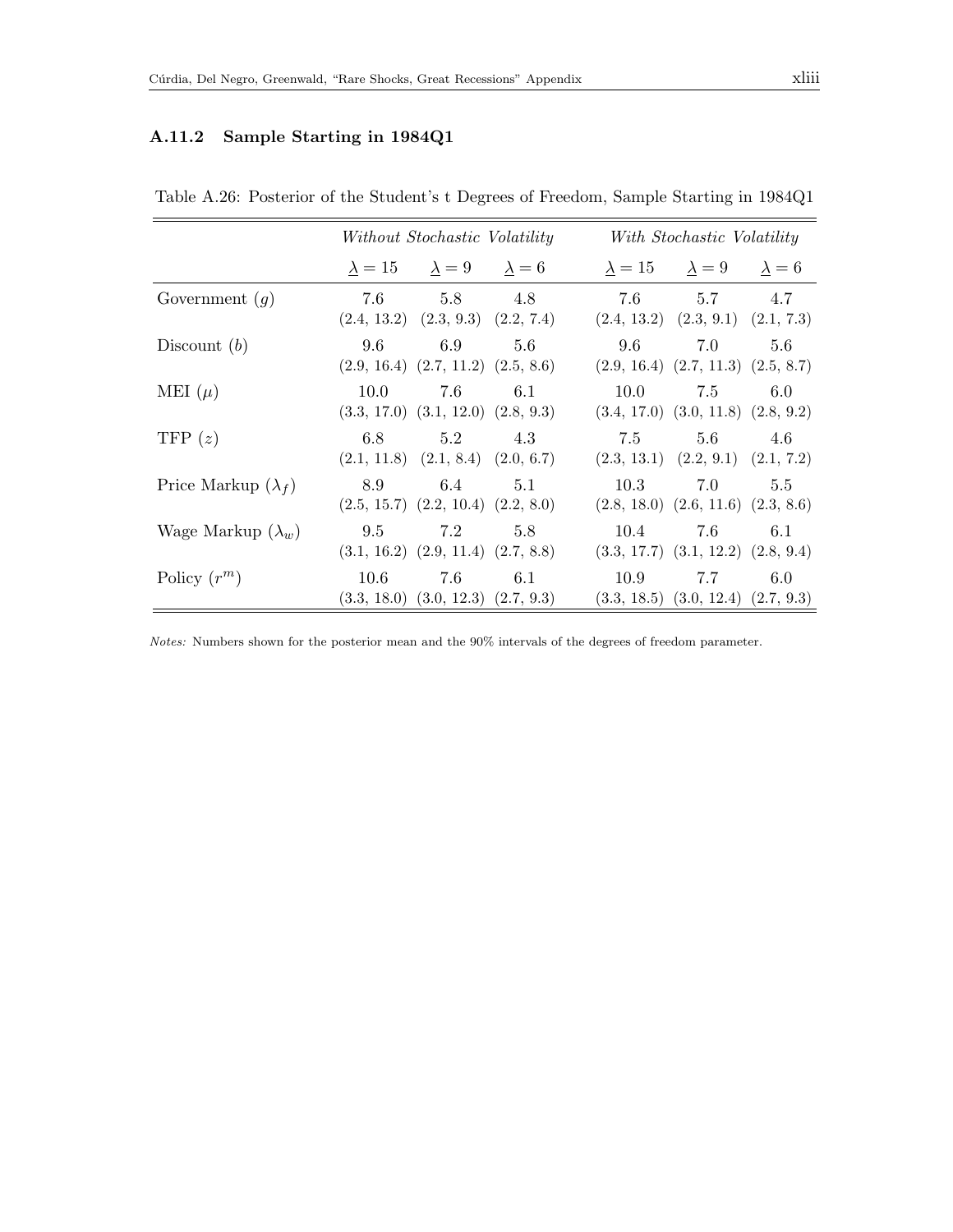## A.11.2 Sample Starting in 1984Q1

|                            | Without Stochastic Volatility |                                                           |     | With Stochastic Volatility                       |                |     |  |
|----------------------------|-------------------------------|-----------------------------------------------------------|-----|--------------------------------------------------|----------------|-----|--|
|                            |                               | $\lambda = 15$ $\lambda = 9$ $\lambda = 6$                |     | $\lambda = 15$ $\lambda = 9$ $\lambda = 6$       |                |     |  |
| Government $(g)$           |                               | 7.6 5.8 4.8<br>$(2.4, 13.2)$ $(2.3, 9.3)$ $(2.2, 7.4)$    |     | $(2.4, 13.2)$ $(2.3, 9.1)$ $(2.1, 7.3)$          | 7.6 5.7 4.7    |     |  |
| Discount $(b)$             | 9.6                           | 6.9<br>$(2.9, 16.4)$ $(2.7, 11.2)$ $(2.5, 8.6)$           | 5.6 | 9.6<br>$(2.9, 16.4)$ $(2.7, 11.3)$ $(2.5, 8.7)$  | 7.0            | 5.6 |  |
| MEI $(\mu)$                | 10.0                          | 7.6<br>$(3.3, 17.0)$ $(3.1, 12.0)$ $(2.8, 9.3)$           | 6.1 | $(3.4, 17.0)$ $(3.0, 11.8)$ $(2.8, 9.2)$         | $10.0$ 7.5 6.0 |     |  |
| TFP $(z)$                  | 6.8                           | 5.2<br>$(2.1, 11.8)$ $(2.1, 8.4)$ $(2.0, 6.7)$            | 4.3 | 7.5<br>$(2.3, 13.1)$ $(2.2, 9.1)$ $(2.1, 7.2)$   | 5.6            | 4.6 |  |
| Price Markup $(\lambda_f)$ | 8.9                           | 6.4<br>$(2.5, 15.7)$ $(2.2, 10.4)$ $(2.2, 8.0)$           | 5.1 | 10.3<br>$(2.8, 18.0)$ $(2.6, 11.6)$ $(2.3, 8.6)$ | 7.0            | 5.5 |  |
| Wage Markup $(\lambda_w)$  |                               | 9.5 $7.2$ 5.8<br>$(3.1, 16.2)$ $(2.9, 11.4)$ $(2.7, 8.8)$ |     | $(3.3, 17.7)$ $(3.1, 12.2)$ $(2.8, 9.4)$         | $10.4$ 7.6 6.1 |     |  |
| Policy $(r^m)$             | 10.6                          | 7.6<br>$(3.3, 18.0)$ $(3.0, 12.3)$ $(2.7, 9.3)$           | 6.1 | 10.9<br>$(3.3, 18.5)$ $(3.0, 12.4)$ $(2.7, 9.3)$ | 7.7            | 6.0 |  |

Table A.26: Posterior of the Student's t Degrees of Freedom, Sample Starting in 1984Q1

Notes: Numbers shown for the posterior mean and the 90% intervals of the degrees of freedom parameter.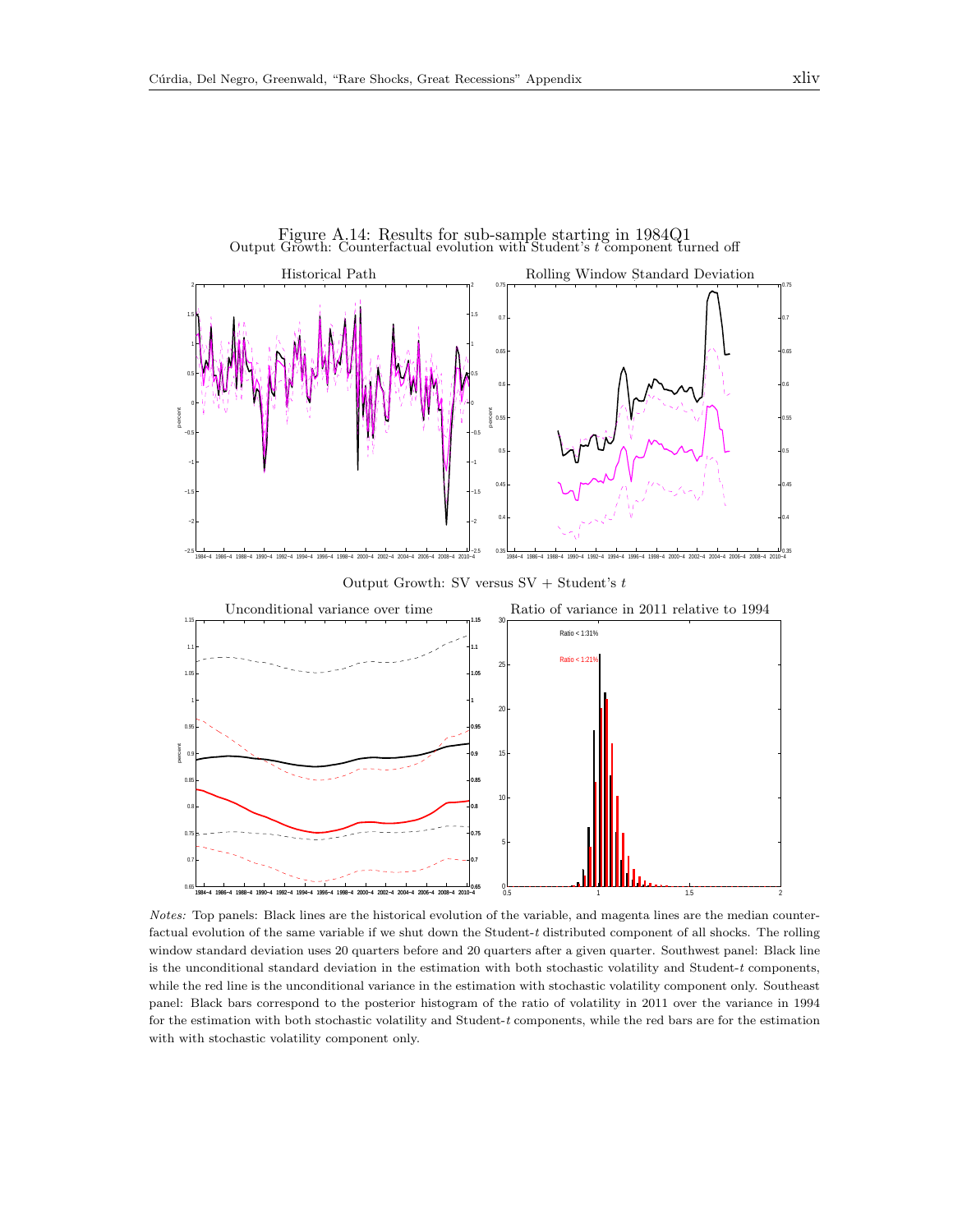

Notes: Top panels: Black lines are the historical evolution of the variable, and magenta lines are the median counterfactual evolution of the same variable if we shut down the Student-t distributed component of all shocks. The rolling window standard deviation uses 20 quarters before and 20 quarters after a given quarter. Southwest panel: Black line is the unconditional standard deviation in the estimation with both stochastic volatility and Student- $t$  components, while the red line is the unconditional variance in the estimation with stochastic volatility component only. Southeast panel: Black bars correspond to the posterior histogram of the ratio of volatility in 2011 over the variance in 1994 for the estimation with both stochastic volatility and Student-t components, while the red bars are for the estimation with with stochastic volatility component only.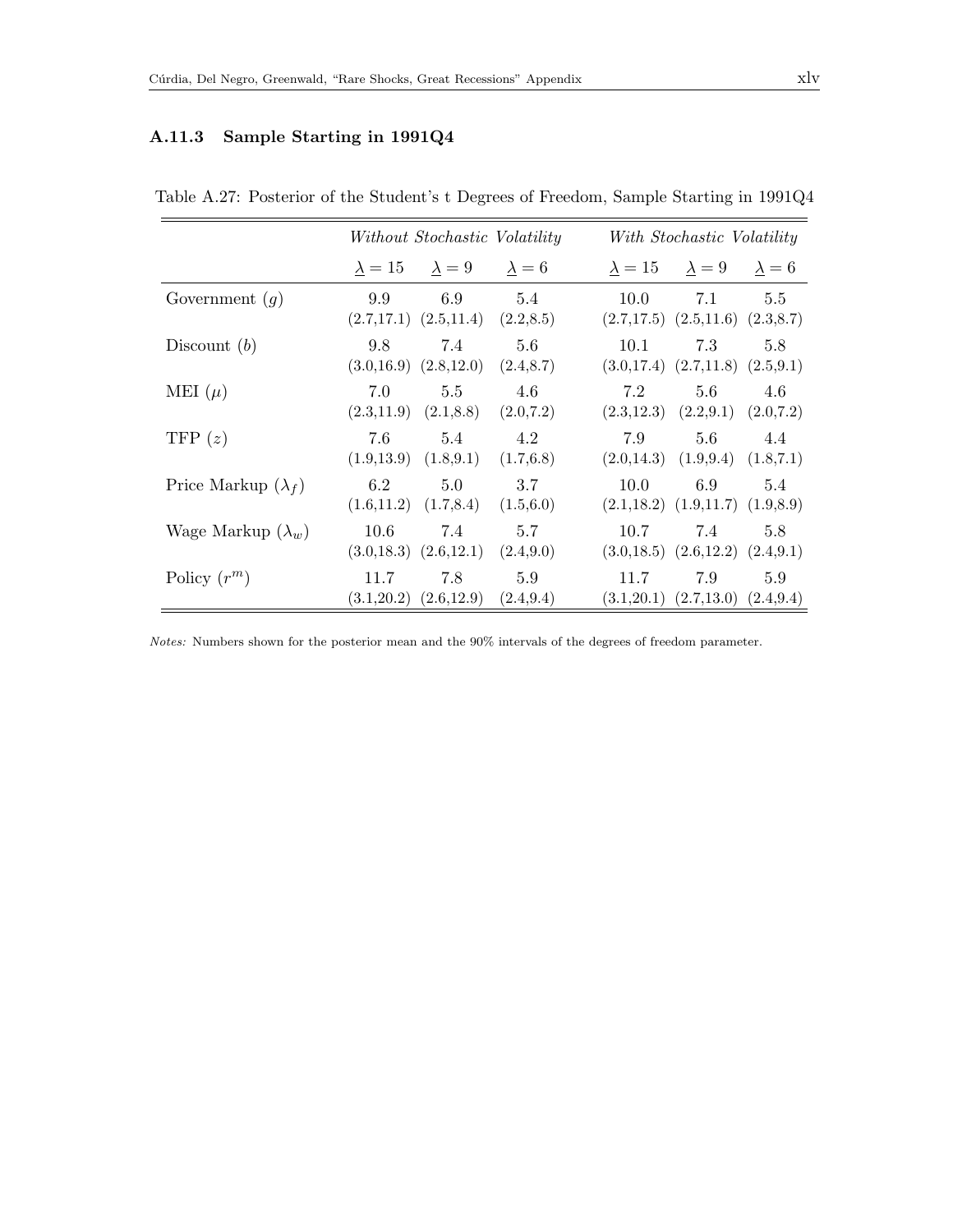## A.11.3 Sample Starting in 1991Q4

|                            | Without Stochastic Volatility |                                                 |                   |                                                  | With Stochastic Volatility   |                   |  |  |
|----------------------------|-------------------------------|-------------------------------------------------|-------------------|--------------------------------------------------|------------------------------|-------------------|--|--|
|                            |                               | $\lambda = 15$ $\lambda = 9$ $\lambda = 6$      |                   |                                                  | $\lambda = 15$ $\lambda = 9$ | $\lambda = 6$     |  |  |
| Government $(g)$           | 9.9                           | 6.9<br>$(2.7,17.1)$ $(2.5,11.4)$ $(2.2,8.5)$    | 5.4               | 10.0<br>$(2.7,17.5)$ $(2.5,11.6)$ $(2.3,8.7)$    | 7.1                          | 5.5               |  |  |
| Discount $(b)$             | 9.8                           | 7.4<br>$(3.0,16.9)$ $(2.8,12.0)$ $(2.4,8.7)$    | 5.6               | 10.1<br>$(3.0,17.4)$ $(2.7,11.8)$ $(2.5,9.1)$    | 7.3                          | 5.8               |  |  |
| MEI $(\mu)$                | 7.0                           | 5.5<br>$(2.3, 11.9)$ $(2.1, 8.8)$ $(2.0, 7.2)$  | 4.6               | 7.2<br>$(2.3, 12.3)$ $(2.2, 9.1)$ $(2.0, 7.2)$   | 5.6                          | 4.6               |  |  |
| TFP $(z)$                  | 7.6                           | 5.4<br>$(1.9,13.9)$ $(1.8,9.1)$ $(1.7,6.8)$     | 4.2               | 7.9<br>$(2.0, 14.3)$ $(1.9, 9.4)$ $(1.8, 7.1)$   | 5.6                          | 4.4               |  |  |
| Price Markup $(\lambda_f)$ | 6.2                           | 5.0<br>$(1.6, 11.2)$ $(1.7, 8.4)$               | 3.7<br>(1.5,6.0)  | 10.0<br>$(2.1, 18.2)$ $(1.9, 11.7)$ $(1.9, 8.9)$ | 6.9                          | 5.4               |  |  |
| Wage Markup $(\lambda_w)$  | 10.6                          | 7.4<br>$(3.0, 18.3)$ $(2.6, 12.1)$ $(2.4, 9.0)$ | 5.7               | 10.7<br>$(3.0,18.5)$ $(2.6,12.2)$ $(2.4,9.1)$    | 7.4                          | 5.8               |  |  |
| Policy $(r^m)$             | 11.7                          | 7.8<br>$(3.1,20.2)$ $(2.6,12.9)$                | 5.9<br>(2.4, 9.4) | 11.7<br>(3.1, 20.1)                              | 7.9<br>(2.7, 13.0)           | 5.9<br>(2.4, 9.4) |  |  |

Table A.27: Posterior of the Student's t Degrees of Freedom, Sample Starting in 1991Q4

Notes: Numbers shown for the posterior mean and the 90% intervals of the degrees of freedom parameter.